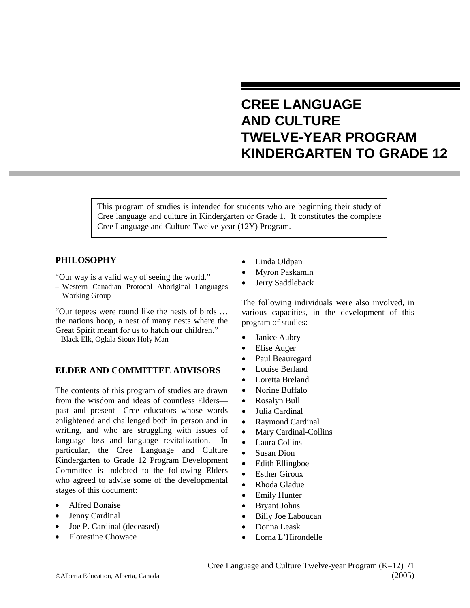# **CREE LANGUAGE AND CULTURE TWELVE-YEAR PROGRAM KINDERGARTEN TO GRADE 12**

This program of studies is intended for students who are beginning their study of Cree language and culture in Kindergarten or Grade 1. It constitutes the complete Cree Language and Culture Twelve-year (12Y) Program.

#### **PHILOSOPHY**

"Our way is a valid way of seeing the world."

– Western Canadian Protocol Aboriginal Languages Working Group

"Our tepees were round like the nests of birds … the nations hoop, a nest of many nests where the Great Spirit meant for us to hatch our children." – Black Elk, Oglala Sioux Holy Man

#### **ELDER AND COMMITTEE ADVISORS**

The contents of this program of studies are drawn from the wisdom and ideas of countless Elders past and present—Cree educators whose words enlightened and challenged both in person and in writing, and who are struggling with issues of language loss and language revitalization. In particular, the Cree Language and Culture Kindergarten to Grade 12 Program Development Committee is indebted to the following Elders who agreed to advise some of the developmental stages of this document:

- Alfred Bonaise
- Jenny Cardinal
- Joe P. Cardinal (deceased)
- Florestine Chowace
- Linda Oldpan
- Myron Paskamin
- Jerry Saddleback

The following individuals were also involved, in various capacities, in the development of this program of studies:

- Janice Aubry
- Elise Auger
- Paul Beauregard
- Louise Berland
- Loretta Breland
- Norine Buffalo
- Rosalyn Bull
- Julia Cardinal
- Raymond Cardinal
- Mary Cardinal-Collins
- Laura Collins
- Susan Dion
- Edith Ellingboe
- **Esther Giroux**
- Rhoda Gladue
- **Emily Hunter**
- Bryant Johns
- Billy Joe Laboucan
- Donna Leask
- Lorna L'Hirondelle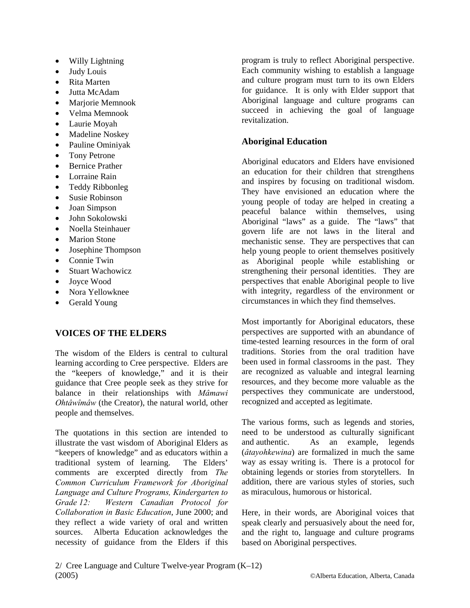- Willy Lightning
- Judy Louis
- Rita Marten
- Jutta McAdam
- Marjorie Memnook
- Velma Memnook
- Laurie Moyah
- Madeline Noskey
- Pauline Ominiyak
- Tony Petrone
- Bernice Prather
- Lorraine Rain
- Teddy Ribbonleg
- Susie Robinson
- Joan Simpson
- John Sokolowski
- Noella Steinhauer
- **Marion Stone**
- Josephine Thompson
- Connie Twin
- Stuart Wachowicz
- Joyce Wood
- Nora Yellowknee
- Gerald Young

#### **VOICES OF THE ELDERS**

The wisdom of the Elders is central to cultural learning according to Cree perspective. Elders are the "keepers of knowledge," and it is their guidance that Cree people seek as they strive for balance in their relationships with *Mâmawi Ohtâwîmâw* (the Creator), the natural world, other people and themselves.

The quotations in this section are intended to illustrate the vast wisdom of Aboriginal Elders as "keepers of knowledge" and as educators within a traditional system of learning. The Elders' comments are excerpted directly from *The Common Curriculum Framework for Aboriginal Language and Culture Programs, Kindergarten to Grade 12: Western Canadian Protocol for Collaboration in Basic Education*, June 2000; and they reflect a wide variety of oral and written sources. Alberta Education acknowledges the necessity of guidance from the Elders if this

program is truly to reflect Aboriginal perspective. Each community wishing to establish a language and culture program must turn to its own Elders for guidance. It is only with Elder support that Aboriginal language and culture programs can succeed in achieving the goal of language revitalization.

#### **Aboriginal Education**

Aboriginal educators and Elders have envisioned an education for their children that strengthens and inspires by focusing on traditional wisdom. They have envisioned an education where the young people of today are helped in creating a peaceful balance within themselves, using Aboriginal "laws" as a guide. The "laws" that govern life are not laws in the literal and mechanistic sense. They are perspectives that can help young people to orient themselves positively as Aboriginal people while establishing or strengthening their personal identities. They are perspectives that enable Aboriginal people to live with integrity, regardless of the environment or circumstances in which they find themselves.

Most importantly for Aboriginal educators, these perspectives are supported with an abundance of time-tested learning resources in the form of oral traditions. Stories from the oral tradition have been used in formal classrooms in the past. They are recognized as valuable and integral learning resources, and they become more valuable as the perspectives they communicate are understood, recognized and accepted as legitimate.

The various forms, such as legends and stories, need to be understood as culturally significant and authentic. As an example, legends (*âtayohkewina*) are formalized in much the same way as essay writing is. There is a protocol for obtaining legends or stories from storytellers. In addition, there are various styles of stories, such as miraculous, humorous or historical.

Here, in their words, are Aboriginal voices that speak clearly and persuasively about the need for, and the right to, language and culture programs based on Aboriginal perspectives.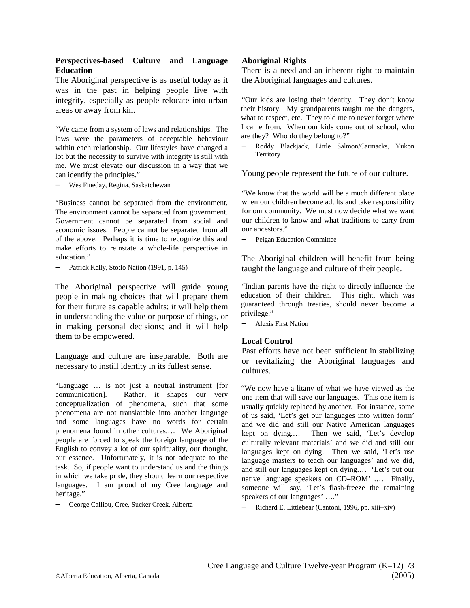#### **Perspectives-based Culture and Language Education**

The Aboriginal perspective is as useful today as it was in the past in helping people live with integrity, especially as people relocate into urban areas or away from kin.

"We came from a system of laws and relationships. The laws were the parameters of acceptable behaviour within each relationship. Our lifestyles have changed a lot but the necessity to survive with integrity is still with me. We must elevate our discussion in a way that we can identify the principles."

− Wes Fineday, Regina, Saskatchewan

"Business cannot be separated from the environment. The environment cannot be separated from government. Government cannot be separated from social and economic issues. People cannot be separated from all of the above. Perhaps it is time to recognize this and make efforts to reinstate a whole-life perspective in education."

− Patrick Kelly, Sto:lo Nation (1991, p. 145)

The Aboriginal perspective will guide young people in making choices that will prepare them for their future as capable adults; it will help them in understanding the value or purpose of things, or in making personal decisions; and it will help them to be empowered.

Language and culture are inseparable. Both are necessary to instill identity in its fullest sense.

"Language … is not just a neutral instrument [for communication]. Rather, it shapes our very conceptualization of phenomena, such that some phenomena are not translatable into another language and some languages have no words for certain phenomena found in other cultures.… We Aboriginal people are forced to speak the foreign language of the English to convey a lot of our spirituality, our thought, our essence. Unfortunately, it is not adequate to the task. So, if people want to understand us and the things in which we take pride, they should learn our respective languages. I am proud of my Cree language and heritage."

− George Calliou, Cree, Sucker Creek, Alberta

#### **Aboriginal Rights**

There is a need and an inherent right to maintain the Aboriginal languages and cultures.

"Our kids are losing their identity. They don't know their history. My grandparents taught me the dangers, what to respect, etc. They told me to never forget where I came from. When our kids come out of school, who are they? Who do they belong to?"

− Roddy Blackjack, Little Salmon/Carmacks, Yukon **Territory** 

Young people represent the future of our culture.

"We know that the world will be a much different place when our children become adults and take responsibility for our community. We must now decide what we want our children to know and what traditions to carry from our ancestors."

− Peigan Education Committee

The Aboriginal children will benefit from being taught the language and culture of their people.

"Indian parents have the right to directly influence the education of their children. This right, which was guaranteed through treaties, should never become a privilege."

− Alexis First Nation

#### **Local Control**

Past efforts have not been sufficient in stabilizing or revitalizing the Aboriginal languages and cultures.

"We now have a litany of what we have viewed as the one item that will save our languages. This one item is usually quickly replaced by another. For instance, some of us said, 'Let's get our languages into written form' and we did and still our Native American languages kept on dying.… Then we said, 'Let's develop culturally relevant materials' and we did and still our languages kept on dying. Then we said, 'Let's use language masters to teach our languages' and we did, and still our languages kept on dying.… 'Let's put our native language speakers on CD–ROM' .… Finally, someone will say, 'Let's flash-freeze the remaining speakers of our languages' …."

− Richard E. Littlebear (Cantoni, 1996, pp. xiii–xiv)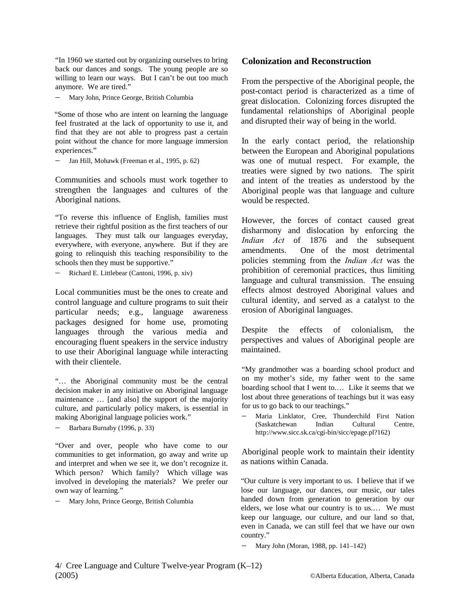"In 1960 we started out by organizing ourselves to bring back our dances and songs. The young people are so willing to learn our ways. But I can't be out too much anymore. We are tired."

− Mary John, Prince George, British Columbia

"Some of those who are intent on learning the language feel frustrated at the lack of opportunity to use it, and find that they are not able to progress past a certain point without the chance for more language immersion experiences."

Jan Hill, Mohawk (Freeman et al., 1995, p. 62)

Communities and schools must work together to strengthen the languages and cultures of the Aboriginal nations.

"To reverse this influence of English, families must retrieve their rightful position as the first teachers of our languages. They must talk our languages everyday, everywhere, with everyone, anywhere. But if they are going to relinquish this teaching responsibility to the schools then they must be supportive."

− Richard E. Littlebear (Cantoni, 1996, p. xiv)

Local communities must be the ones to create and control language and culture programs to suit their particular needs; e.g., language awareness packages designed for home use, promoting languages through the various media and encouraging fluent speakers in the service industry to use their Aboriginal language while interacting with their clientele

"… the Aboriginal community must be the central decision maker in any initiative on Aboriginal language maintenance … [and also] the support of the majority culture, and particularly policy makers, is essential in making Aboriginal language policies work."

− Barbara Burnaby (1996, p. 33)

"Over and over, people who have come to our communities to get information, go away and write up and interpret and when we see it, we don't recognize it. Which person? Which family? Which village was involved in developing the materials? We prefer our own way of learning."

− Mary John, Prince George, British Columbia

#### **Colonization and Reconstruction**

From the perspective of the Aboriginal people, the post-contact period is characterized as a time of great dislocation. Colonizing forces disrupted the fundamental relationships of Aboriginal people and disrupted their way of being in the world.

In the early contact period, the relationship between the European and Aboriginal populations was one of mutual respect. For example, the treaties were signed by two nations. The spirit and intent of the treaties as understood by the Aboriginal people was that language and culture would be respected.

However, the forces of contact caused great disharmony and dislocation by enforcing the *Indian Act* of 1876 and the subsequent amendments. One of the most detrimental policies stemming from the *Indian Act* was the prohibition of ceremonial practices, thus limiting language and cultural transmission. The ensuing effects almost destroyed Aboriginal values and cultural identity, and served as a catalyst to the erosion of Aboriginal languages.

Despite the effects of colonialism, the perspectives and values of Aboriginal people are maintained.

"My grandmother was a boarding school product and on my mother's side, my father went to the same boarding school that I went to.… Like it seems that we lost about three generations of teachings but it was easy for us to go back to our teachings."

− Maria Linklator, Cree, Thunderchild First Nation (Saskatchewan http://www.sicc.sk.ca/cgi-bin/sicc/epage.pl?162)

Aboriginal people work to maintain their identity as nations within Canada.

"Our culture is very important to us. I believe that if we lose our language, our dances, our music, our tales handed down from generation to generation by our elders, we lose what our country is to us.… We must keep our language, our culture, and our land so that, even in Canada, we can still feel that we have our own country."

− Mary John (Moran, 1988, pp. 141–142)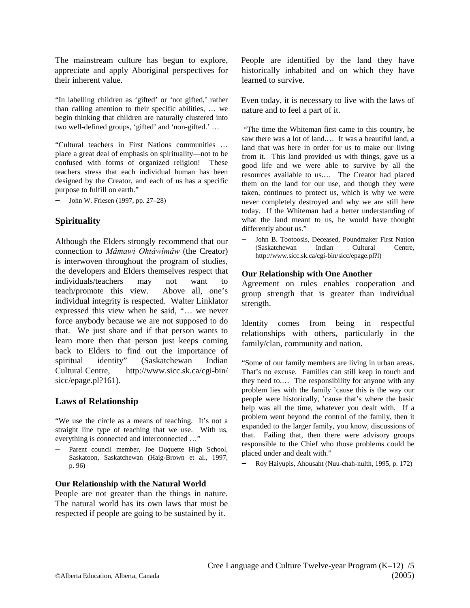The mainstream culture has begun to explore, appreciate and apply Aboriginal perspectives for their inherent value.

"In labelling children as 'gifted' or 'not gifted,' rather than calling attention to their specific abilities, … we begin thinking that children are naturally clustered into two well-defined groups, 'gifted' and 'non-gifted.' …

"Cultural teachers in First Nations communities … place a great deal of emphasis on spirituality—not to be confused with forms of organized religion! These teachers stress that each individual human has been designed by the Creator, and each of us has a specific purpose to fulfill on earth."

− John W. Friesen (1997, pp. 27–28)

#### **Spirituality**

Although the Elders strongly recommend that our connection to *Mâmawi Ohtâwîmâw* (the Creator) is interwoven throughout the program of studies, the developers and Elders themselves respect that individuals/teachers may not want to teach/promote this view. Above all, one's individual integrity is respected. Walter Linklator expressed this view when he said, "… we never force anybody because we are not supposed to do that. We just share and if that person wants to learn more then that person just keeps coming back to Elders to find out the importance of spiritual identity" (Saskatchewan Indian Cultural Centre, http://www.sicc.sk.ca/cgi-bin/ sicc/epage.pl?161).

#### **Laws of Relationship**

"We use the circle as a means of teaching. It's not a straight line type of teaching that we use. With us, everything is connected and interconnected …"

Parent council member, Joe Duquette High School, Saskatoon, Saskatchewan (Haig-Brown et al., 1997, p. 96)

#### **Our Relationship with the Natural World**

People are not greater than the things in nature. The natural world has its own laws that must be respected if people are going to be sustained by it.

People are identified by the land they have historically inhabited and on which they have learned to survive.

Even today, it is necessary to live with the laws of nature and to feel a part of it.

 "The time the Whiteman first came to this country, he saw there was a lot of land.… It was a beautiful land, a land that was here in order for us to make our living from it. This land provided us with things, gave us a good life and we were able to survive by all the resources available to us.… The Creator had placed them on the land for our use, and though they were taken, continues to protect us, which is why we were never completely destroyed and why we are still here today. If the Whiteman had a better understanding of what the land meant to us, he would have thought differently about us."

− John B. Tootoosis, Deceased, Poundmaker First Nation (Saskatchewan Indian Cultural Centre, http://www.sicc.sk.ca/cgi-bin/sicc/epage.pl?l)

#### **Our Relationship with One Another**

Agreement on rules enables cooperation and group strength that is greater than individual strength.

Identity comes from being in respectful relationships with others, particularly in the family/clan, community and nation.

"Some of our family members are living in urban areas. That's no excuse. Families can still keep in touch and they need to.… The responsibility for anyone with any problem lies with the family 'cause this is the way our people were historically, 'cause that's where the basic help was all the time, whatever you dealt with. If a problem went beyond the control of the family, then it expanded to the larger family, you know, discussions of that. Failing that, then there were advisory groups responsible to the Chief who those problems could be placed under and dealt with."

− Roy Haiyupis, Ahousaht (Nuu-chah-nulth, 1995, p. 172)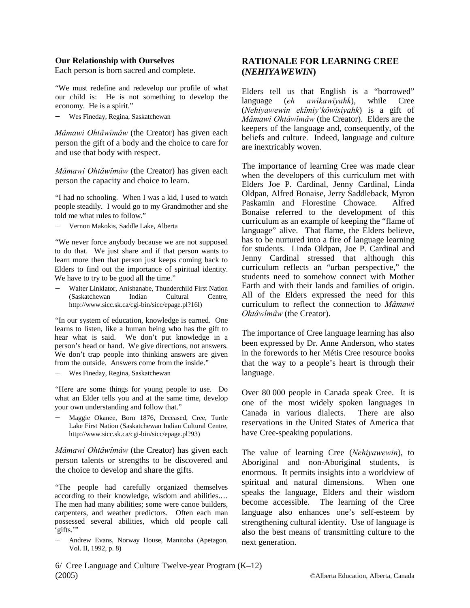#### **Our Relationship with Ourselves**

Each person is born sacred and complete.

"We must redefine and redevelop our profile of what our child is: He is not something to develop the economy. He is a spirit."

− Wes Fineday, Regina, Saskatchewan

*Mâmawi Ohtâwîmâw* (the Creator) has given each person the gift of a body and the choice to care for and use that body with respect.

*Mâmawi Ohtâwîmâw* (the Creator) has given each person the capacity and choice to learn.

"I had no schooling. When I was a kid, I used to watch people steadily. I would go to my Grandmother and she told me what rules to follow."

− Vernon Makokis, Saddle Lake, Alberta

"We never force anybody because we are not supposed to do that. We just share and if that person wants to learn more then that person just keeps coming back to Elders to find out the importance of spiritual identity. We have to try to be good all the time."

− Walter Linklator, Anishanabe, Thunderchild First Nation (Saskatchewan Indian Cultural Centre, http://www.sicc.sk.ca/cgi-bin/sicc/epage.pl?16l)

"In our system of education, knowledge is earned. One learns to listen, like a human being who has the gift to hear what is said. We don't put knowledge in a person's head or hand. We give directions, not answers. We don't trap people into thinking answers are given from the outside. Answers come from the inside."

− Wes Fineday, Regina, Saskatchewan

"Here are some things for young people to use. Do what an Elder tells you and at the same time, develop your own understanding and follow that."

− Maggie Okanee, Born 1876, Deceased, Cree, Turtle Lake First Nation (Saskatchewan Indian Cultural Centre, http://www.sicc.sk.ca/cgi-bin/sicc/epage.pl?93)

*Mâmawi Ohtâwîmâw* (the Creator) has given each person talents or strengths to be discovered and the choice to develop and share the gifts.

"The people had carefully organized themselves according to their knowledge, wisdom and abilities.… The men had many abilities; some were canoe builders, carpenters, and weather predictors. Often each man possessed several abilities, which old people call 'gifts.'"

− Andrew Evans, Norway House, Manitoba (Apetagon, Vol. II, 1992, p. 8)

#### 6/ Cree Language and Culture Twelve-year Program (K–12) (2005) ©Alberta Education, Alberta, Canada

#### **RATIONALE FOR LEARNING CREE (***NEHIYAWEWIN***)**

Elders tell us that English is a "borrowed" language (*eh awîkawîyahk*), while Cree (*Nehiyawewin ekîmiy'kôwisiyahk*) is a gift of *Mâmawi Ohtâwîmâw* (the Creator). Elders are the keepers of the language and, consequently, of the beliefs and culture. Indeed, language and culture are inextricably woven.

The importance of learning Cree was made clear when the developers of this curriculum met with Elders Joe P. Cardinal, Jenny Cardinal, Linda Oldpan, Alfred Bonaise, Jerry Saddleback, Myron Paskamin and Florestine Chowace. Alfred Bonaise referred to the development of this curriculum as an example of keeping the "flame of language" alive. That flame, the Elders believe, has to be nurtured into a fire of language learning for students. Linda Oldpan, Joe P. Cardinal and Jenny Cardinal stressed that although this curriculum reflects an "urban perspective," the students need to somehow connect with Mother Earth and with their lands and families of origin. All of the Elders expressed the need for this curriculum to reflect the connection to *Mâmawi Ohtâwîmâw* (the Creator).

The importance of Cree language learning has also been expressed by Dr. Anne Anderson, who states in the forewords to her Métis Cree resource books that the way to a people's heart is through their language.

Over 80 000 people in Canada speak Cree. It is one of the most widely spoken languages in Canada in various dialects. There are also reservations in the United States of America that have Cree-speaking populations.

The value of learning Cree (*Nehiyawewin*), to Aboriginal and non-Aboriginal students, is enormous. It permits insights into a worldview of spiritual and natural dimensions. When one speaks the language, Elders and their wisdom become accessible. The learning of the Cree language also enhances one's self-esteem by strengthening cultural identity. Use of language is also the best means of transmitting culture to the next generation.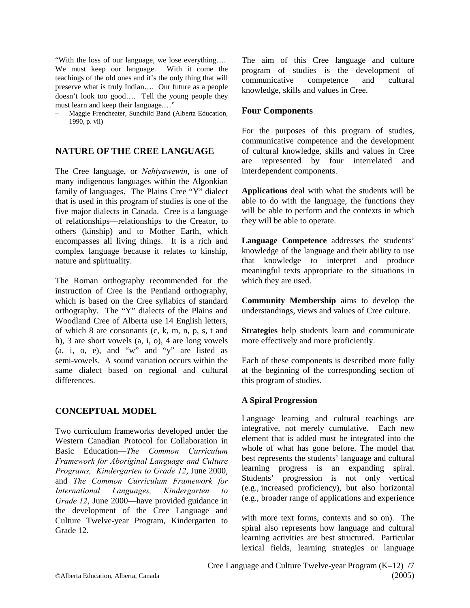"With the loss of our language, we lose everything…. We must keep our language. With it come the teachings of the old ones and it's the only thing that will preserve what is truly Indian…. Our future as a people doesn't look too good…. Tell the young people they must learn and keep their language...."

– Maggie Frencheater, Sunchild Band (Alberta Education, 1990, p. vii)

#### **NATURE OF THE CREE LANGUAGE**

The Cree language, or *Nehiyawewin*, is one of many indigenous languages within the Algonkian family of languages. The Plains Cree "Y" dialect that is used in this program of studies is one of the five major dialects in Canada. Cree is a language of relationships—relationships to the Creator, to others (kinship) and to Mother Earth, which encompasses all living things. It is a rich and complex language because it relates to kinship, nature and spirituality.

The Roman orthography recommended for the instruction of Cree is the Pentland orthography, which is based on the Cree syllabics of standard orthography. The "Y" dialects of the Plains and Woodland Cree of Alberta use 14 English letters, of which 8 are consonants (c, k, m, n, p, s, t and h), 3 are short vowels (a, i, o), 4 are long vowels  $(a, i, o, e)$ , and "w" and "y" are listed as semi-vowels. A sound variation occurs within the same dialect based on regional and cultural differences.

#### **CONCEPTUAL MODEL**

Two curriculum frameworks developed under the Western Canadian Protocol for Collaboration in Basic Education—*The Common Curriculum Framework for Aboriginal Language and Culture Programs, Kindergarten to Grade 12*, June 2000, and *The Common Curriculum Framework for International Languages, Kindergarten to Grade 12*, June 2000—have provided guidance in the development of the Cree Language and Culture Twelve-year Program, Kindergarten to Grade 12.

The aim of this Cree language and culture program of studies is the development of communicative competence and cultural knowledge, skills and values in Cree.

#### **Four Components**

For the purposes of this program of studies, communicative competence and the development of cultural knowledge, skills and values in Cree are represented by four interrelated and interdependent components.

**Applications** deal with what the students will be able to do with the language, the functions they will be able to perform and the contexts in which they will be able to operate.

**Language Competence** addresses the students' knowledge of the language and their ability to use that knowledge to interpret and produce meaningful texts appropriate to the situations in which they are used.

**Community Membership** aims to develop the understandings, views and values of Cree culture.

**Strategies** help students learn and communicate more effectively and more proficiently.

Each of these components is described more fully at the beginning of the corresponding section of this program of studies.

#### **A Spiral Progression**

Language learning and cultural teachings are integrative, not merely cumulative. Each new element that is added must be integrated into the whole of what has gone before. The model that best represents the students' language and cultural learning progress is an expanding spiral. Students' progression is not only vertical (e.g., increased proficiency), but also horizontal (e.g., broader range of applications and experience

with more text forms, contexts and so on). The spiral also represents how language and cultural learning activities are best structured. Particular lexical fields, learning strategies or language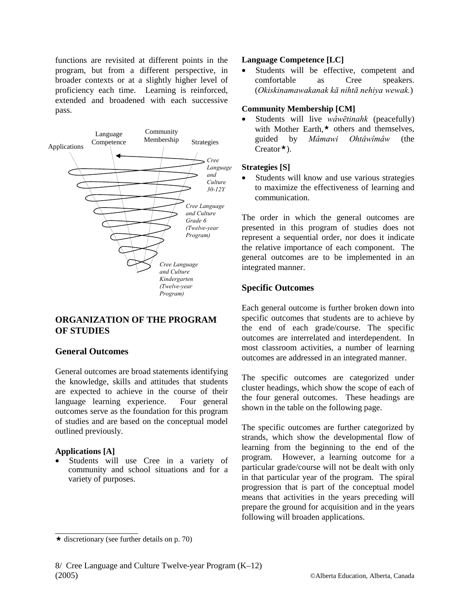functions are revisited at different points in the program, but from a different perspective, in broader contexts or at a slightly higher level of proficiency each time. Learning is reinforced, extended and broadened with each successive pass.



#### **ORGANIZATION OF THE PROGRAM OF STUDIES**

#### **General Outcomes**

General outcomes are broad statements identifying the knowledge, skills and attitudes that students are expected to achieve in the course of their language learning experience. Four general outcomes serve as the foundation for this program of studies and are based on the conceptual model outlined previously.

#### **Applications [A]**

Students will use Cree in a variety of community and school situations and for a variety of purposes.

#### **Language Competence [LC]**

• Students will be effective, competent and comfortable as Cree speakers. (*Okiskinamawakanak kā nihtā nehiya wewak.*)

#### **Community Membership [CM]**

• Students will live *wâwētinahk* (peacefully) with Mother Earth,  $\star$  others and themselves. guided by *Mâmawi Ohtâwîmâw* (the Creator $\star$ ).

#### **Strategies [S]**

Students will know and use various strategies to maximize the effectiveness of learning and communication.

The order in which the general outcomes are presented in this program of studies does not represent a sequential order, nor does it indicate the relative importance of each component. The general outcomes are to be implemented in an integrated manner.

#### **Specific Outcomes**

Each general outcome is further broken down into specific outcomes that students are to achieve by the end of each grade/course. The specific outcomes are interrelated and interdependent. In most classroom activities, a number of learning outcomes are addressed in an integrated manner.

The specific outcomes are categorized under cluster headings, which show the scope of each of the four general outcomes. These headings are shown in the table on the following page.

The specific outcomes are further categorized by strands, which show the developmental flow of learning from the beginning to the end of the program. However, a learning outcome for a particular grade/course will not be dealt with only in that particular year of the program. The spiral progression that is part of the conceptual model means that activities in the years preceding will prepare the ground for acquisition and in the years following will broaden applications.

 $\star$  discretionary (see further details on p. 70)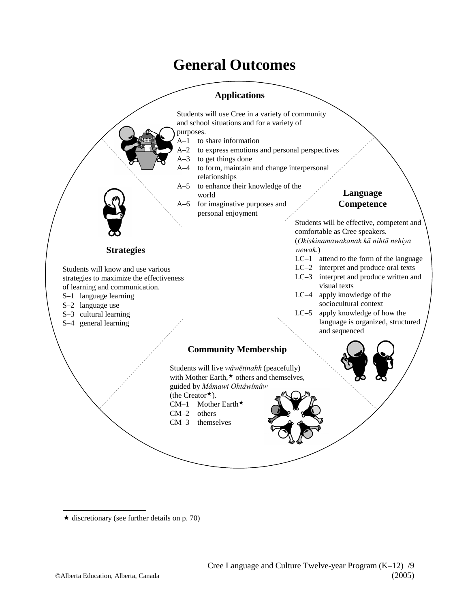# **General Outcomes**



 $\star$  discretionary (see further details on p. 70)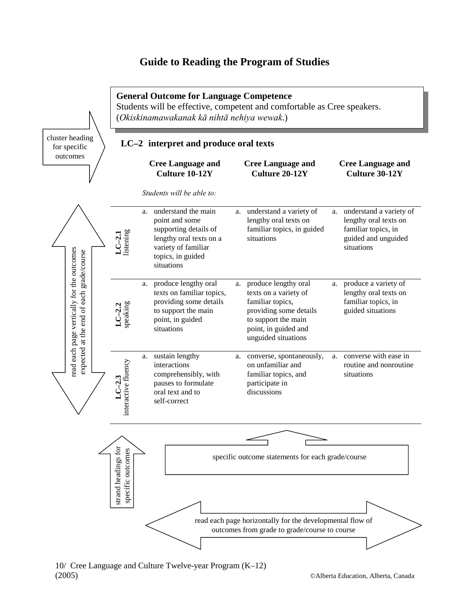## **Guide to Reading the Program of Studies**

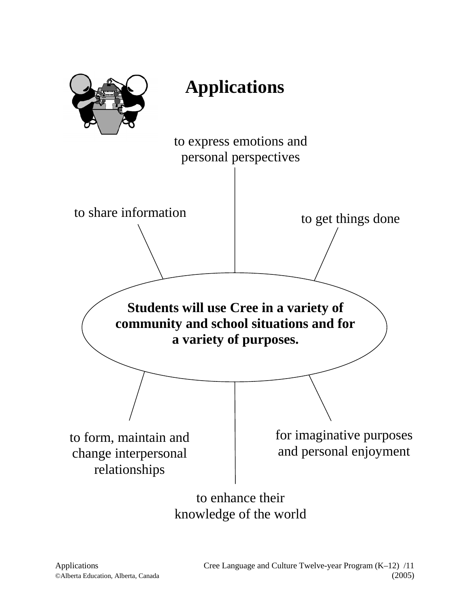

knowledge of the world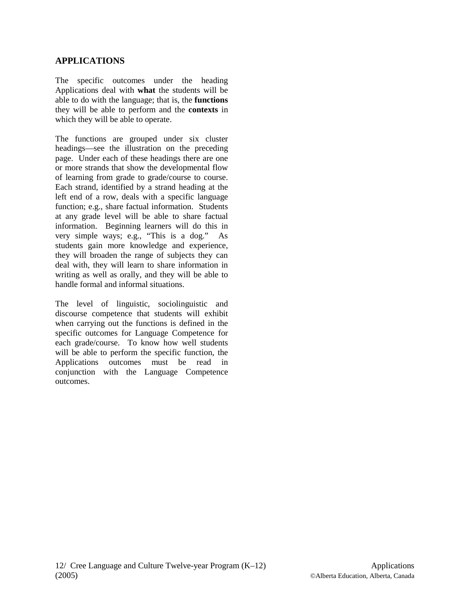#### **APPLICATIONS**

The specific outcomes under the heading Applications deal with **what** the students will be able to do with the language; that is, the **functions** they will be able to perform and the **contexts** in which they will be able to operate.

The functions are grouped under six cluster headings—see the illustration on the preceding page. Under each of these headings there are one or more strands that show the developmental flow of learning from grade to grade/course to course. Each strand, identified by a strand heading at the left end of a row, deals with a specific language function; e.g., share factual information. Students at any grade level will be able to share factual information. Beginning learners will do this in very simple ways; e.g., "This is a dog." As students gain more knowledge and experience, they will broaden the range of subjects they can deal with, they will learn to share information in writing as well as orally, and they will be able to handle formal and informal situations.

The level of linguistic, sociolinguistic and discourse competence that students will exhibit when carrying out the functions is defined in the specific outcomes for Language Competence for each grade/course. To know how well students will be able to perform the specific function, the Applications outcomes must be read in conjunction with the Language Competence outcomes.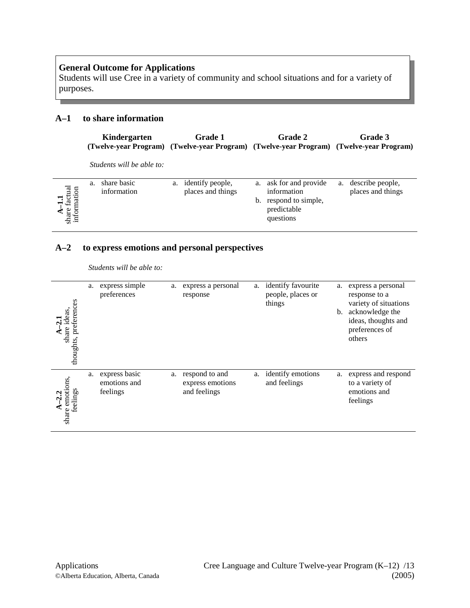Students will use Cree in a variety of community and school situations and for a variety of purposes.

#### **A–1 to share information**

|                                         | Kindergarten<br>Students will be able to: | <b>Grade 1</b>                              | <b>Grade 2</b><br>(Twelve-year Program) (Twelve-year Program) (Twelve-year Program) (Twelve-year Program) | <b>Grade 3</b>                           |
|-----------------------------------------|-------------------------------------------|---------------------------------------------|-----------------------------------------------------------------------------------------------------------|------------------------------------------|
| $A-1.1$<br>share factual<br>information | share basic<br>a.<br>information          | identify people,<br>a.<br>places and things | a. ask for and provide<br>information<br>respond to simple,<br>b.<br>predictable<br>questions             | a. describe people,<br>places and things |

## **A–2 to express emotions and personal perspectives**

| thoughts, preferences<br>as<br>share | a. | express simple<br>preferences                | a. | express a personal<br>response                     | a. | identify favourite<br>people, places or<br>things | a. express a personal<br>response to a<br>variety of situations<br>b. acknowledge the<br>ideas, thoughts and<br>preferences of<br>others |
|--------------------------------------|----|----------------------------------------------|----|----------------------------------------------------|----|---------------------------------------------------|------------------------------------------------------------------------------------------------------------------------------------------|
| emotions,<br>feelings<br>share       |    | a. express basic<br>emotions and<br>feelings | a. | respond to and<br>express emotions<br>and feelings | a. | identify emotions<br>and feelings                 | a. express and respond<br>to a variety of<br>emotions and<br>feelings                                                                    |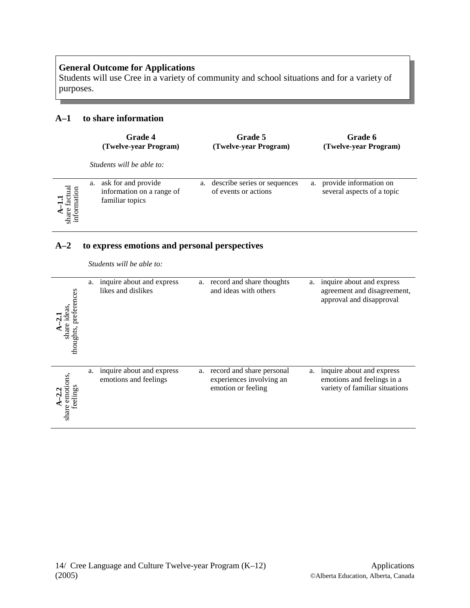Students will use Cree in a variety of community and school situations and for a variety of purposes.

#### **A–1 to share information**

|                                         |    | <b>Grade 4</b><br>(Twelve-year Program)<br>Students will be able to: |    | Grade 5<br>(Twelve-year Program)                     |    | Grade 6<br>(Twelve-year Program)                     |  |
|-----------------------------------------|----|----------------------------------------------------------------------|----|------------------------------------------------------|----|------------------------------------------------------|--|
| $A-1.1$<br>share factual<br>information | a. | ask for and provide<br>information on a range of<br>familiar topics  | a. | describe series or sequences<br>of events or actions | a. | provide information on<br>several aspects of a topic |  |

## **A–2 to express emotions and personal perspectives**

| erences<br>thoughts    | a. | inquire about and express<br>likes and dislikes    | a. | record and share thoughts<br>and ideas with others                          | a. | inquire about and express<br>agreement and disagreement,<br>approval and disapproval      |
|------------------------|----|----------------------------------------------------|----|-----------------------------------------------------------------------------|----|-------------------------------------------------------------------------------------------|
| otions,<br>60<br>share | a. | inquire about and express<br>emotions and feelings | a. | record and share personal<br>experiences involving an<br>emotion or feeling | a. | inquire about and express<br>emotions and feelings in a<br>variety of familiar situations |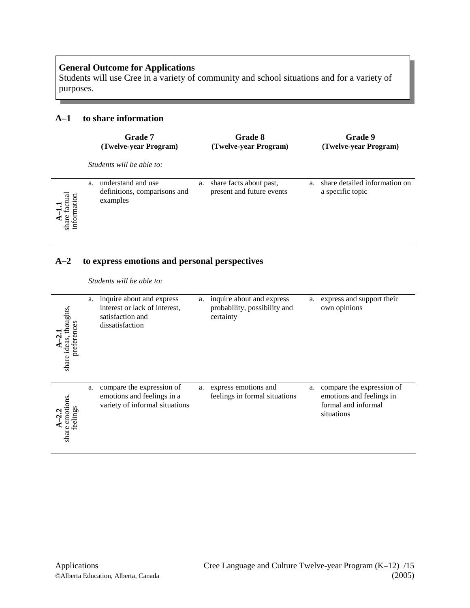Students will use Cree in a variety of community and school situations and for a variety of purposes.

#### **A–1 to share information**

|                                                  | <b>Grade 7</b><br>(Twelve-year Program) |                                                                |    | <b>Grade 8</b><br>(Twelve-year Program)              | Grade 9<br>(Twelve-year Program) |                                                   |  |
|--------------------------------------------------|-----------------------------------------|----------------------------------------------------------------|----|------------------------------------------------------|----------------------------------|---------------------------------------------------|--|
|                                                  |                                         | Students will be able to:                                      |    |                                                      |                                  |                                                   |  |
| $\frac{-1.1}{\text{factoral}}$<br>share<br>infor | a.                                      | understand and use<br>definitions, comparisons and<br>examples | a. | share facts about past,<br>present and future events | a.                               | share detailed information on<br>a specific topic |  |

## **A–2 to express emotions and personal perspectives**

| houghts,<br>share ide<br>het | a. | inquire about and express<br>interest or lack of interest,<br>satisfaction and<br>dissatisfaction | a. | inquire about and express<br>probability, possibility and<br>certainty | a. | express and support their<br>own opinions                                                  |
|------------------------------|----|---------------------------------------------------------------------------------------------------|----|------------------------------------------------------------------------|----|--------------------------------------------------------------------------------------------|
| motions.<br>share            | a. | compare the expression of<br>emotions and feelings in a<br>variety of informal situations         | a. | express emotions and<br>feelings in formal situations                  | a. | compare the expression of<br>emotions and feelings in<br>formal and informal<br>situations |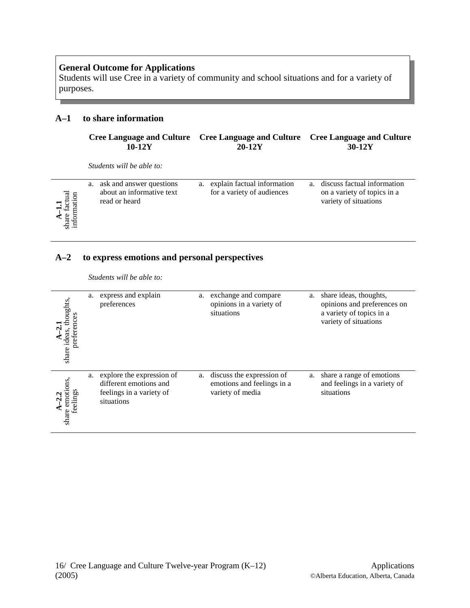Students will use Cree in a variety of community and school situations and for a variety of purposes.

#### **A–1 to share information**

| $10-12Y$ | <b>Cree Language and Culture Cree Language and Culture Cree Language and Culture</b><br>$20 - 12Y$ | $30-12Y$ |
|----------|----------------------------------------------------------------------------------------------------|----------|
|          |                                                                                                    |          |

*Students will be able to:* 

| $A-1.1$<br>share factual<br>information | a. ask and answer questions<br>about an informative text<br>read or heard | a. | explain factual information<br>for a variety of audiences | a. discuss factual information<br>on a variety of topics in a<br>variety of situations |
|-----------------------------------------|---------------------------------------------------------------------------|----|-----------------------------------------------------------|----------------------------------------------------------------------------------------|

#### **A–2 to express emotions and personal perspectives**

| houghts,<br>share ide | a. | express and explain<br>preferences                                                            | a. | exchange and compare<br>opinions in a variety of<br>situations              | a. | share ideas, thoughts,<br>opinions and preferences on<br>a variety of topics in a<br>variety of situations |
|-----------------------|----|-----------------------------------------------------------------------------------------------|----|-----------------------------------------------------------------------------|----|------------------------------------------------------------------------------------------------------------|
| otions,<br>share      | a. | explore the expression of<br>different emotions and<br>feelings in a variety of<br>situations | a. | discuss the expression of<br>emotions and feelings in a<br>variety of media | a. | share a range of emotions<br>and feelings in a variety of<br>situations                                    |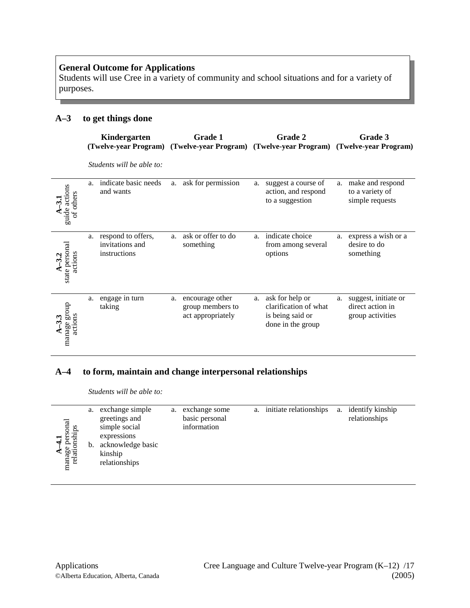Students will use Cree in a variety of community and school situations and for a variety of purposes.

### **A–3 to get things done**

|                               | Kindergarten<br>(Twelve-year Program) |                                                       | <b>Grade 1</b> |                                                          | Grade 2<br>(Twelve-year Program) (Twelve-year Program) (Twelve-year Program) |                                                                                   | Grade 3 |                                                              |
|-------------------------------|---------------------------------------|-------------------------------------------------------|----------------|----------------------------------------------------------|------------------------------------------------------------------------------|-----------------------------------------------------------------------------------|---------|--------------------------------------------------------------|
|                               |                                       | Students will be able to:                             |                |                                                          |                                                                              |                                                                                   |         |                                                              |
| actions<br>of others<br>guide | a.                                    | indicate basic needs<br>and wants                     | a.             | ask for permission                                       | a.                                                                           | suggest a course of<br>action, and respond<br>to a suggestion                     | a.      | make and respond<br>to a variety of<br>simple requests       |
| state personal<br>actions     | a.                                    | respond to offers,<br>invitations and<br>instructions | a.             | ask or offer to do<br>something                          | a.                                                                           | indicate choice<br>from among several<br>options                                  | a.      | express a wish or a<br>desire to do<br>something             |
| group<br>manage               | a.                                    | engage in turn<br>taking                              | a.             | encourage other<br>group members to<br>act appropriately | a.                                                                           | ask for help or<br>clarification of what<br>is being said or<br>done in the group | a.      | suggest, initiate or<br>direct action in<br>group activities |

## **A–4 to form, maintain and change interpersonal relationships**

| ಸ<br>most<br>ships<br>Ships<br>manage<br>relati | a.<br>b. | exchange simple<br>greetings and<br>simple social<br>expressions<br>acknowledge basic<br>kinship<br>relationships | a. | exchange some<br>basic personal<br>information | a. | initiate relationships | a. | identify kinship<br>relationships |
|-------------------------------------------------|----------|-------------------------------------------------------------------------------------------------------------------|----|------------------------------------------------|----|------------------------|----|-----------------------------------|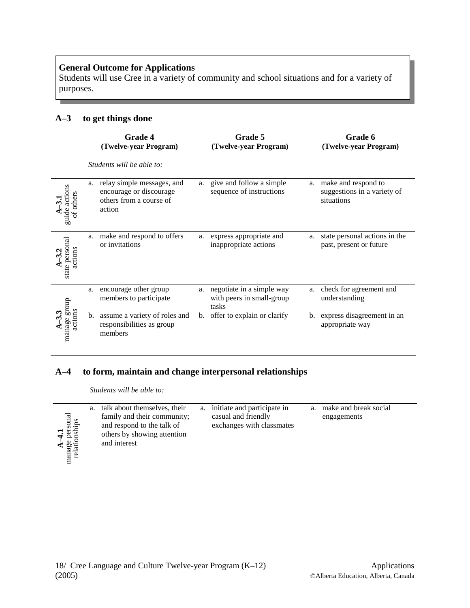Students will use Cree in a variety of community and school situations and for a variety of purposes.

### **A–3 to get things done**

|                                        | <b>Grade 4</b><br>(Twelve-year Program) |                                                                                               |    | Grade 5<br>(Twelve-year Program)                                |    | Grade 6<br>(Twelve-year Program)                                 |  |  |
|----------------------------------------|-----------------------------------------|-----------------------------------------------------------------------------------------------|----|-----------------------------------------------------------------|----|------------------------------------------------------------------|--|--|
|                                        |                                         | Students will be able to:                                                                     |    |                                                                 |    |                                                                  |  |  |
| guide actions<br>of others             |                                         | a. relay simple messages, and<br>encourage or discourage<br>others from a course of<br>action | a. | give and follow a simple<br>sequence of instructions            | a. | make and respond to<br>suggestions in a variety of<br>situations |  |  |
| state personal<br>actions<br>$A - 3.2$ |                                         | a. make and respond to offers<br>or invitations                                               | a. | express appropriate and<br>inappropriate actions                | a. | state personal actions in the<br>past, present or future         |  |  |
| dnora                                  | a.                                      | encourage other group<br>members to participate                                               | a. | negotiate in a simple way<br>with peers in small-group<br>tasks | a. | check for agreement and<br>understanding                         |  |  |
| actions<br>manage                      |                                         | b. assume a variety of roles and<br>responsibilities as group<br>members                      | b. | offer to explain or clarify                                     | b. | express disagreement in an<br>appropriate way                    |  |  |

## **A–4 to form, maintain and change interpersonal relationships**

| manage personal<br>relationships | a. | talk about themselves, their<br>family and their community;<br>and respond to the talk of<br>others by showing attention<br>and interest | a. initiate and participate in<br>casual and friendly<br>exchanges with classmates | a. make and break social<br>engagements |
|----------------------------------|----|------------------------------------------------------------------------------------------------------------------------------------------|------------------------------------------------------------------------------------|-----------------------------------------|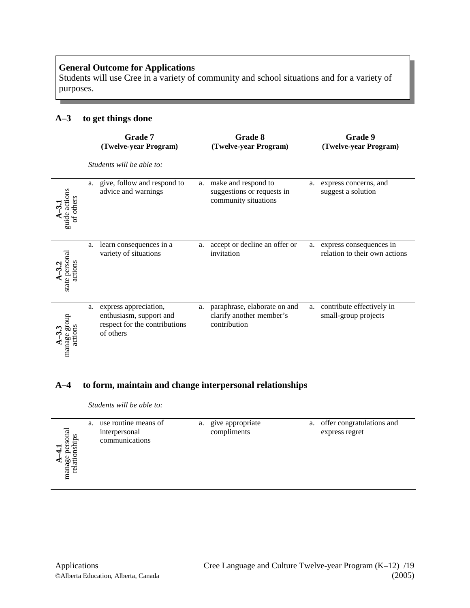Students will use Cree in a variety of community and school situations and for a variety of purposes.

### **A–3 to get things done**

|                            | Grade 7<br>(Twelve-year Program) |                                                                                                | Grade 8<br>(Twelve-year Program) |                                                                           | Grade 9<br>(Twelve-year Program) |                                                          |
|----------------------------|----------------------------------|------------------------------------------------------------------------------------------------|----------------------------------|---------------------------------------------------------------------------|----------------------------------|----------------------------------------------------------|
|                            |                                  | Students will be able to:                                                                      |                                  |                                                                           |                                  |                                                          |
| guide actions<br>of others | a.                               | give, follow and respond to<br>advice and warnings                                             | a.                               | make and respond to<br>suggestions or requests in<br>community situations | a.                               | express concerns, and<br>suggest a solution              |
| state personal<br>actions  | a.                               | learn consequences in a<br>variety of situations                                               | a.                               | accept or decline an offer or<br>invitation                               | a.                               | express consequences in<br>relation to their own actions |
| manage group<br>actions    | a.                               | express appreciation,<br>enthusiasm, support and<br>respect for the contributions<br>of others | a.                               | paraphrase, elaborate on and<br>clarify another member's<br>contribution  | a.                               | contribute effectively in<br>small-group projects        |

#### **A–4 to form, maintain and change interpersonal relationships**

| ಸ<br>g<br>sqin<br>1e)<br>man | a. | use routine means of<br>interpersonal<br>communications | a. | give appropriate<br>compliments | a. | offer congratulations and<br>express regret |
|------------------------------|----|---------------------------------------------------------|----|---------------------------------|----|---------------------------------------------|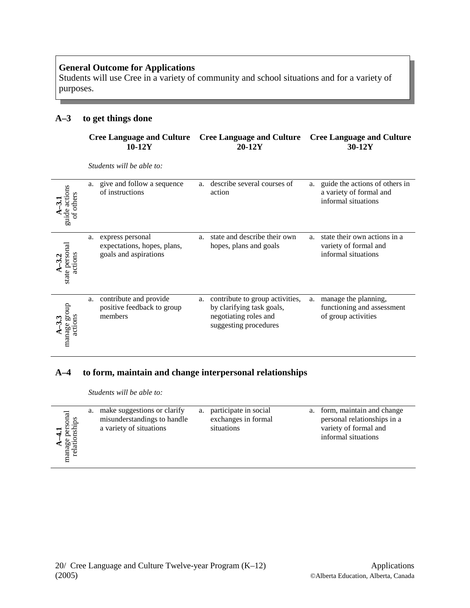Students will use Cree in a variety of community and school situations and for a variety of purposes.

### **A–3 to get things done**

|                                        | <b>Cree Language and Culture</b><br>$10-12Y$ |                                                                          | <b>Cree Language and Culture</b><br>$20-12Y$ |                                                                                                                | <b>Cree Language and Culture</b><br>30-12Y |                                                                                  |  |
|----------------------------------------|----------------------------------------------|--------------------------------------------------------------------------|----------------------------------------------|----------------------------------------------------------------------------------------------------------------|--------------------------------------------|----------------------------------------------------------------------------------|--|
|                                        |                                              | Students will be able to:                                                |                                              |                                                                                                                |                                            |                                                                                  |  |
| guide actions<br>of others<br>$-3.1$   | a.                                           | give and follow a sequence<br>of instructions                            | a.                                           | describe several courses of<br>action                                                                          | a.                                         | guide the actions of others in<br>a variety of formal and<br>informal situations |  |
| state personal<br>actions<br>$A - 3.2$ | a.                                           | express personal<br>expectations, hopes, plans,<br>goals and aspirations | a.                                           | state and describe their own<br>hopes, plans and goals                                                         | a.                                         | state their own actions in a<br>variety of formal and<br>informal situations     |  |
| manage group<br>$A-3.3$                | a.                                           | contribute and provide<br>positive feedback to group<br>members          | a.                                           | contribute to group activities,<br>by clarifying task goals,<br>negotiating roles and<br>suggesting procedures | a.                                         | manage the planning,<br>functioning and assessment<br>of group activities        |  |

## **A–4 to form, maintain and change interpersonal relationships**

| personal<br>paships<br>& B<br>ana<br>rela | a. | make suggestions or clarify<br>misunderstandings to handle<br>a variety of situations | a. | participate in social<br>exchanges in formal<br>situations | a. | form, maintain and change<br>personal relationships in a<br>variety of formal and<br>informal situations |
|-------------------------------------------|----|---------------------------------------------------------------------------------------|----|------------------------------------------------------------|----|----------------------------------------------------------------------------------------------------------|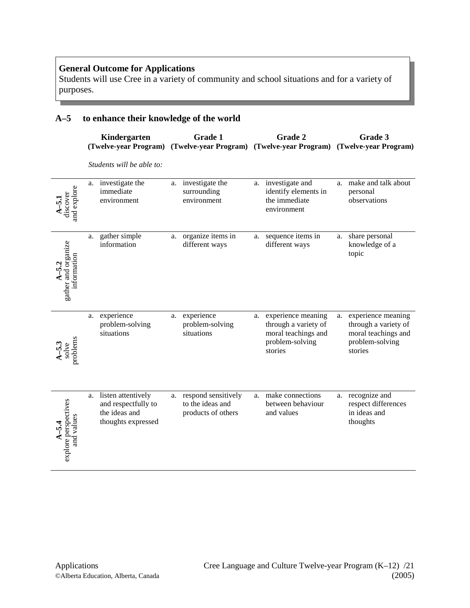Students will use Cree in a variety of community and school situations and for a variety of purposes.

|                                                 |    | Kindergarten<br>(Twelve-year Program)                                            |    | Grade 1<br>(Twelve-year Program) (Twelve-year Program) (Twelve-year Program) |    | Grade 2                                                                                            |    | Grade 3                                                                                         |
|-------------------------------------------------|----|----------------------------------------------------------------------------------|----|------------------------------------------------------------------------------|----|----------------------------------------------------------------------------------------------------|----|-------------------------------------------------------------------------------------------------|
|                                                 |    | Students will be able to:                                                        |    |                                                                              |    |                                                                                                    |    |                                                                                                 |
| and explore<br>$A-5.1$<br>discover              | a. | investigate the<br>immediate<br>environment                                      | a. | investigate the<br>surrounding<br>environment                                |    | a. investigate and<br>identify elements in<br>the immediate<br>environment                         | a. | make and talk about<br>personal<br>observations                                                 |
| gather and organize<br>information              | a. | gather simple<br>information                                                     | a. | organize items in<br>different ways                                          | a. | sequence items in<br>different ways                                                                | a. | share personal<br>knowledge of a<br>topic                                                       |
| problems                                        | a. | experience<br>problem-solving<br>situations                                      | a. | experience<br>problem-solving<br>situations                                  |    | a. experience meaning<br>through a variety of<br>moral teachings and<br>problem-solving<br>stories | a. | experience meaning<br>through a variety of<br>moral teachings and<br>problem-solving<br>stories |
| explore perspectives<br>and values<br>$A - 5.4$ | a. | listen attentively<br>and respectfully to<br>the ideas and<br>thoughts expressed | a. | respond sensitively<br>to the ideas and<br>products of others                | a. | make connections<br>between behaviour<br>and values                                                | a. | recognize and<br>respect differences<br>in ideas and<br>thoughts                                |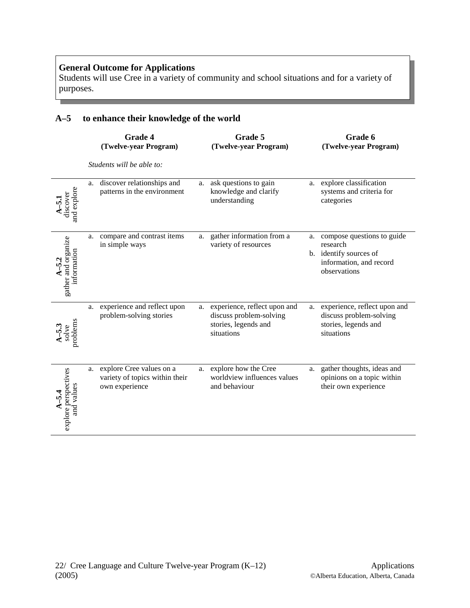Students will use Cree in a variety of community and school situations and for a variety of purposes.

|                                              | Grade 4<br>(Twelve-year Program) |                                                                              |    | Grade 5<br>(Twelve-year Program)                                                              |    | Grade 6<br>(Twelve-year Program)                                                                            |
|----------------------------------------------|----------------------------------|------------------------------------------------------------------------------|----|-----------------------------------------------------------------------------------------------|----|-------------------------------------------------------------------------------------------------------------|
|                                              | Students will be able to:        |                                                                              |    |                                                                                               |    |                                                                                                             |
| and explore<br>discover                      | a.                               | discover relationships and<br>patterns in the environment                    | a. | ask questions to gain<br>knowledge and clarify<br>understanding                               | a. | explore classification<br>systems and criteria for<br>categories                                            |
| gather and organize<br>information           | a.                               | compare and contrast items<br>in simple ways                                 | a. | gather information from a<br>variety of resources                                             | a. | compose questions to guide<br>research<br>b. identify sources of<br>information, and record<br>observations |
| problems<br>solve                            | a.                               | experience and reflect upon<br>problem-solving stories                       | a. | experience, reflect upon and<br>discuss problem-solving<br>stories, legends and<br>situations | a. | experience, reflect upon and<br>discuss problem-solving<br>stories, legends and<br>situations               |
| explore perspectives<br>and values<br>$-5.4$ | a.                               | explore Cree values on a<br>variety of topics within their<br>own experience | a. | explore how the Cree<br>worldview influences values<br>and behaviour                          | a. | gather thoughts, ideas and<br>opinions on a topic within<br>their own experience                            |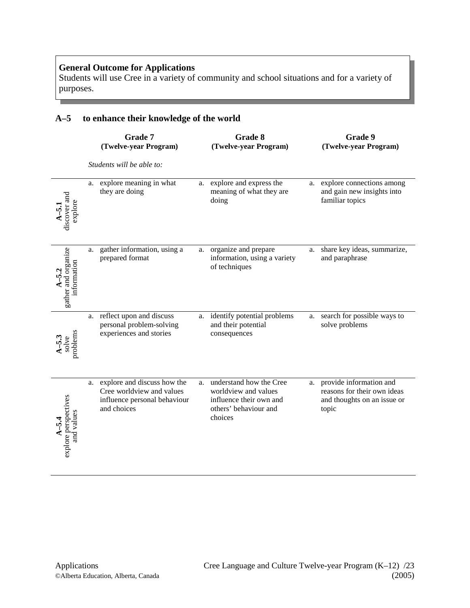Students will use Cree in a variety of community and school situations and for a variety of purposes.

|                                      | Grade 7<br>(Twelve-year Program)                                                                           | Grade 8<br>(Twelve-year Program)                                                                                  | Grade 9<br>(Twelve-year Program)                                                                     |
|--------------------------------------|------------------------------------------------------------------------------------------------------------|-------------------------------------------------------------------------------------------------------------------|------------------------------------------------------------------------------------------------------|
|                                      | Students will be able to:                                                                                  |                                                                                                                   |                                                                                                      |
| discover and<br>explore<br>$A - 5.1$ | explore meaning in what<br>a.<br>they are doing                                                            | explore and express the<br>a.<br>meaning of what they are<br>doing                                                | explore connections among<br>a.<br>and gain new insights into<br>familiar topics                     |
| gather and organize<br>information   | gather information, using a<br>a.<br>prepared format                                                       | organize and prepare<br>a.<br>information, using a variety<br>of techniques                                       | share key ideas, summarize,<br>a.<br>and paraphrase                                                  |
| problems<br>$A-5.3$<br>solve         | reflect upon and discuss<br>a.<br>personal problem-solving<br>experiences and stories                      | identify potential problems<br>a.<br>and their potential<br>consequences                                          | search for possible ways to<br>a.<br>solve problems                                                  |
| explore perspectives<br>and values   | a. explore and discuss how the<br>Cree worldview and values<br>influence personal behaviour<br>and choices | a. understand how the Cree<br>worldview and values<br>influence their own and<br>others' behaviour and<br>choices | provide information and<br>a.<br>reasons for their own ideas<br>and thoughts on an issue or<br>topic |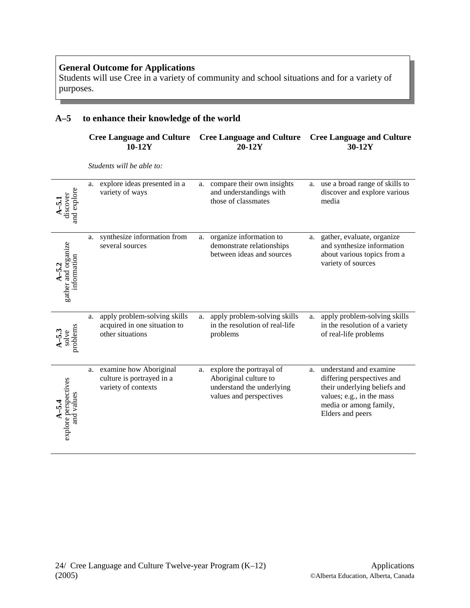Students will use Cree in a variety of community and school situations and for a variety of purposes.

|                                               | <b>Cree Language and Culture</b><br>$10-12Y$                                           | <b>Cree Language and Culture</b><br>$20-12Y$                                                                    | <b>Cree Language and Culture</b><br>$30-12Y$                                                                                                                          |  |  |
|-----------------------------------------------|----------------------------------------------------------------------------------------|-----------------------------------------------------------------------------------------------------------------|-----------------------------------------------------------------------------------------------------------------------------------------------------------------------|--|--|
|                                               | Students will be able to:                                                              |                                                                                                                 |                                                                                                                                                                       |  |  |
| and explore<br>$A - 3.1$<br>discover<br>$-51$ | a. explore ideas presented in a<br>variety of ways                                     | compare their own insights<br>a.<br>and understandings with<br>those of classmates                              | a. use a broad range of skills to<br>discover and explore various<br>media                                                                                            |  |  |
| gather and organize<br>information            | synthesize information from<br>a.<br>several sources                                   | organize information to<br>a.<br>demonstrate relationships<br>between ideas and sources                         | gather, evaluate, organize<br>a.<br>and synthesize information<br>about various topics from a<br>variety of sources                                                   |  |  |
| problems<br>$A-5.3$<br>solve                  | apply problem-solving skills<br>a.<br>acquired in one situation to<br>other situations | apply problem-solving skills<br>a.<br>in the resolution of real-life<br>problems                                | apply problem-solving skills<br>a.<br>in the resolution of a variety<br>of real-life problems                                                                         |  |  |
| $A-5.4$<br>explore perspectives<br>and values | a. examine how Aboriginal<br>culture is portrayed in a<br>variety of contexts          | explore the portrayal of<br>a.<br>Aboriginal culture to<br>understand the underlying<br>values and perspectives | understand and examine<br>a.<br>differing perspectives and<br>their underlying beliefs and<br>values; e.g., in the mass<br>media or among family,<br>Elders and peers |  |  |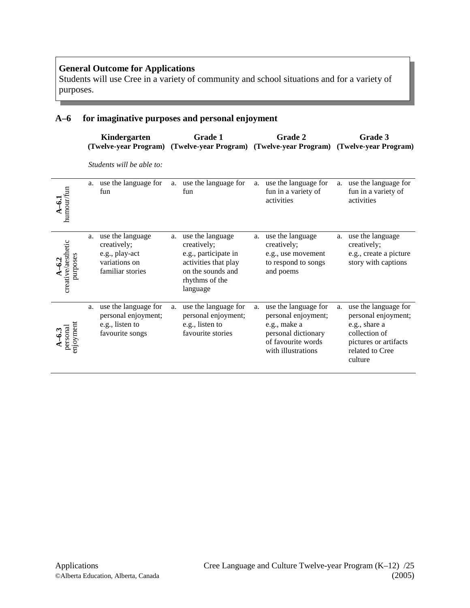Students will use Cree in a variety of community and school situations and for a variety of purposes.

## **A–6 for imaginative purposes and personal enjoyment**

|                                                       |    | Kindergarten                                                                           | Grade 1 |                                                                                                                                    | Grade 2<br>(Twelve-year Program) (Twelve-year Program) (Twelve-year Program) (Twelve-year Program) |                                                                                                                                | Grade 3 |                                                                                                                                      |
|-------------------------------------------------------|----|----------------------------------------------------------------------------------------|---------|------------------------------------------------------------------------------------------------------------------------------------|----------------------------------------------------------------------------------------------------|--------------------------------------------------------------------------------------------------------------------------------|---------|--------------------------------------------------------------------------------------------------------------------------------------|
|                                                       |    | Students will be able to:                                                              |         |                                                                                                                                    |                                                                                                    |                                                                                                                                |         |                                                                                                                                      |
| humour/fun<br>$A-6.1$                                 |    | a. use the language for<br>fun                                                         |         | a. use the language for<br>fun                                                                                                     | a.                                                                                                 | use the language for<br>fun in a variety of<br>activities                                                                      | a.      | use the language for<br>fun in a variety of<br>activities                                                                            |
| $A-6.2$<br>creative/aesthetic<br>purposes             | a. | use the language<br>creatively;<br>e.g., play-act<br>variations on<br>familiar stories | a.      | use the language<br>creatively;<br>e.g., participate in<br>activities that play<br>on the sounds and<br>rhythms of the<br>language | a.                                                                                                 | use the language<br>creatively;<br>e.g., use movement<br>to respond to songs<br>and poems                                      | a.      | use the language<br>creatively;<br>e.g., create a picture<br>story with captions                                                     |
| $\frac{\mathbf{A}-6.3}{\text{personal}}$<br>enjoyment | a. | use the language for<br>personal enjoyment;<br>e.g., listen to<br>favourite songs      | a.      | use the language for<br>personal enjoyment;<br>e.g., listen to<br>favourite stories                                                | a.                                                                                                 | use the language for<br>personal enjoyment;<br>e.g., make a<br>personal dictionary<br>of favourite words<br>with illustrations | a.      | use the language for<br>personal enjoyment;<br>e.g., share a<br>collection of<br>pictures or artifacts<br>related to Cree<br>culture |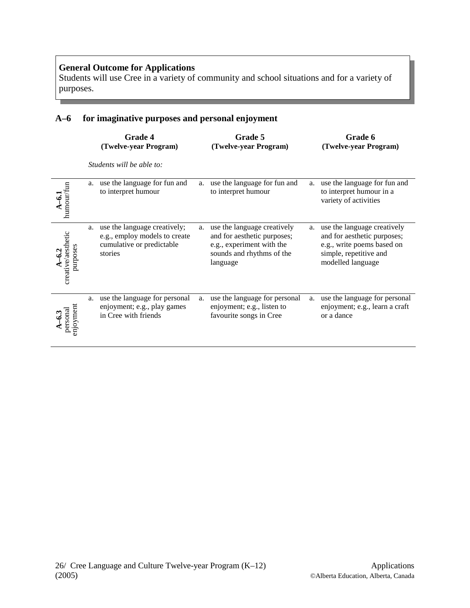Students will use Cree in a variety of community and school situations and for a variety of purposes.

## **A–6 for imaginative purposes and personal enjoyment**

|                                           | Grade 4<br>(Twelve-year Program) |                                                                                                          |    | Grade 5<br>(Twelve-year Program)                                                                                                 | Grade 6<br>(Twelve-year Program) |                                                                                                                                            |  |
|-------------------------------------------|----------------------------------|----------------------------------------------------------------------------------------------------------|----|----------------------------------------------------------------------------------------------------------------------------------|----------------------------------|--------------------------------------------------------------------------------------------------------------------------------------------|--|
|                                           |                                  | Students will be able to:                                                                                |    |                                                                                                                                  |                                  |                                                                                                                                            |  |
| humour/fun                                | a.                               | use the language for fun and<br>to interpret humour                                                      | a. | use the language for fun and<br>to interpret humour                                                                              |                                  | a. use the language for fun and<br>to interpret humour in a<br>variety of activities                                                       |  |
| $A-6.2$<br>creative/aesthetic<br>purposes |                                  | a. use the language creatively;<br>e.g., employ models to create<br>cumulative or predictable<br>stories | a. | use the language creatively<br>and for aesthetic purposes;<br>e.g., experiment with the<br>sounds and rhythms of the<br>language |                                  | a. use the language creatively<br>and for aesthetic purposes;<br>e.g., write poems based on<br>simple, repetitive and<br>modelled language |  |
| enjoyment<br>personal                     | a.                               | use the language for personal<br>enjoyment; e.g., play games<br>in Cree with friends                     | a. | use the language for personal<br>enjoyment; e.g., listen to<br>favourite songs in Cree                                           | a.                               | use the language for personal<br>enjoyment; e.g., learn a craft<br>or a dance                                                              |  |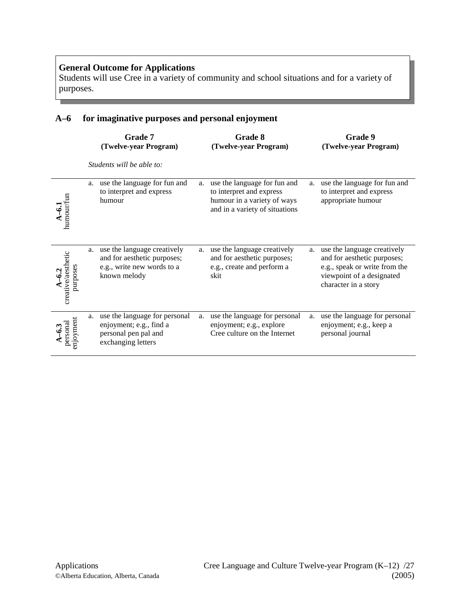Students will use Cree in a variety of community and school situations and for a variety of purposes.

## **A–6 for imaginative purposes and personal enjoyment**

|                                           | Grade 7<br>(Twelve-year Program) |                                                                                                          |    | Grade 8<br>(Twelve-year Program)                                                                                          |    | Grade 9<br>(Twelve-year Program)                                                                                                                 |  |
|-------------------------------------------|----------------------------------|----------------------------------------------------------------------------------------------------------|----|---------------------------------------------------------------------------------------------------------------------------|----|--------------------------------------------------------------------------------------------------------------------------------------------------|--|
|                                           |                                  | Students will be able to:                                                                                |    |                                                                                                                           |    |                                                                                                                                                  |  |
| humour/fun                                | a.                               | use the language for fun and<br>to interpret and express<br>humour                                       | a. | use the language for fun and<br>to interpret and express<br>humour in a variety of ways<br>and in a variety of situations | a. | use the language for fun and<br>to interpret and express<br>appropriate humour                                                                   |  |
| $A-6.2$<br>creative/aesthetic<br>purposes | a.                               | use the language creatively<br>and for aesthetic purposes;<br>e.g., write new words to a<br>known melody | a. | use the language creatively<br>and for aesthetic purposes;<br>e.g., create and perform a<br>skit                          | a. | use the language creatively<br>and for aesthetic purposes;<br>e.g., speak or write from the<br>viewpoint of a designated<br>character in a story |  |
| anjoyment<br>personal                     | a.                               | use the language for personal<br>enjoyment; e.g., find a<br>personal pen pal and<br>exchanging letters   | a. | use the language for personal<br>enjoyment; e.g., explore<br>Cree culture on the Internet                                 | a. | use the language for personal<br>enjoyment; e.g., keep a<br>personal journal                                                                     |  |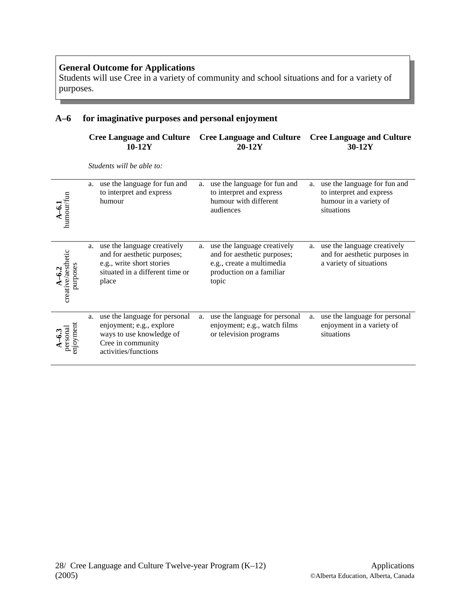Students will use Cree in a variety of community and school situations and for a variety of purposes.

### **A–6 for imaginative purposes and personal enjoyment**

|          | <b>Cree Language and Culture Cree Language and Culture Cree Language and Culture</b> |          |
|----------|--------------------------------------------------------------------------------------|----------|
| $10-12Y$ | $20-12Y$                                                                             | $30-12Y$ |

| $A-6.1$<br>humour/fun          | a. | use the language for fun and<br>to interpret and express<br>humour                                                                  | a. | use the language for fun and<br>to interpret and express<br>humour with different<br>audiences                               | a. | use the language for fun and<br>to interpret and express<br>humour in a variety of<br>situations |
|--------------------------------|----|-------------------------------------------------------------------------------------------------------------------------------------|----|------------------------------------------------------------------------------------------------------------------------------|----|--------------------------------------------------------------------------------------------------|
| creative/aesthetic<br>purposes | a. | use the language creatively<br>and for aesthetic purposes;<br>e.g., write short stories<br>situated in a different time or<br>place | a. | use the language creatively<br>and for aesthetic purposes;<br>e.g., create a multimedia<br>production on a familiar<br>topic | a. | use the language creatively<br>and for aesthetic purposes in<br>a variety of situations          |
| enjoyment<br>personal          | a. | use the language for personal<br>enjoyment; e.g., explore<br>ways to use knowledge of<br>Cree in community<br>activities/functions  | a. | use the language for personal<br>enjoyment; e.g., watch films<br>or television programs                                      | a. | use the language for personal<br>enjoyment in a variety of<br>situations                         |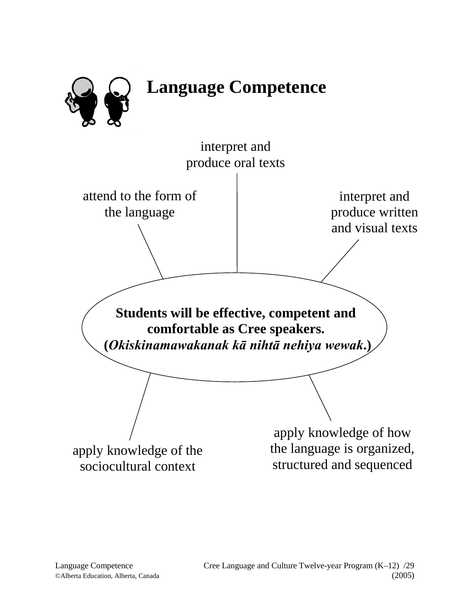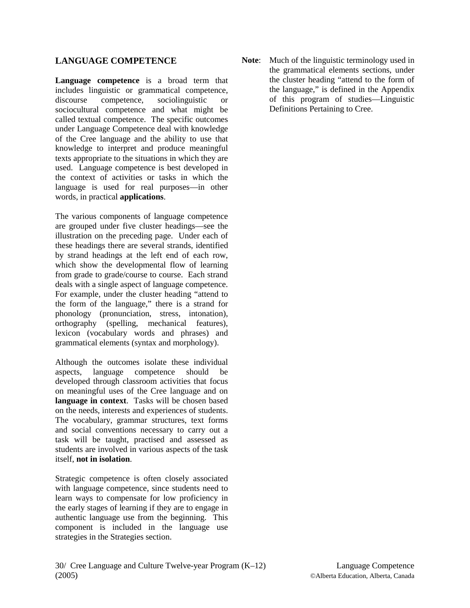#### **LANGUAGE COMPETENCE**

**Language competence** is a broad term that includes linguistic or grammatical competence, discourse competence, sociolinguistic or sociocultural competence and what might be called textual competence. The specific outcomes under Language Competence deal with knowledge of the Cree language and the ability to use that knowledge to interpret and produce meaningful texts appropriate to the situations in which they are used. Language competence is best developed in the context of activities or tasks in which the language is used for real purposes—in other words, in practical **applications**.

The various components of language competence are grouped under five cluster headings—see the illustration on the preceding page. Under each of these headings there are several strands, identified by strand headings at the left end of each row, which show the developmental flow of learning from grade to grade/course to course. Each strand deals with a single aspect of language competence. For example, under the cluster heading "attend to the form of the language," there is a strand for phonology (pronunciation, stress, intonation), orthography (spelling, mechanical features), lexicon (vocabulary words and phrases) and grammatical elements (syntax and morphology).

Although the outcomes isolate these individual aspects, language competence should be developed through classroom activities that focus on meaningful uses of the Cree language and on **language in context**. Tasks will be chosen based on the needs, interests and experiences of students. The vocabulary, grammar structures, text forms and social conventions necessary to carry out a task will be taught, practised and assessed as students are involved in various aspects of the task itself, **not in isolation**.

Strategic competence is often closely associated with language competence, since students need to learn ways to compensate for low proficiency in the early stages of learning if they are to engage in authentic language use from the beginning. This component is included in the language use strategies in the Strategies section.

**Note**: Much of the linguistic terminology used in the grammatical elements sections, under the cluster heading "attend to the form of the language," is defined in the Appendix of this program of studies—Linguistic Definitions Pertaining to Cree.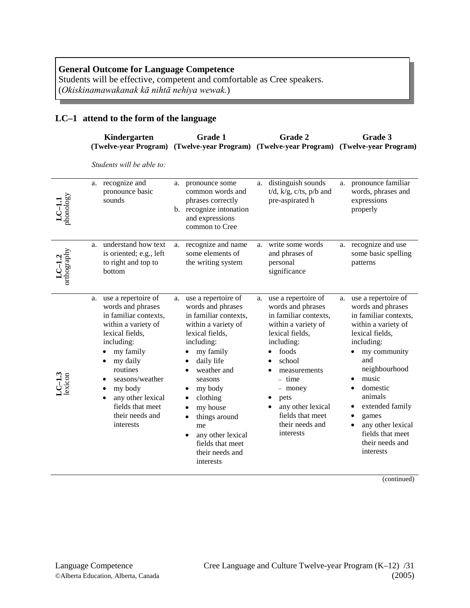Students will be effective, competent and comfortable as Cree speakers. (*Okiskinamawakanak kā nihtā nehiya wewak.*)

## **LC–1 attend to the form of the language**

|                       |                                             | Kindergarten                                                                                                                                                                                                                                                          |    | Grade 1<br>(Twelve-year Program) (Twelve-year Program) (Twelve-year Program) (Twelve-year Program)                                                                                                                                                                                                                |    | Grade 2                                                                                                                                                                                                                                                            |    | Grade 3                                                                                                                                                                                                                                                                                                |
|-----------------------|---------------------------------------------|-----------------------------------------------------------------------------------------------------------------------------------------------------------------------------------------------------------------------------------------------------------------------|----|-------------------------------------------------------------------------------------------------------------------------------------------------------------------------------------------------------------------------------------------------------------------------------------------------------------------|----|--------------------------------------------------------------------------------------------------------------------------------------------------------------------------------------------------------------------------------------------------------------------|----|--------------------------------------------------------------------------------------------------------------------------------------------------------------------------------------------------------------------------------------------------------------------------------------------------------|
|                       |                                             | Students will be able to:                                                                                                                                                                                                                                             |    |                                                                                                                                                                                                                                                                                                                   |    |                                                                                                                                                                                                                                                                    |    |                                                                                                                                                                                                                                                                                                        |
| $LC-1.1$<br>phonology | sounds                                      | a. recognize and<br>pronounce basic                                                                                                                                                                                                                                   | a. | pronounce some<br>common words and<br>phrases correctly<br>b. recognize intonation<br>and expressions<br>common to Cree                                                                                                                                                                                           | a. | distinguish sounds<br>$t/d$ , k/g, c/ts, p/b and<br>pre-aspirated h                                                                                                                                                                                                | a. | pronounce familiar<br>words, phrases and<br>expressions<br>properly                                                                                                                                                                                                                                    |
| orthography           | bottom                                      | a. understand how text<br>is oriented; e.g., left<br>to right and top to                                                                                                                                                                                              | a. | recognize and name<br>some elements of<br>the writing system                                                                                                                                                                                                                                                      | a. | write some words<br>and phrases of<br>personal<br>significance                                                                                                                                                                                                     | a. | recognize and use<br>some basic spelling<br>patterns                                                                                                                                                                                                                                                   |
|                       | a.<br>٠<br>٠<br>٠<br>$\bullet$<br>$\bullet$ | use a repertoire of<br>words and phrases<br>in familiar contexts,<br>within a variety of<br>lexical fields,<br>including:<br>my family<br>my daily<br>routines<br>seasons/weather<br>my body<br>any other lexical<br>fields that meet<br>their needs and<br>interests | a. | use a repertoire of<br>words and phrases<br>in familiar contexts,<br>within a variety of<br>lexical fields,<br>including:<br>my family<br>daily life<br>weather and<br>seasons<br>my body<br>clothing<br>my house<br>things around<br>me<br>any other lexical<br>fields that meet<br>their needs and<br>interests | a. | use a repertoire of<br>words and phrases<br>in familiar contexts,<br>within a variety of<br>lexical fields,<br>including:<br>foods<br>school<br>measurements<br>- time<br>- money<br>pets<br>any other lexical<br>fields that meet<br>their needs and<br>interests | a. | use a repertoire of<br>words and phrases<br>in familiar contexts,<br>within a variety of<br>lexical fields,<br>including:<br>my community<br>and<br>neighbourhood<br>music<br>domestic<br>animals<br>extended family<br>games<br>any other lexical<br>fields that meet<br>their needs and<br>interests |

(continued)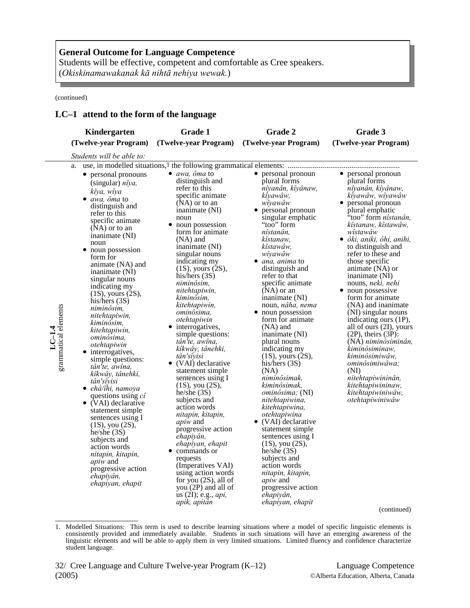Students will be effective, competent and comfortable as Cree speakers. (*Okiskinamawakanak kā nihtā nehiya wewak.*)

(continued)

**LC–1.4** 

 $\overline{a}$ 

#### **LC–1 attend to the form of the language**

| Kindergarten                                                                                                                                                                                                                                                                                                                                                                                                                                                                                                                                                                                                                                                                                                                                                                                                                                                                                                | Grade 1                                                                                                                                                                                                                                                                                                                                                                                                                                                                                                                                                                                                                                                                                                                                                                                                                                                                                                          | Grade 2                                                                                                                                                                                                                                                                                                                                                                                                                                                                                                                                                                                                                                                                                                                                                                                                                                                            | Grade 3                                                                                                                                                                                                                                                                                                                                                                                                                                                                                                                                                                                                                                                                                                                        |
|-------------------------------------------------------------------------------------------------------------------------------------------------------------------------------------------------------------------------------------------------------------------------------------------------------------------------------------------------------------------------------------------------------------------------------------------------------------------------------------------------------------------------------------------------------------------------------------------------------------------------------------------------------------------------------------------------------------------------------------------------------------------------------------------------------------------------------------------------------------------------------------------------------------|------------------------------------------------------------------------------------------------------------------------------------------------------------------------------------------------------------------------------------------------------------------------------------------------------------------------------------------------------------------------------------------------------------------------------------------------------------------------------------------------------------------------------------------------------------------------------------------------------------------------------------------------------------------------------------------------------------------------------------------------------------------------------------------------------------------------------------------------------------------------------------------------------------------|--------------------------------------------------------------------------------------------------------------------------------------------------------------------------------------------------------------------------------------------------------------------------------------------------------------------------------------------------------------------------------------------------------------------------------------------------------------------------------------------------------------------------------------------------------------------------------------------------------------------------------------------------------------------------------------------------------------------------------------------------------------------------------------------------------------------------------------------------------------------|--------------------------------------------------------------------------------------------------------------------------------------------------------------------------------------------------------------------------------------------------------------------------------------------------------------------------------------------------------------------------------------------------------------------------------------------------------------------------------------------------------------------------------------------------------------------------------------------------------------------------------------------------------------------------------------------------------------------------------|
| (Twelve-year Program)                                                                                                                                                                                                                                                                                                                                                                                                                                                                                                                                                                                                                                                                                                                                                                                                                                                                                       | (Twelve-year Program)                                                                                                                                                                                                                                                                                                                                                                                                                                                                                                                                                                                                                                                                                                                                                                                                                                                                                            | (Twelve-year Program)                                                                                                                                                                                                                                                                                                                                                                                                                                                                                                                                                                                                                                                                                                                                                                                                                                              | (Twelve-year Program)                                                                                                                                                                                                                                                                                                                                                                                                                                                                                                                                                                                                                                                                                                          |
| Students will be able to:<br>a.<br>• personal pronouns<br>$(singular)$ nîya,<br>kîva, wîva<br>$\bullet$ awa, ôma to<br>distinguish and<br>refer to this<br>specific animate<br>$(NA)$ or to an<br>inanimate (NI)<br>noun<br>noun possession<br>$\bullet$<br>form for<br>animate (NA) and<br>inanimate (NI)<br>singular nouns<br>indicating my<br>$(1S)$ , yours $(2S)$ ,<br>his/hers $(3S)$<br>grammatical elements<br>niminôsim.<br>nitehtapiwin,<br>kiminôsim.<br>kitehtapiwin,<br>ominôsima.<br>otehtapiwin<br>interrogatives,<br>simple questions:<br>tân'te, awîna,<br>kîkwây, tânehki,<br>tân'sîvisi<br>$\bullet$ ehâ/îhi, namoya<br>questions using <i>cî</i><br>(VAI) declarative<br>statement simple<br>sentences using I<br>$(1S)$ , you $(2S)$ ,<br>he/she $(3S)$<br>subjects and<br>action words<br>nitapin, kitapin,<br><i>apiw</i> and<br>progressive action<br>ehapiyân,<br>ehapiyan, ehapit | $\bullet$ awa, ôma to<br>distinguish and<br>refer to this<br>specific animate<br>$(NA)$ or to an<br>inanimate (NI)<br>noun<br>noun possession<br>form for animate<br>$(NA)$ and<br>inanimate (NI)<br>singular nouns<br>indicating my<br>$(1S)$ , yours $(2S)$ ,<br>his/hers $(3S)$<br>niminôsim.<br>nitehtapiwin,<br>kiminôsim.<br>kitehtapiwin,<br>ominôsima,<br>otehtapiwin<br>interrogatives.<br>simple questions:<br>tân'te, awîna,<br>kîkwây, tânehki,<br>tân'sîvisi<br>$\bullet$ (VAI) declarative<br>statement simple<br>sentences using I<br>$(1S)$ , you $(2S)$ ,<br>he/she $(3S)$<br>subjects and<br>action words<br>nitapin, kitapin,<br><i>apiw</i> and<br>progressive action<br>ehapiyân,<br>ehapiyan, ehapit<br>$\bullet$ commands or<br>requests<br>(Imperatives VAI)<br>using action words<br>for you $(2S)$ , all of<br>you $(2P)$ and all of<br>us $(2I)$ ; e.g., <i>api</i> ,<br>apik, apitân | • personal pronoun<br>plural forms<br>nîyanân, kîyânaw,<br>kîvawâw.<br>wîvawâw<br>• personal pronoun<br>singular emphatic<br>"too" form<br>nîstanân.<br>kîstanaw,<br>kîstawâw.<br>wîvawâw<br>$\bullet$ ana, anima to<br>distinguish and<br>refer to that<br>specific animate<br>$(NA)$ or an<br>inanimate (NI)<br>noun, nâha, nema<br>• noun possession<br>form for animate<br>$(NA)$ and<br>inanimate (NI)<br>plural nouns<br>indicating my<br>$(1S)$ , yours $(2S)$ ,<br>his/hers $(3S)$<br>(NA)<br>niminôsimak.<br>kiminôsimak.<br><i>ominôsima</i> ; (NI)<br>nitehtapiwina,<br>kitehtapiwina,<br>otehtapiwina<br>$\bullet$ (VAI) declarative<br>statement simple<br>sentences using I<br>$(1S)$ , you $(2S)$ ,<br>he/she $(3S)$<br>subjects and<br>action words<br>nitapin, kitapin,<br><i>apiw</i> and<br>progressive action<br>ehapiyân,<br>ehapiyan, ehapit | • personal pronoun<br>plural forms<br>nîyanân, kîyânaw,<br>kîyawâw, wîyawâw<br>• personal pronoun<br>plural emphatic<br>"too" form <i>nîstanân</i> .<br>kîstanaw, kîstawâw,<br>wîstawâw<br>• ôki, aniki, ôhi, anihi,<br>to distinguish and<br>refer to these and<br>those specific<br>animate $(NA)$ or<br>inanimate (NI)<br>nouns, <i>neki</i> , <i>nehi</i><br>noun possessive<br>form for animate<br>(NA) and inanimate<br>(NI) singular nouns<br>indicating ours (1P),<br>all of ours (2I), yours<br>$(2P)$ , theirs $(3P)$ :<br>(NA) niminôsiminân,<br>kiminôsiminaw.<br>kiminôsimiwâw,<br>ominôsimiwâwa;<br>(NI)<br>nitehtapiwininân,<br>kitehtapiwininaw,<br>kitehtapiwiniwâw,<br><i>otehtapiwiniwâw</i><br>(continued) |

<sup>1.</sup> Modelled Situations: This term is used to describe learning situations where a model of specific linguistic elements is consistently provided and immediately available. Students in such situations will have an emerging awareness of the linguistic elements and will be able to apply them in very limited situations. Limited fluency and confidence characterize student language.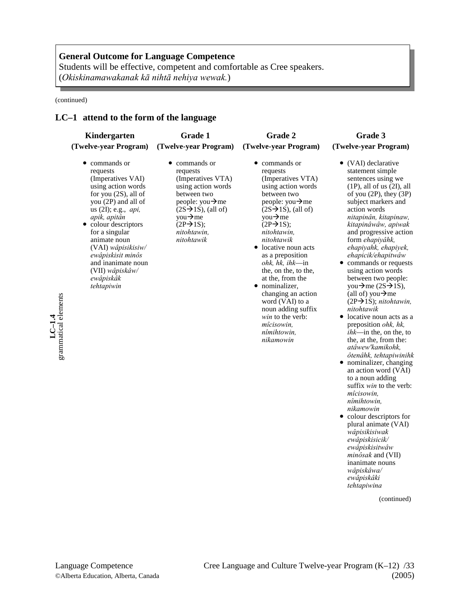Students will be effective, competent and comfortable as Cree speakers. (*Okiskinamawakanak kā nihtā nehiya wewak.*)

(continued)

I

#### **LC–1 attend to the form of the language**

| Kindergarten                                                                                                                                                                                                                                                                                                                                                                             | Grade 1                                                                                                                                                                                                                           | Grade 2                                                                                                                                                                                                                                                                                                                                                                                                                                                                                                       | Grade 3                                                                                                                                                                                                                                                                                                                                                                                                                                                                                                                                                                                                                                                                                                       |
|------------------------------------------------------------------------------------------------------------------------------------------------------------------------------------------------------------------------------------------------------------------------------------------------------------------------------------------------------------------------------------------|-----------------------------------------------------------------------------------------------------------------------------------------------------------------------------------------------------------------------------------|---------------------------------------------------------------------------------------------------------------------------------------------------------------------------------------------------------------------------------------------------------------------------------------------------------------------------------------------------------------------------------------------------------------------------------------------------------------------------------------------------------------|---------------------------------------------------------------------------------------------------------------------------------------------------------------------------------------------------------------------------------------------------------------------------------------------------------------------------------------------------------------------------------------------------------------------------------------------------------------------------------------------------------------------------------------------------------------------------------------------------------------------------------------------------------------------------------------------------------------|
| (Twelve-year Program)                                                                                                                                                                                                                                                                                                                                                                    | (Twelve-year Program)                                                                                                                                                                                                             | (Twelve-year Program)                                                                                                                                                                                                                                                                                                                                                                                                                                                                                         | (Twelve-year Program)                                                                                                                                                                                                                                                                                                                                                                                                                                                                                                                                                                                                                                                                                         |
| $\bullet$ commands or<br>requests<br>(Imperatives VAI)<br>using action words<br>for you $(2S)$ , all of<br>you (2P) and all of<br>us $(2I)$ ; e.g., <i>api</i> ,<br>apik, apitân<br>• colour descriptors<br>for a singular<br>animate noun<br>(VAI) wâpisikisiw/<br>ewâpiskisit minôs<br>and inanimate noun<br>(VII) wâpiskâw/<br>ewâpiskâk<br>tehtapiwin<br>grammatical elements<br>LCA | commands or<br>requests<br>(Imperatives VTA)<br>using action words<br>between two<br>people: you $\rightarrow$ me<br>$(2S\rightarrow1S)$ , (all of)<br>you $\rightarrow$ me<br>$(2P\rightarrow 1S);$<br>nitohtawin,<br>nitohtawik | commands or<br>requests<br>(Imperatives VTA)<br>using action words<br>between two<br>people: you $\rightarrow$ me<br>$(2S\rightarrow 1S)$ , (all of)<br>$\gamma$ ou $\rightarrow$ me<br>$(2P\rightarrow 1S);$<br>nitohtawin,<br>nitohtawik<br>• locative noun acts<br>as a preposition<br>$ohk$ , $hk$ , $ihk$ —in<br>the, on the, to the,<br>at the, from the<br>• nominalizer.<br>changing an action<br>word (VAI) to a<br>noun adding suffix<br>win to the verb:<br>mîcisowin.<br>nîmihtowin,<br>nikamowin | (VAI) declarative<br>statement simple<br>sentences using we<br>$(1P)$ , all of us $(2I)$ , all<br>of you $(2P)$ , they $(3P)$<br>subject markers and<br>action words<br>nitapinân, kitapinaw,<br>kitapinâwâw, apiwak<br>and progressive action<br>form ehapiyâhk,<br>ehapiyahk, ehapiyek,<br>ehapicik/ehapitwâw<br>• commands or requests<br>using action words<br>between two people:<br>you $\rightarrow$ me (2S $\rightarrow$ 1S),<br>(all of) you $\rightarrow$ me<br>$(2P\rightarrow 1S)$ ; nitohtawin,<br>nitohtawik<br>locative noun acts as a<br>preposition ohk, hk,<br>$ihk$ —in the, on the, to<br>the, at the, from the:<br>atâwew'kamikohk,<br>ôtenâhk, tehtapiwinihk<br>• nominalizer, changing |

- an action word (VAI) to a noun adding suffix *win* to the verb: *mîcisowin, nîmihtowin, nikamowin*
- colour descriptors for plural animate (VAI) *wâpisikisiwak ewâpiskisicik/ ewâpiskisitwâw minôsak* and (VII) inanimate nouns *wâpiskâwa/ ewâpiskâki tehtapiwina*

(continued)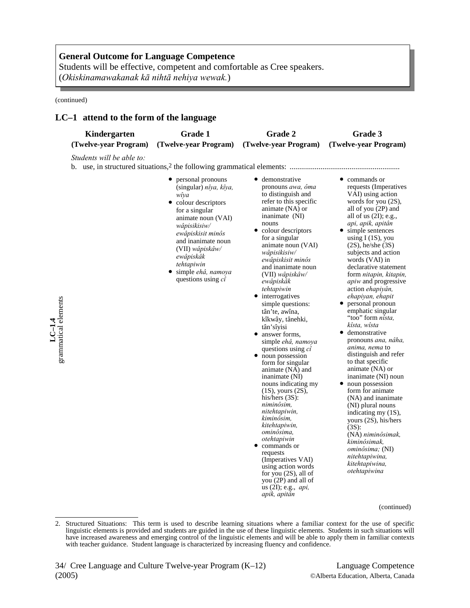Students will be effective, competent and comfortable as Cree speakers. (*Okiskinamawakanak kā nihtā nehiya wewak.*)

(continued)

**LC–1.4**  grammatical elements

grammatical elements

#### **LC–1 attend to the form of the language**

| Kindergarten<br>(Twelve-year Program) | Grade 1<br>(Twelve-year Program)                                                                                                                                                                                                                                                   | Grade 2<br>(Twelve-year Program)                                                                                                                                                                                                                                                                                                                                                                                                                                                                                                                                                                                                                                                                                                                                                                                                                                                                                 | Grade 3<br>(Twelve-year Program)                                                                                                                                                                                                                                                                                                                                                                                                                                                                                                                                                                                                                                                                                                                                                                                                                                                        |
|---------------------------------------|------------------------------------------------------------------------------------------------------------------------------------------------------------------------------------------------------------------------------------------------------------------------------------|------------------------------------------------------------------------------------------------------------------------------------------------------------------------------------------------------------------------------------------------------------------------------------------------------------------------------------------------------------------------------------------------------------------------------------------------------------------------------------------------------------------------------------------------------------------------------------------------------------------------------------------------------------------------------------------------------------------------------------------------------------------------------------------------------------------------------------------------------------------------------------------------------------------|-----------------------------------------------------------------------------------------------------------------------------------------------------------------------------------------------------------------------------------------------------------------------------------------------------------------------------------------------------------------------------------------------------------------------------------------------------------------------------------------------------------------------------------------------------------------------------------------------------------------------------------------------------------------------------------------------------------------------------------------------------------------------------------------------------------------------------------------------------------------------------------------|
| Students will be able to:             |                                                                                                                                                                                                                                                                                    |                                                                                                                                                                                                                                                                                                                                                                                                                                                                                                                                                                                                                                                                                                                                                                                                                                                                                                                  |                                                                                                                                                                                                                                                                                                                                                                                                                                                                                                                                                                                                                                                                                                                                                                                                                                                                                         |
|                                       | personal pronouns<br>(singular) nîya, kîya,<br>wîva<br>• colour descriptors<br>for a singular<br>animate noun (VAI)<br>wâpisikisiw/<br>ewâpiskisit minôs<br>and inanimate noun<br>(VII) wâpiskâw/<br>ewâpiskâk<br>tehtapiwin<br>$\bullet$ simple ehâ, namoya<br>questions using cî | • demonstrative<br>pronouns awa, ôma<br>to distinguish and<br>refer to this specific<br>animate (NA) or<br>inanimate (NI)<br>nouns<br>colour descriptors<br>٠<br>for a singular<br>animate noun (VAI)<br>wâpisikisiw/<br>ewâpiskisit minôs<br>and inanimate noun<br>(VII) wâpiskâw/<br>ewâpiskâk<br>tehtapiwin<br>• interrogatives<br>simple questions:<br>tân'te, awîna,<br>kîkwây, tânehki,<br>tân'sîyisi<br>• answer forms,<br>simple ehâ, namoya<br>questions using $c\hat{i}$<br>• noun possession<br>form for singular<br>animate (NA) and<br>inanimate (NI)<br>nouns indicating my<br>$(1S)$ , yours $(2S)$ ,<br>his/hers $(3S)$ :<br>niminôsim,<br>nitehtapiwin,<br>kiminôsim,<br>kitehtapiwin,<br>ominôsima,<br>otehtapiwin<br>• commands or<br>requests<br>(Imperatives VAI)<br>using action words<br>for you $(2S)$ , all of<br>you (2P) and all of<br>us $(2I)$ ; e.g., <i>api</i> ,<br>apik, apitân | • commands or<br>requests (Imperatives<br>VAI) using action<br>words for you (2S),<br>all of you (2P) and<br>all of us $(2I)$ ; e.g.,<br>api, apik, apitân<br>simple sentences<br>using $I(1S)$ , you<br>$(2S)$ , he/she $(3S)$<br>subjects and action<br>words (VAI) in<br>declarative statement<br>form nitapin, kitapin,<br>apiw and progressive<br>action ehapiyân,<br>ehapiyan, ehapit<br>personal pronoun<br>emphatic singular<br>"too" form nista,<br>kîsta, wîsta<br>• demonstrative<br>pronouns ana, nâha,<br>anima, nema to<br>distinguish and refer<br>to that specific<br>animate (NA) or<br>inanimate (NI) noun<br>• noun possession<br>form for animate<br>(NA) and inanimate<br>(NI) plural nouns<br>indicating my (1S),<br>yours (2S), his/hers<br>$(3S)$ :<br>(NA) niminôsimak,<br>kiminôsimak,<br>ominôsima; (NI)<br>nitehtapiwina,<br>kitehtapiwina,<br>otehtapiwina |
|                                       |                                                                                                                                                                                                                                                                                    |                                                                                                                                                                                                                                                                                                                                                                                                                                                                                                                                                                                                                                                                                                                                                                                                                                                                                                                  | (continued)                                                                                                                                                                                                                                                                                                                                                                                                                                                                                                                                                                                                                                                                                                                                                                                                                                                                             |

<sup>2.</sup> Structured Situations: This term is used to describe learning situations where a familiar context for the use of specific linguistic elements is provided and students are guided in the use of these linguistic elements. Students in such situations will have increased awareness and emerging control of the linguistic elements and will be able to apply them in familiar contexts with teacher guidance. Student language is characterized by increasing fluency and confidence.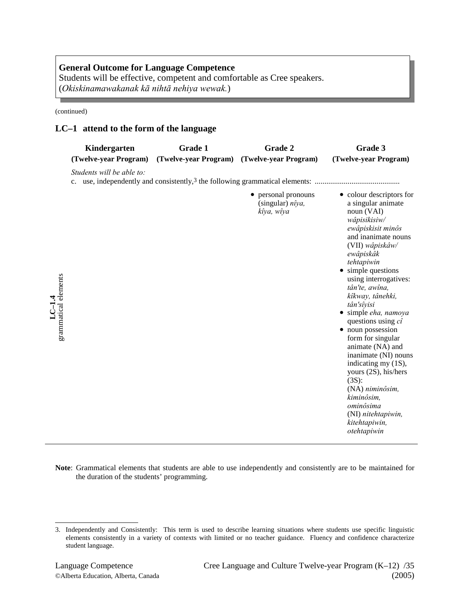Students will be effective, competent and comfortable as Cree speakers. (*Okiskinamawakanak kā nihtā nehiya wewak.*)

(continued)

**LC–1.4** 

#### **LC–1 attend to the form of the language**

|                      | Kindergarten              | Grade 1                                     | Grade 2                                                        | Grade 3                                                                                                                                                                                                                                                                                                                                                                                                                                                                                                                                                                              |
|----------------------|---------------------------|---------------------------------------------|----------------------------------------------------------------|--------------------------------------------------------------------------------------------------------------------------------------------------------------------------------------------------------------------------------------------------------------------------------------------------------------------------------------------------------------------------------------------------------------------------------------------------------------------------------------------------------------------------------------------------------------------------------------|
|                      | (Twelve-year Program)     | (Twelve-year Program) (Twelve-year Program) |                                                                | (Twelve-year Program)                                                                                                                                                                                                                                                                                                                                                                                                                                                                                                                                                                |
|                      | Students will be able to: |                                             |                                                                |                                                                                                                                                                                                                                                                                                                                                                                                                                                                                                                                                                                      |
| grammatical elements |                           |                                             | • personal pronouns<br>(singular) $n\hat{i}ya$ ,<br>kîya, wîya | • colour descriptors for<br>a singular animate<br>noun (VAI)<br>wâpisikisiw/<br>ewâpiskisit minôs<br>and inanimate nouns<br>(VII) wâpiskâw/<br>ewâpiskâk<br>tehtapiwin<br>• simple questions<br>using interrogatives:<br>tân'te, awîna,<br>kîkway, tânehki,<br>tân'sîyisi<br>· simple eha, namoya<br>questions using $c\hat{i}$<br>• noun possession<br>form for singular<br>animate (NA) and<br>inanimate (NI) nouns<br>indicating my (1S),<br>yours (2S), his/hers<br>$(3S)$ :<br>(NA) niminôsim,<br>kiminôsim,<br>ominôsima<br>(NI) nitehtapiwin,<br>kitehtapiwin,<br>otehtapiwin |

**Note**: Grammatical elements that students are able to use independently and consistently are to be maintained for the duration of the students' programming.

<sup>3.</sup> Independently and Consistently: This term is used to describe learning situations where students use specific linguistic elements consistently in a variety of contexts with limited or no teacher guidance. Fluency and confidence characterize student language.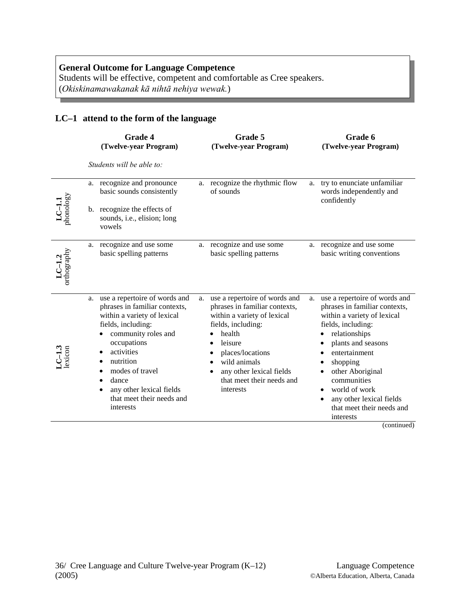Students will be effective, competent and comfortable as Cree speakers. (*Okiskinamawakanak kā nihtā nehiya wewak.*)

#### **LC–1 attend to the form of the language**

|                              | <b>Grade 4</b><br>(Twelve-year Program)                                                                                                                                                                                                                                                      | Grade 5<br>(Twelve-year Program)                                                                                                                                                                                                                         | Grade 6<br>(Twelve-year Program)                                                                                                                                                                                                                                                                                                                    |
|------------------------------|----------------------------------------------------------------------------------------------------------------------------------------------------------------------------------------------------------------------------------------------------------------------------------------------|----------------------------------------------------------------------------------------------------------------------------------------------------------------------------------------------------------------------------------------------------------|-----------------------------------------------------------------------------------------------------------------------------------------------------------------------------------------------------------------------------------------------------------------------------------------------------------------------------------------------------|
|                              | Students will be able to:                                                                                                                                                                                                                                                                    |                                                                                                                                                                                                                                                          |                                                                                                                                                                                                                                                                                                                                                     |
| $LC-1.1$<br>phonology        | a. recognize and pronounce<br>basic sounds consistently<br>b. recognize the effects of<br>sounds, i.e., elision; long<br>vowels                                                                                                                                                              | a. recognize the rhythmic flow<br>of sounds                                                                                                                                                                                                              | a. try to enunciate unfamiliar<br>words independently and<br>confidently                                                                                                                                                                                                                                                                            |
| orthography                  | a. recognize and use some<br>basic spelling patterns                                                                                                                                                                                                                                         | a. recognize and use some<br>basic spelling patterns                                                                                                                                                                                                     | a. recognize and use some<br>basic writing conventions                                                                                                                                                                                                                                                                                              |
| $_{\rm lexicon}^{\rm C-1.3}$ | use a repertoire of words and<br>a.<br>phrases in familiar contexts,<br>within a variety of lexical<br>fields, including:<br>community roles and<br>occupations<br>activities<br>nutrition<br>modes of travel<br>dance<br>any other lexical fields<br>that meet their needs and<br>interests | use a repertoire of words and<br>a.<br>phrases in familiar contexts,<br>within a variety of lexical<br>fields, including:<br>health<br>leisure<br>places/locations<br>wild animals<br>any other lexical fields<br>that meet their needs and<br>interests | use a repertoire of words and<br>a.<br>phrases in familiar contexts,<br>within a variety of lexical<br>fields, including:<br>relationships<br>plants and seasons<br>entertainment<br>shopping<br>other Aboriginal<br>communities<br>world of work<br>any other lexical fields<br>$\bullet$<br>that meet their needs and<br>interests<br>(continued) |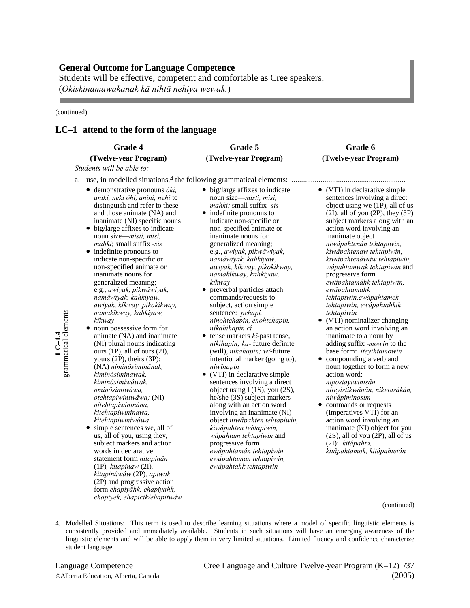Students will be effective, competent and comfortable as Cree speakers. (*Okiskinamawakanak kā nihtā nehiya wewak.*)

(continued)

#### **LC–1 attend to the form of the language**

|                      | Grade 4                                                                                                                                                                                                                                                                                                                                                                                                                                                                                                                                                                                                                                                                                                                                                                                                                                                                                                                                                                                                                                                                                                                                                                                                                             | Grade 5                                                                                                                                                                                                                                                                                                                                                                                                                                                                                                                                                                                                                                                                                                                                                                                                                                                                                                                                                                                                                                                                                              | Grade 6                                                                                                                                                                                                                                                                                                                                                                                                                                                                                                                                                                                                                                                                                                                                                                                                                                                                                                                                                                                                                            |
|----------------------|-------------------------------------------------------------------------------------------------------------------------------------------------------------------------------------------------------------------------------------------------------------------------------------------------------------------------------------------------------------------------------------------------------------------------------------------------------------------------------------------------------------------------------------------------------------------------------------------------------------------------------------------------------------------------------------------------------------------------------------------------------------------------------------------------------------------------------------------------------------------------------------------------------------------------------------------------------------------------------------------------------------------------------------------------------------------------------------------------------------------------------------------------------------------------------------------------------------------------------------|------------------------------------------------------------------------------------------------------------------------------------------------------------------------------------------------------------------------------------------------------------------------------------------------------------------------------------------------------------------------------------------------------------------------------------------------------------------------------------------------------------------------------------------------------------------------------------------------------------------------------------------------------------------------------------------------------------------------------------------------------------------------------------------------------------------------------------------------------------------------------------------------------------------------------------------------------------------------------------------------------------------------------------------------------------------------------------------------------|------------------------------------------------------------------------------------------------------------------------------------------------------------------------------------------------------------------------------------------------------------------------------------------------------------------------------------------------------------------------------------------------------------------------------------------------------------------------------------------------------------------------------------------------------------------------------------------------------------------------------------------------------------------------------------------------------------------------------------------------------------------------------------------------------------------------------------------------------------------------------------------------------------------------------------------------------------------------------------------------------------------------------------|
|                      | (Twelve-year Program)                                                                                                                                                                                                                                                                                                                                                                                                                                                                                                                                                                                                                                                                                                                                                                                                                                                                                                                                                                                                                                                                                                                                                                                                               | (Twelve-year Program)                                                                                                                                                                                                                                                                                                                                                                                                                                                                                                                                                                                                                                                                                                                                                                                                                                                                                                                                                                                                                                                                                | (Twelve-year Program)                                                                                                                                                                                                                                                                                                                                                                                                                                                                                                                                                                                                                                                                                                                                                                                                                                                                                                                                                                                                              |
|                      | Students will be able to:                                                                                                                                                                                                                                                                                                                                                                                                                                                                                                                                                                                                                                                                                                                                                                                                                                                                                                                                                                                                                                                                                                                                                                                                           |                                                                                                                                                                                                                                                                                                                                                                                                                                                                                                                                                                                                                                                                                                                                                                                                                                                                                                                                                                                                                                                                                                      |                                                                                                                                                                                                                                                                                                                                                                                                                                                                                                                                                                                                                                                                                                                                                                                                                                                                                                                                                                                                                                    |
|                      | a.                                                                                                                                                                                                                                                                                                                                                                                                                                                                                                                                                                                                                                                                                                                                                                                                                                                                                                                                                                                                                                                                                                                                                                                                                                  |                                                                                                                                                                                                                                                                                                                                                                                                                                                                                                                                                                                                                                                                                                                                                                                                                                                                                                                                                                                                                                                                                                      |                                                                                                                                                                                                                                                                                                                                                                                                                                                                                                                                                                                                                                                                                                                                                                                                                                                                                                                                                                                                                                    |
| grammatical elements | $\bullet$ demonstrative pronouns $\delta k i$ ,<br>aniki, neki ôhi, anihi, nehi to<br>distinguish and refer to these<br>and those animate (NA) and<br>inanimate (NI) specific nouns<br>• big/large affixes to indicate<br>noun size— <i>misti</i> , <i>misi</i> ,<br><i>mahki</i> ; small suffix -sis<br>• indefinite pronouns to<br>indicate non-specific or<br>non-specified animate or<br>inanimate nouns for<br>generalized meaning;<br>e.g., awiyak, pikwâwiyak,<br>namâwîyak, kahkiyaw,<br>awiyak, kîkway, pikokîkway,<br>namakîkway, kahkiyaw,<br>kîkway<br>• noun possessive form for<br>animate (NA) and inanimate<br>(NI) plural nouns indicating<br>ours $(1P)$ , all of ours $(2I)$ ,<br>yours $(2P)$ , theirs $(3P)$ :<br>(NA) niminôsiminânak,<br>kiminôsiminawak.<br>kiminôsimiwâwak.<br>ominôsimiwâwa,<br><i>otehtapiwiniwâwa</i> ; (NI)<br>nitehtapiwininâna,<br>kitehtapiwininawa,<br>kitehtapiwiniwâwa<br>• simple sentences we, all of<br>us, all of you, using they,<br>subject markers and action<br>words in declarative<br>statement form nitapinân<br>$(1P)$ , kitapinaw $(2I)$ ,<br>kitapinâwâw (2P), apiwak<br>(2P) and progressive action<br>form ehapiyâhk, ehapiyahk,<br>ehapiyek, ehapicik/ehapitwâw | • big/large affixes to indicate<br>noun size— <i>misti</i> , <i>misi</i> ,<br><i>mahki</i> : small suffix -sis<br>• indefinite pronouns to<br>indicate non-specific or<br>non-specified animate or<br>inanimate nouns for<br>generalized meaning;<br>e.g., awiyak, pikwâwiyak,<br>namâwîyak, kahkiyaw,<br>awiyak, kîkway, pikokîkway,<br>namakîkway, kahkiyaw,<br>kîkway<br>• preverbal particles attach<br>commands/requests to<br>subject, action simple<br>sentence: pehapi,<br>ninohtehapin, enohtehapin,<br>nikahihapin cî<br>$\bullet$ tense markers $k\hat{\imath}$ -past tense,<br>nikîhapin; ka- future definite<br>(will), nikahapin; wî-future<br>intentional marker (going to),<br>niwîhapin<br>• (VTI) in declarative simple<br>sentences involving a direct<br>object using $I(1S)$ , you $(2S)$ ,<br>he/she (3S) subject markers<br>along with an action word<br>involving an inanimate (NI)<br>object niwâpahten tehtapiwin,<br>kiwâpahten tehtapiwin,<br>wâpahtam tehtapiwin and<br>progressive form<br>ewâpahtamân tehtapiwin,<br>ewâpahtaman tehtapiwin,<br>ewâpahtahk tehtapiwin | • (VTI) in declarative simple<br>sentences involving a direct<br>object using we (1P), all of us<br>$(2I)$ , all of you $(2P)$ , they $(3P)$<br>subject markers along with an<br>action word involving an<br>inanimate object<br>niwâpahtenân tehtapiwin,<br>kiwâpahtenaw tehtapiwin,<br>kiwâpahtenâwâw tehtapiwin,<br>wâpahtamwak tehtapiwin and<br>progressive form<br>ewâpahtamâhk tehtapiwin,<br>ewâpahtamahk<br>tehtapiwin, ewâpahtamek<br>tehtapiwin, ewâpahtahkik<br>tehtapiwin<br>• (VTI) nominalizer changing<br>an action word involving an<br>inanimate to a noun by<br>adding suffix <i>-mowin</i> to the<br>base form: <i>iteyihtamowin</i><br>• compounding a verb and<br>noun together to form a new<br>action word:<br>nipostaviwinisân,<br>niteyistikwânân, niketasâkân,<br>niwâpiminosim<br>• commands or requests<br>(Imperatives VTI) for an<br>action word involving an<br>inanimate (NI) object for you<br>(2S), all of you (2P), all of us<br>(2I): kitâpahta,<br>kitâpahtamok, kitâpahtetân<br>(continued) |
|                      |                                                                                                                                                                                                                                                                                                                                                                                                                                                                                                                                                                                                                                                                                                                                                                                                                                                                                                                                                                                                                                                                                                                                                                                                                                     |                                                                                                                                                                                                                                                                                                                                                                                                                                                                                                                                                                                                                                                                                                                                                                                                                                                                                                                                                                                                                                                                                                      |                                                                                                                                                                                                                                                                                                                                                                                                                                                                                                                                                                                                                                                                                                                                                                                                                                                                                                                                                                                                                                    |
|                      | 4. Modelled Situations: This term is used to describe learning situations where a model of specific linguistic elements is                                                                                                                                                                                                                                                                                                                                                                                                                                                                                                                                                                                                                                                                                                                                                                                                                                                                                                                                                                                                                                                                                                          |                                                                                                                                                                                                                                                                                                                                                                                                                                                                                                                                                                                                                                                                                                                                                                                                                                                                                                                                                                                                                                                                                                      |                                                                                                                                                                                                                                                                                                                                                                                                                                                                                                                                                                                                                                                                                                                                                                                                                                                                                                                                                                                                                                    |

consistently provided and immediately available. Students in such situations will have an emerging awareness of the linguistic elements and will be able to apply them in very limited situations. Limited fluency and confidence characterize student language.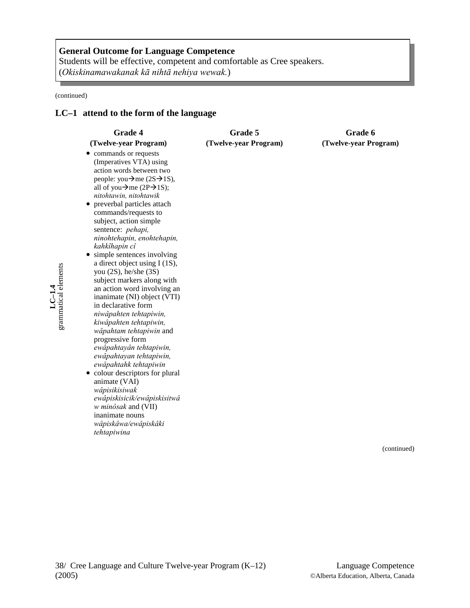Students will be effective, competent and comfortable as Cree speakers. (*Okiskinamawakanak kā nihtā nehiya wewak.*)

#### (continued)

## **LC–1 attend to the form of the language**

| Grade 4                                             | Grade 5               | Grade 6               |
|-----------------------------------------------------|-----------------------|-----------------------|
| (Twelve-year Program)                               | (Twelve-year Program) | (Twelve-year Program) |
| • commands or requests                              |                       |                       |
| (Imperatives VTA) using                             |                       |                       |
| action words between two                            |                       |                       |
| people: you $\rightarrow$ me (2S $\rightarrow$ 1S), |                       |                       |
| all of you $\rightarrow$ me (2P $\rightarrow$ 1S);  |                       |                       |
| nitohtawin, nitohtawik                              |                       |                       |
| preverbal particles attach                          |                       |                       |
| commands/requests to                                |                       |                       |
| subject, action simple                              |                       |                       |
| sentence: pehapi,                                   |                       |                       |
| ninohtehapin, enohtehapin,                          |                       |                       |
| kahkîhapin cî                                       |                       |                       |
| simple sentences involving                          |                       |                       |
| a direct object using I (1S),                       |                       |                       |
| you $(2S)$ , he/she $(3S)$                          |                       |                       |
| subject markers along with                          |                       |                       |
| an action word involving an                         |                       |                       |
| inanimate (NI) object (VTI)                         |                       |                       |
| in declarative form                                 |                       |                       |
| niwâpahten tehtapiwin,                              |                       |                       |
| kiwâpahten tehtapiwin,                              |                       |                       |
| wâpahtam tehtapiwin and                             |                       |                       |
| progressive form                                    |                       |                       |
| ewâpahtayân tehtapiwin,                             |                       |                       |
| ewâpahtayan tehtapiwin,                             |                       |                       |
| ewâpahtahk tehtapiwin                               |                       |                       |
| colour descriptors for plural<br>٠                  |                       |                       |
| animate (VAI)                                       |                       |                       |
| wâpisikisiwak                                       |                       |                       |
| ewâpiskisicik/ewâpiskisitwâ                         |                       |                       |
| w minôsak and (VII)                                 |                       |                       |
| inanimate nouns                                     |                       |                       |
| wâpiskâwa/ewâpiskâki                                |                       |                       |
| tehtapiwina                                         |                       |                       |
|                                                     |                       | (continued)           |

**LC–1.4**  grammatical elements

> 38/ Cree Language and Culture Twelve-year Program (K-12) Language Competence (2005) ©Alberta Education, Alberta, Canada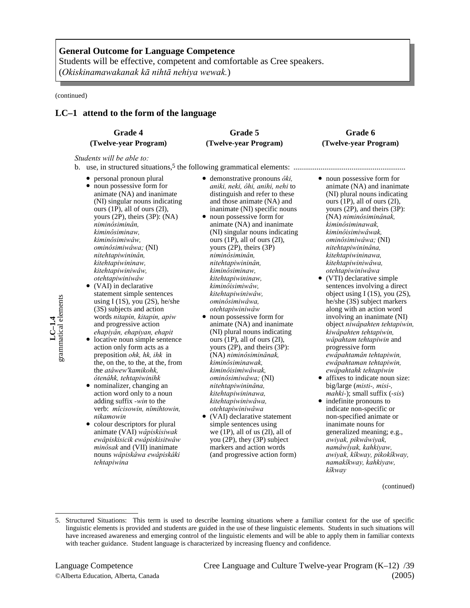#### (continued)

#### **LC–1 attend to the form of the language**

| <b>Grade 4</b>           | <b>Grade 5</b>        | Grade 6               |
|--------------------------|-----------------------|-----------------------|
| (Twelve-year Program)    | (Twelve-year Program) | (Twelve-year Program) |
| $1 \quad 1111 \quad 111$ |                       |                       |

*Students will be able to:* 

b. use, in structured situations,5 the following grammatical elements: ..........................................................

- personal pronoun plural • noun possessive form for animate (NA) and inanimate
- (NI) singular nouns indicating ours (1P), all of ours (2I), yours (2P), theirs (3P): (NA) *niminôsiminân, kiminôsiminaw, kiminôsimiwâw, ominôsimiwâwa;* (NI) *nitehtapiwininân, kitehtapiwininaw, kitehtapiwiniwâw, otehtapiwiniwâw*
- (VAI) in declarative statement simple sentences using  $I(1S)$ , you  $(2S)$ , he/she (3S) subjects and action words *nitapin, kitapin, apiw*  and progressive action *ehapiyân, ehapiyan, ehapit*
- locative noun simple sentence action only form acts as a preposition *ohk, hk, ihk* in the, on the, to the, at the, from the *atâwew'kamikohk, ôtenâhk, tehtapiwinihk*
- nominalizer, changing an action word only to a noun adding suffix *-win* to the verb: *mîcisowin, nîmihtowin, nikamowin*
- colour descriptors for plural animate (VAI) *wâpiskisiwak ewâpiskisicik ewâpiskisitwâw minôsak* and (VII) inanimate nouns *wâpiskâwa ewâpiskâki tehtapiwina*
- demonstrative pronouns *ôki, aniki, neki, ôhi, anihi, nehi* to distinguish and refer to these and those animate (NA) and inanimate (NI) specific nouns
- noun possessive form for animate (NA) and inanimate (NI) singular nouns indicating ours (1P), all of ours (2I), yours (2P), theirs (3P) *niminôsiminân, nitehtapiwininân, kiminôsiminaw, kitehtapiwininaw, kiminôisimiwâw, kitehtapiwiniwâw, ominôsimiwâwa, otehtapiwiniwâw*
- noun possessive form for animate (NA) and inanimate (NI) plural nouns indicating ours (1P), all of ours (2I), yours (2P), and theirs (3P): (NA) *niminôsiminânak, kiminôsiminawak, kiminôisimiwâwak, ominôsimiwâwa;* (NI) *nitehtapiwininâna, kitehtapiwininawa, kitehtapiwiniwâwa, otehtapiwiniwâwa*
- (VAI) declarative statement simple sentences using we  $(1P)$ , all of us  $(2I)$ , all of you (2P), they (3P) subject markers and action words (and progressive action form)
- noun possessive form for animate (NA) and inanimate (NI) plural nouns indicating ours (1P), all of ours (2I), yours (2P), and theirs (3P): (NA) *niminôsiminânak, kiminôsiminawak, kiminôisimiwâwak, ominôsimiwâwa;* (NI) *nitehtapiwininâna, kitehtapiwininawa, kitehtapiwiniwâwa, otehtapiwiniwâwa*
- (VTI) declarative simple sentences involving a direct object using I (1S), you (2S), he/she (3S) subject markers along with an action word involving an inanimate (NI) object *niwâpahten tehtapiwin, kiwâpahten tehtapiwin, wâpahtam tehtapiwin* and progressive form *ewâpahtamân tehtapiwin, ewâpahtaman tehtapiwin, ewâpahtahk tehtapiwin*
- affixes to indicate noun size: big/large (*misti-, misi-, mahki-*); small suffix (-*sis*)
- indefinite pronouns to indicate non-specific or non-specified animate or inanimate nouns for generalized meaning; e.g., *awiyak, pikwâwiyak, namâwîyak, kahkiyaw, awiyak, kîkway, pikokîkway, namakîkway, kahkiyaw, kîkway*

(continued)

5. Structured Situations: This term is used to describe learning situations where a familiar context for the use of specific linguistic elements is provided and students are guided in the use of these linguistic elements. Students in such situations will have increased awareness and emerging control of the linguistic elements and will be able to apply them in familiar contexts with teacher guidance. Student language is characterized by increasing fluency and confidence.

grammatical elements grammatical elements **LC–1.4**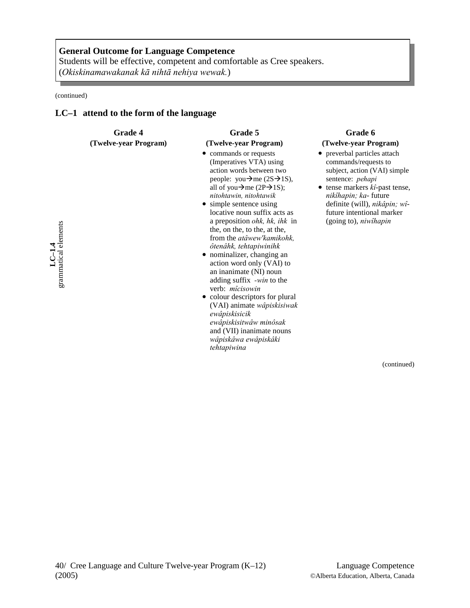## **General Outcome for Language Competence** Students will be effective, competent and comfortable as Cree speakers. (*Okiskinamawakanak kā nihtā nehiya wewak.*)

#### (continued)

#### **LC–1 attend to the form of the language**

**Grade 4 (Twelve-year Program)**

#### **Grade 5 (Twelve-year Program)**

- commands or requests (Imperatives VTA) using action words between two people: you  $\rightarrow$  me (2S $\rightarrow$ 1S), all of you  $\rightarrow$  me (2P $\rightarrow$ 1S); *nitohtawin, nitohtawik*
- simple sentence using locative noun suffix acts as a preposition *ohk, hk, ihk* in the, on the, to the, at the, from the *atâwew'kamikohk, ôtenâhk, tehtapiwinihk*
- nominalizer, changing an action word only (VAI) to an inanimate (NI) noun adding suffix *-win* to the verb: *mîcisowin*
- colour descriptors for plural (VAI) animate *wâpiskisiwak ewâpiskisicik ewâpiskisitwâw minôsak* and (VII) inanimate nouns *wâpiskâwa ewâpiskâki tehtapiwina*

#### **Grade 6 (Twelve-year Program)**

- preverbal particles attach commands/requests to subject, action (VAI) simple sentence: *pehapi*
- tense markers *kî*-past tense, *nikîhapin; ka*- future definite (will), *nikâpin; wî*future intentional marker (going to), *niwîhapin*

(continued)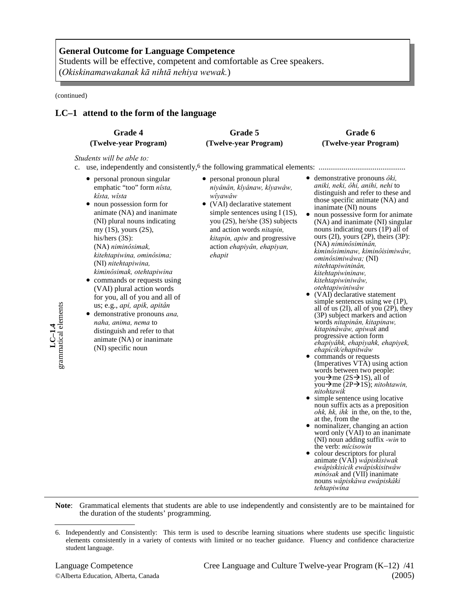#### (continued)

**LC–1.4**  grammatical elements

grammatical elements

#### **LC–1 attend to the form of the language**

| Grade 4                                                                                                                                                                                                                                                                                                                                                                                                                                                                                                                                                                                                 | Grade 5                                                                                                                                                                                                                                                                         | Grade 6                                                                                                                                                                                                                                                                                                                                                                                                                                                                                                                                                                                                                                                                                                                                                                                                                                                                                                                                                                                                                                                                                                                                                                                                                                                                                                                                                                                                                                                                                                                                       |
|---------------------------------------------------------------------------------------------------------------------------------------------------------------------------------------------------------------------------------------------------------------------------------------------------------------------------------------------------------------------------------------------------------------------------------------------------------------------------------------------------------------------------------------------------------------------------------------------------------|---------------------------------------------------------------------------------------------------------------------------------------------------------------------------------------------------------------------------------------------------------------------------------|-----------------------------------------------------------------------------------------------------------------------------------------------------------------------------------------------------------------------------------------------------------------------------------------------------------------------------------------------------------------------------------------------------------------------------------------------------------------------------------------------------------------------------------------------------------------------------------------------------------------------------------------------------------------------------------------------------------------------------------------------------------------------------------------------------------------------------------------------------------------------------------------------------------------------------------------------------------------------------------------------------------------------------------------------------------------------------------------------------------------------------------------------------------------------------------------------------------------------------------------------------------------------------------------------------------------------------------------------------------------------------------------------------------------------------------------------------------------------------------------------------------------------------------------------|
| (Twelve-year Program)                                                                                                                                                                                                                                                                                                                                                                                                                                                                                                                                                                                   | (Twelve-year Program)                                                                                                                                                                                                                                                           | (Twelve-year Program)                                                                                                                                                                                                                                                                                                                                                                                                                                                                                                                                                                                                                                                                                                                                                                                                                                                                                                                                                                                                                                                                                                                                                                                                                                                                                                                                                                                                                                                                                                                         |
| Students will be able to:<br>c.                                                                                                                                                                                                                                                                                                                                                                                                                                                                                                                                                                         |                                                                                                                                                                                                                                                                                 |                                                                                                                                                                                                                                                                                                                                                                                                                                                                                                                                                                                                                                                                                                                                                                                                                                                                                                                                                                                                                                                                                                                                                                                                                                                                                                                                                                                                                                                                                                                                               |
| • personal pronoun singular<br>emphatic "too" form nîsta,<br>kîsta, wîsta<br>• noun possession form for<br>animate (NA) and inanimate<br>(NI) plural nouns indicating<br>my $(1S)$ , yours $(2S)$ ,<br>his/hers $(3S)$ :<br>(NA) niminôsimak,<br>kitehtapiwina, ominôsima;<br>(NI) nitehtapiwina,<br>kiminôsimak, otehtapiwina<br>• commands or requests using<br>(VAI) plural action words<br>for you, all of you and all of<br>us; e.g., api, apik, apitân<br>demonstrative pronouns ana,<br>naha, anima, nema to<br>distinguish and refer to that<br>animate (NA) or inanimate<br>(NI) specific noun | • personal pronoun plural<br>niyânân, kîyânaw, kîyawâw,<br>wîvawâw<br>• (VAI) declarative statement<br>simple sentences using $I(1S)$ ,<br>you (2S), he/she (3S) subjects<br>and action words nitapin,<br>kitapin, apiw and progressive<br>action ehapiyân, ehapiyan,<br>ehapit | $\bullet$ demonstrative pronouns $\delta k$ <i>i</i> ,<br>aniki, neki, ôhi, anihi, nehi to<br>distinguish and refer to these and<br>those specific animate (NA) and<br>inanimate (NI) nouns<br>noun possessive form for animate<br>(NA) and inanimate (NI) singular<br>nouns indicating ours (1P) all of<br>ours $(2I)$ , yours $(2P)$ , theirs $(3P)$ :<br>(NA) niminôsiminân,<br>kiminôsiminaw, kiminôisimiwâw,<br><i>ominôsimiwâwa</i> ; (NI)<br>nitehtapiwininân,<br>kitehtapiwininaw,<br>kitehtapiwiniwâw,<br>otehtapiwiniwâw<br>(VAI) declarative statement<br>simple sentences using we (1P),<br>all of us $(2I)$ , all of you $(2P)$ , they<br>(3P) subject markers and action<br>words nitapinân, kitapinaw,<br><i>kitapinâwâw, apiwak</i> and<br>progressive action form<br>ehapiyâhk, ehapiyahk, ehapiyek,<br>ehapicik/ehapitwâw<br>commands or requests<br>(Imperatives VTA) using action<br>words between two people:<br>you $\rightarrow$ me (2S $\rightarrow$ 1S), all of<br>you $\rightarrow$ me (2P $\rightarrow$ 1S); nitohtawin,<br>nitohtawik<br>simple sentence using locative<br>noun suffix acts as a preposition<br><i>ohk, hk, ihk</i> in the, on the, to the,<br>at the, from the<br>nominalizer, changing an action<br>word only (VAI) to an inanimate<br>(NI) noun adding suffix -win to<br>the verb: <i>mîcisowin</i><br>• colour descriptors for plural<br>animate (VAI) wâpiskisiwak<br>ewâpiskisicik ewâpiskisitwâw<br><i>minôsak</i> and (VII) inanimate<br>nouns <i>wâpiskâwa ewâpiskâki</i><br>tehtapiwina |
|                                                                                                                                                                                                                                                                                                                                                                                                                                                                                                                                                                                                         | $-1.1 - 1.$                                                                                                                                                                                                                                                                     | $\mathbf{1}$ . The set of the set of the set of the set of the set of the set of $\mathbf{c}$ .                                                                                                                                                                                                                                                                                                                                                                                                                                                                                                                                                                                                                                                                                                                                                                                                                                                                                                                                                                                                                                                                                                                                                                                                                                                                                                                                                                                                                                               |

**Note**: Grammatical elements that students are able to use independently and consistently are to be maintained for the duration of the students' programming.

<sup>6.</sup> Independently and Consistently: This term is used to describe learning situations where students use specific linguistic elements consistently in a variety of contexts with limited or no teacher guidance. Fluency and confidence characterize student language.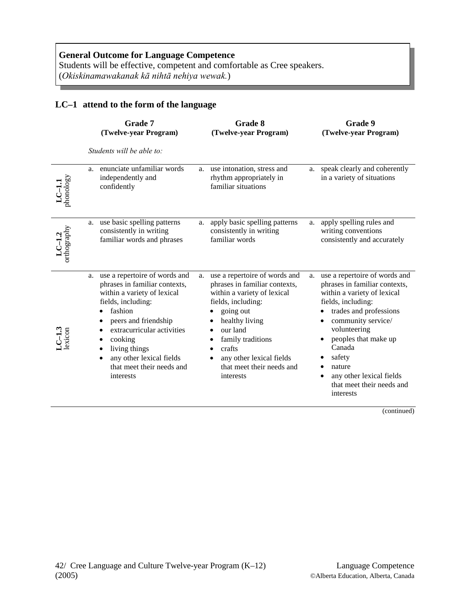## **LC–1 attend to the form of the language**

|                                    | Grade 7<br>(Twelve-year Program)                                                                                                                                                                                                                                                          |              | <b>Grade 8</b><br>(Twelve-year Program)                                                                                                                                                                                                                   |    | Grade 9<br>(Twelve-year Program)                                                                                                                                                                                                                                                                                   |
|------------------------------------|-------------------------------------------------------------------------------------------------------------------------------------------------------------------------------------------------------------------------------------------------------------------------------------------|--------------|-----------------------------------------------------------------------------------------------------------------------------------------------------------------------------------------------------------------------------------------------------------|----|--------------------------------------------------------------------------------------------------------------------------------------------------------------------------------------------------------------------------------------------------------------------------------------------------------------------|
|                                    | Students will be able to:                                                                                                                                                                                                                                                                 |              |                                                                                                                                                                                                                                                           |    |                                                                                                                                                                                                                                                                                                                    |
| phonology                          | a. enunciate unfamiliar words<br>independently and<br>confidently                                                                                                                                                                                                                         |              | a. use intonation, stress and<br>rhythm appropriately in<br>familiar situations                                                                                                                                                                           | a. | speak clearly and coherently<br>in a variety of situations                                                                                                                                                                                                                                                         |
| orthography                        | a. use basic spelling patterns<br>consistently in writing<br>familiar words and phrases                                                                                                                                                                                                   | a.           | apply basic spelling patterns<br>consistently in writing<br>familiar words                                                                                                                                                                                | a. | apply spelling rules and<br>writing conventions<br>consistently and accurately                                                                                                                                                                                                                                     |
| $_{\text{lexicon}}^{\text{C-1.3}}$ | a. use a repertoire of words and<br>phrases in familiar contexts,<br>within a variety of lexical<br>fields, including:<br>fashion<br>peers and friendship<br>extracurricular activities<br>cooking<br>living things<br>any other lexical fields<br>that meet their needs and<br>interests | a.<br>crafts | use a repertoire of words and<br>phrases in familiar contexts,<br>within a variety of lexical<br>fields, including:<br>going out<br>healthy living<br>our land<br>family traditions<br>any other lexical fields<br>that meet their needs and<br>interests |    | a. use a repertoire of words and<br>phrases in familiar contexts,<br>within a variety of lexical<br>fields, including:<br>trades and professions<br>community service/<br>volunteering<br>peoples that make up<br>Canada<br>safety<br>nature<br>any other lexical fields<br>that meet their needs and<br>interests |

(continued)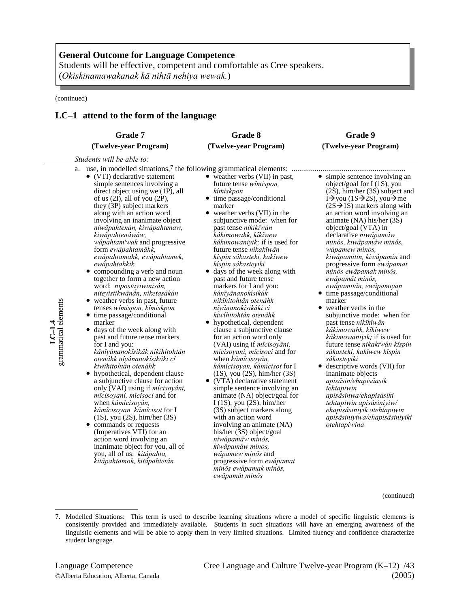(continued)

**LC–1.4**  grammatical elements

grammatical elements

## **LC–1 attend to the form of the language**

| Grade 7<br>(Twelve-year Program)                                                                                                                                                                                                                                                                                                                                                                                                                                                                                                                                                                                                                                                                                                                                                                                                                                                                                                                                                                                                                                                                                                                                                                                                                | Grade 8<br>(Twelve-year Program)                                                                                                                                                                                                                                                                                                                                                                                                                                                                                                                                                                                                                                                                                                                                                                                                                                                                                                                                                                                                                                                                                                                                                 | Grade 9<br>(Twelve-year Program)                                                                                                                                                                                                                                                                                                                                                                                                                                                                                                                                                                                                                                                                                                                                                                                                                                                                                                                                                                                     |
|-------------------------------------------------------------------------------------------------------------------------------------------------------------------------------------------------------------------------------------------------------------------------------------------------------------------------------------------------------------------------------------------------------------------------------------------------------------------------------------------------------------------------------------------------------------------------------------------------------------------------------------------------------------------------------------------------------------------------------------------------------------------------------------------------------------------------------------------------------------------------------------------------------------------------------------------------------------------------------------------------------------------------------------------------------------------------------------------------------------------------------------------------------------------------------------------------------------------------------------------------|----------------------------------------------------------------------------------------------------------------------------------------------------------------------------------------------------------------------------------------------------------------------------------------------------------------------------------------------------------------------------------------------------------------------------------------------------------------------------------------------------------------------------------------------------------------------------------------------------------------------------------------------------------------------------------------------------------------------------------------------------------------------------------------------------------------------------------------------------------------------------------------------------------------------------------------------------------------------------------------------------------------------------------------------------------------------------------------------------------------------------------------------------------------------------------|----------------------------------------------------------------------------------------------------------------------------------------------------------------------------------------------------------------------------------------------------------------------------------------------------------------------------------------------------------------------------------------------------------------------------------------------------------------------------------------------------------------------------------------------------------------------------------------------------------------------------------------------------------------------------------------------------------------------------------------------------------------------------------------------------------------------------------------------------------------------------------------------------------------------------------------------------------------------------------------------------------------------|
| Students will be able to:                                                                                                                                                                                                                                                                                                                                                                                                                                                                                                                                                                                                                                                                                                                                                                                                                                                                                                                                                                                                                                                                                                                                                                                                                       |                                                                                                                                                                                                                                                                                                                                                                                                                                                                                                                                                                                                                                                                                                                                                                                                                                                                                                                                                                                                                                                                                                                                                                                  |                                                                                                                                                                                                                                                                                                                                                                                                                                                                                                                                                                                                                                                                                                                                                                                                                                                                                                                                                                                                                      |
| • (VTI) declarative statement<br>simple sentences involving a<br>direct object using we (1P), all<br>of us $(2I)$ , all of you $(2P)$ ,<br>they (3P) subject markers<br>along with an action word<br>involving an inanimate object<br>niwâpahtenân, kiwâpahtenaw,<br>kiwâpahtenâwâw,<br>wâpahtam'wak and progressive<br>form ewâpahtamâhk,<br>ewâpahtamahk, ewâpahtamek,<br>ewāpahtahkik<br>• compounding a verb and noun<br>together to form a new action<br>word: nipostayiwinisân,<br>niteyistikwânân, niketasâkân<br>• weather verbs in past, future<br>tenses wîmispon, kîmiskpon<br>• time passage/conditional<br>marker<br>• days of the week along with<br>past and future tense markers<br>for I and you:<br>kânîyânanokîsikâk nikîhitohtân<br>otenâhk nîyânanokîsikâki cî<br>kiwîhitohtân otenâhk<br>hypothetical, dependent clause<br>$\bullet$<br>a subjunctive clause for action<br>only (VAI) using if mîcisoyâni,<br>mîcisoyani, mîcisoci and for<br>when kâmîcisoyân,<br>kâmîcisoyan, kâmîcisot for I<br>$(1S)$ , you $(2S)$ , him/her $(3S)$<br>• commands or requests<br>(Imperatives VTI) for an<br>action word involving an<br>inanimate object for you, all of<br>you, all of us: kitâpahta,<br>kitâpahtamok, kitâpahtetân | • weather verbs (VII) in past,<br>future tense <i>wîmispon</i> ,<br>kîmiskpon<br>• time passage/conditional<br>marker<br>• weather verbs (VII) in the<br>subjunctive mode: when for<br>past tense nikîkîwân<br>kâkimowahk, kîkîwew<br><i>kâkimowaniyik</i> ; if is used for<br>future tense nikakîwân<br>kîspin sâkasteki, kakîwew<br>kîspin sâkasteyiki<br>• days of the week along with<br>past and future tense<br>markers for I and you:<br>kânîvânanokîsikâk<br>nikîhitohtân otenâhk<br>nîyânanokîsikâki cî<br>kiwîhitohtân otenâhk<br>• hypothetical, dependent<br>clause a subjunctive clause<br>for an action word only<br>(VAI) using if <i>mîcisoyâni</i> ,<br><i>mîcisoyani, mîcisoci</i> and for<br>when kâmîcisoyân,<br>kâmîcisoyan, kâmîcisot for I<br>$(1S)$ , you $(2S)$ , him/her $(3S)$<br>• (VTA) declarative statement<br>simple sentence involving an<br>animate (NA) object/goal for<br>I $(1S)$ , you $(2S)$ , him/her<br>(3S) subject markers along<br>with an action word<br>involving an animate (NA)<br>his/her $(3S)$ object/goal<br>niwâpamâw minôs,<br>kiwâpamâw minôs,<br>wâpamew minôs and<br>progressive form ewâpamat<br>minôs ewâpamak minôs, | • simple sentence involving an<br>object/goal for I (1S), you<br>(2S), him/her (3S) subject and<br>I $\rightarrow$ you (1S $\rightarrow$ 2S), you $\rightarrow$ me<br>$(2S\rightarrow 1S)$ markers along with<br>an action word involving an<br>animate (NA) his/her (3S)<br>object/goal (VTA) in<br>declarative niwâpamâw<br>minôs, kiwâpamâw minôs,<br>wâpamew minôs,<br>kiwâpamitin, kiwâpamin and<br>progressive form ewâpamat<br>minôs ewâpamak minôs,<br>ewâpamât minôs,<br>ewâpamitân, ewâpamiyan<br>• time passage/conditional<br>marker<br>• weather verbs in the<br>subjunctive mode: when for<br>past tense <i>nikîkîwân</i><br>kâkimowahk. kîkîwew<br><i>kâkimowaniyik;</i> if is used for<br>future tense nikakîwân kîspin<br>sâkasteki, kakîwew kîspin<br>sâkasteyiki<br>• descriptive words (VII) for<br>inanimate objects<br>apisâsin/ehapisâasik<br>tehtapiwin<br>apisāsinwa/ehapisâsiki<br>tehtapiwin apisâsiniyiw/<br>ehapisâsiniyik otehtapiwin<br>apisâsiniyiwa/ehapisâsiniyiki<br>otehtapiwina |

(continued)

*ewâpamât minôs*

<sup>7.</sup> Modelled Situations: This term is used to describe learning situations where a model of specific linguistic elements is consistently provided and immediately available. Students in such situations will have an emerging awareness of the linguistic elements and will be able to apply them in very limited situations. Limited fluency and confidence characterize student language.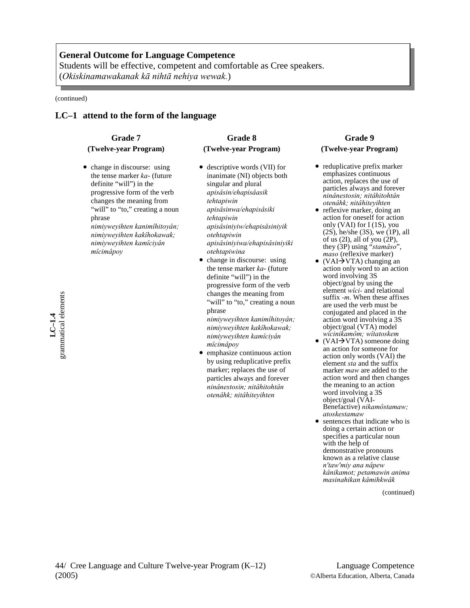Students will be effective, competent and comfortable as Cree speakers. (*Okiskinamawakanak kā nihtā nehiya wewak.*)

(continued)

#### **LC–1 attend to the form of the language**

#### **Grade 7 (Twelve-year Program)**

• change in discourse: using the tense marker *ka*- (future definite "will") in the progressive form of the verb changes the meaning from "will" to "to," creating a noun phrase *nimiyweyihten kanimîhitoyân; nimiyweyihten kakîhokawak; nimiyweyihten kamîciyân mîcimâpoy* 

grammatical elements grammatical elements **LC–1.4** 

#### **Grade 8 (Twelve-year Program)**

- descriptive words (VII) for inanimate (NI) objects both singular and plural *apisâsin/ehapisâasik tehtapiwin apisâsinwa/ehapisâsiki tehtapiwin apisâsiniyiw/ehapisâsiniyik otehtapiwin apisâsiniyiwa/ehapisâsiniyiki otehtapiwina*
- change in discourse: using the tense marker *ka*- (future definite "will") in the progressive form of the verb changes the meaning from "will" to "to," creating a noun phrase

*nimiyweyihten kanimîhitoyân; nimiyweyihten kakîhokawak; nimiyweyihten kamîciyân mîcimâpoy* 

• emphasize continuous action by using reduplicative prefix marker; replaces the use of particles always and forever *ninânestosin; nitâhitohtân otenâhk; nitâhiteyihten* 

## **Grade 9**

#### **(Twelve-year Program)**

- reduplicative prefix marker emphasizes continuous action, replaces the use of particles always and forever *ninânestosin; nitâhitohtân*
- reflexive marker, doing an action for oneself for action only (VAI) for I (1S), you  $(2S)$ , he/she  $(3S)$ , we  $(1P)$ , all of us (2I), all of you (2P), they (3P) using "*stamâso*", *maso* (reflexive marker)
- (VAI $\rightarrow$ VTA) changing an action only word to an action word involving 3S object/goal by using the element *wîci-* and relational suffix *-m*. When these affixes are used the verb must be conjugated and placed in the action word involving a 3S object/goal (VTA) model<br>wîcinikamôm; wîtatoskem
- (VAI→VTA) someone doing an action for someone for action only words (VAI) the element *sta* and the suffix marker *maw* are added to the action word and then changes the meaning to an action word involving a 3S object/goal (VAI-Benefactive) *nikamôstamaw;*
- sentences that indicate who is doing a certain action or specifies a particular noun with the help of demonstrative pronouns known as a relative clause *n'taw'miy ana nâpew kânikamot; petamawin anima masinahikan kâmihkwâk*

(continued)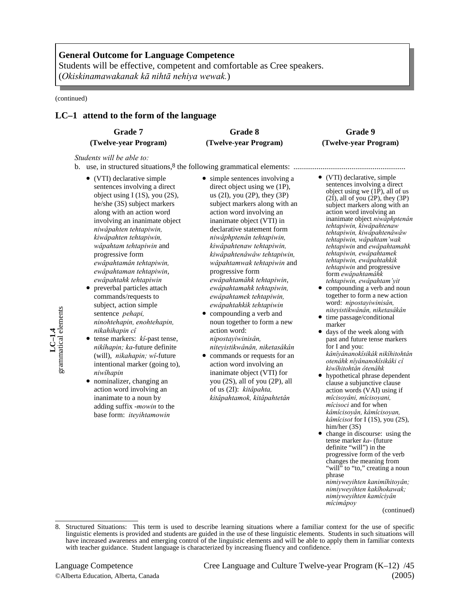(continued)

#### **LC–1 attend to the form of the language**

| <b>Grade</b> 7        | <b>Grade 8</b>        | Grade 9               |
|-----------------------|-----------------------|-----------------------|
| (Twelve-year Program) | (Twelve-year Program) | (Twelve-year Program) |

#### *Students will be able to:*

b. use, in structured situations,8 the following grammatical elements: ..........................................................

- (VTI) declarative simple sentences involving a direct object using I (1S), you (2S), he/she (3S) subject markers along with an action word involving an inanimate object *niwâpahten tehtapiwin, kiwâpahten tehtapiwin, wâpahtam tehtapiwin* and progressive form *ewâpahtamân tehtapiwin, ewâpahtaman tehtapiwin*, *ewâpahtahk tehtapiwin*
- preverbal particles attach commands/requests to subject, action simple sentence *pehapi, ninohtehapin, enohtehapin, nikahihapin cî*
- tense markers: *kî*-past tense, *nikîhapin; ka*-future definite (will), *nikahapin; wî*-future intentional marker (going to), *niwîhapin*
- nominalizer, changing an action word involving an inanimate to a noun by adding suffix -*mowin* to the base form: *iteyihtamowin*
- simple sentences involving a direct object using we (1P), us (2I), you (2P), they (3P) subject markers along with an action word involving an inanimate object (VTI) in declarative statement form *niwâphptenân tehtapiwin, kiwâpahtenaw tehtapiwin, kiwâpahtenâwâw tehtapiwin, wâpahtamwak tehtapiwin* and progressive form *ewâpahtamâhk tehtapiwin*, *ewâpahtamahk tehtapiwin, ewâpahtamek tehtapiwin, ewâpahtahkik tehtapiwin*
- compounding a verb and noun together to form a new action word: *nipostayiwinisân, niteyistikwânân, niketasâkân*
- commands or requests for an action word involving an inanimate object (VTI) for you (2S), all of you (2P), all of us (2I): *kitâpahta, kitâpahtamok, kitâpahtetân*
- (VTI) declarative, simple sentences involving a direct object using we  $(1\bar{P})$ , all of us  $(2I)$ , all of you  $(2P)$ , they  $(3P)$ subject markers along with an action word involving an inanimate object *niwâphptenân tehtapiwin, kiwâpahtenaw tehtapiwin, kiwâpahtenâwâw tehtapiwin, wâpahtam'wak tehtapiwin* and *ewâpahtamahk tehtapiwin, ewâpahtamek tehtapiwin, ewâpahtahkik tehtapiwin* and progressive form *ewâpahtamâhk tehtapiwin, ewâpahtam'yit*
- compounding a verb and noun together to form a new action word: *nipostayiwinisân, niteyistikwânân, niketasâkân*
- time passage/conditional marker
- days of the week along with past and future tense markers for I and you: *kânîyânanokîsikâk nikîhitohtân otenâhk nîyânanokîsikâki cî kiwîhitohtân ôtenâhk*
- hypothetical phrase dependent clause a subjunctive clause action words (VAI) using if *mîcisoyâni, mîcisoyani, mîcisoci* and for when *kâmîcisoyân, kâmîcisoyan, kâmîcisot* for I (1S), you (2S), him/her (3S)
- change in discourse: using the tense marker *ka*- (future definite "will") in the progressive form of the verb changes the meaning from "will" to "to," creating a noun phrase *nimiyweyihten kanimîhitoyân;*

*nimiyweyihten kakîhokawak; nimiyweyihten kamîciyân mîcimâpoy*

(continued)

grammatical elements grammatical elements **LC–1.4** 

<sup>8.</sup> Structured Situations: This term is used to describe learning situations where a familiar context for the use of specific linguistic elements is provided and students are guided in the use of these linguistic elements. Students in such situations will have increased awareness and emerging control of the linguistic elements and will be able to apply them in familiar contexts with teacher guidance. Student language is characterized by increasing fluency and confidence.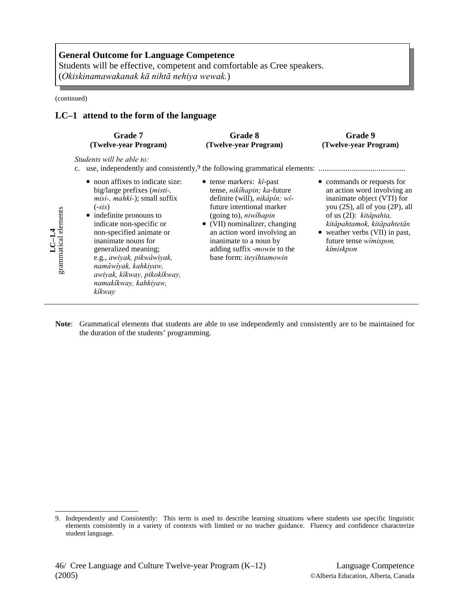Students will be effective, competent and comfortable as Cree speakers. (*Okiskinamawakanak kā nihtā nehiya wewak.*)

(continued)

**LC–1.4**  grammatical elements

grammatical elements

 $\overline{a}$ 

#### **LC–1 attend to the form of the language**

| <b>Grade 7</b><br>(Twelve-year Program)                                                                                                                                                                                                                                                                                                                                        | <b>Grade 8</b><br>(Twelve-year Program)                                                                                                                                                                                                                                                                                | Grade 9<br>(Twelve-year Program)                                                                                                                                                                                                                           |
|--------------------------------------------------------------------------------------------------------------------------------------------------------------------------------------------------------------------------------------------------------------------------------------------------------------------------------------------------------------------------------|------------------------------------------------------------------------------------------------------------------------------------------------------------------------------------------------------------------------------------------------------------------------------------------------------------------------|------------------------------------------------------------------------------------------------------------------------------------------------------------------------------------------------------------------------------------------------------------|
| Students will be able to:                                                                                                                                                                                                                                                                                                                                                      |                                                                                                                                                                                                                                                                                                                        |                                                                                                                                                                                                                                                            |
| • noun affixes to indicate size:<br>big/large prefixes ( <i>misti-</i> ,<br>misi-, mahki-); small suffix<br>$(-sis)$<br>• indefinite pronouns to<br>indicate non-specific or<br>non-specified animate or<br>inanimate nouns for<br>generalized meaning;<br>e.g., awiyak, pikwâwiyak,<br>namâwîyak, kahkiyaw,<br>awiyak, kîkway, pikokîkway,<br>namakîkway, kahkiyaw,<br>kîkwav | • tense markers: $k\hat{i}$ -past<br>tense, nikîhapin; ka-future<br>definite (will), nikâpîn; wî-<br>future intentional marker<br>(going to), $niwihapin$<br>• (VII) nominalizer, changing<br>an action word involving an<br>inanimate to a noun by<br>adding suffix - <i>mowin</i> to the<br>base form: iteyihtamowin | • commands or requests for<br>an action word involving an<br>inanimate object (VTI) for<br>you (2S), all of you (2P), all<br>of us (2I): kitâpahta,<br>kitâpahtamok, kitâpahtetân<br>• weather verbs (VII) in past,<br>future tense wîmispon,<br>kîmiskpon |

**Note**: Grammatical elements that students are able to use independently and consistently are to be maintained for the duration of the students' programming.

<sup>9.</sup> Independently and Consistently: This term is used to describe learning situations where students use specific linguistic elements consistently in a variety of contexts with limited or no teacher guidance. Fluency and confidence characterize student language.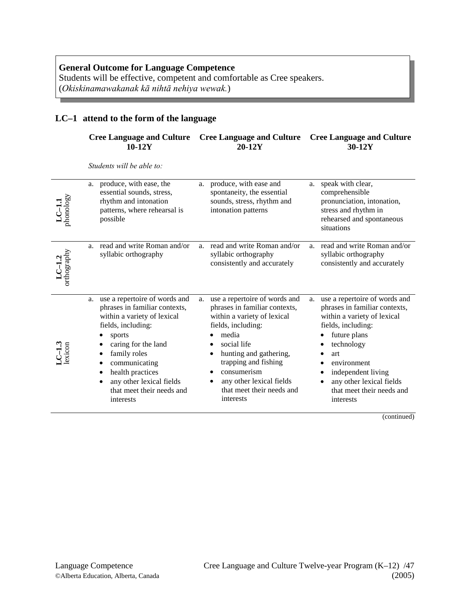Students will be effective, competent and comfortable as Cree speakers. (*Okiskinamawakanak kā nihtā nehiya wewak.*)

## **LC–1 attend to the form of the language**

#### **Cree Language and Culture Cree Language and Culture Cree Language and Culture 10-12Y 20-12Y 30-12Y**

*Students will be able to:* 

| $LC-1.1$<br>phonology        | produce, with ease, the<br>a.<br>essential sounds, stress,<br>rhythm and intonation<br>patterns, where rehearsal is<br>possible                                                                                                                                                                                           | produce, with ease and<br>a.<br>spontaneity, the essential<br>sounds, stress, rhythm and<br>intonation patterns                                                                                                                                                                          | speak with clear,<br>a.<br>comprehensible<br>pronunciation, intonation,<br>stress and rhythm in<br>rehearsed and spontaneous<br>situations                                                                                                                                |
|------------------------------|---------------------------------------------------------------------------------------------------------------------------------------------------------------------------------------------------------------------------------------------------------------------------------------------------------------------------|------------------------------------------------------------------------------------------------------------------------------------------------------------------------------------------------------------------------------------------------------------------------------------------|---------------------------------------------------------------------------------------------------------------------------------------------------------------------------------------------------------------------------------------------------------------------------|
| orthography                  | a. read and write Roman and/or<br>syllabic orthography                                                                                                                                                                                                                                                                    | read and write Roman and/or<br>a.<br>syllabic orthography<br>consistently and accurately                                                                                                                                                                                                 | a. read and write Roman and/or<br>syllabic orthography<br>consistently and accurately                                                                                                                                                                                     |
| $_{\rm lexicon}^{\rm C-1.3}$ | use a repertoire of words and<br>a.<br>phrases in familiar contexts,<br>within a variety of lexical<br>fields, including:<br>sports<br>caring for the land<br>family roles<br>$\bullet$<br>communicating<br>٠<br>health practices<br>٠<br>any other lexical fields<br>$\bullet$<br>that meet their needs and<br>interests | use a repertoire of words and<br>a.<br>phrases in familiar contexts,<br>within a variety of lexical<br>fields, including:<br>media<br>social life<br>hunting and gathering,<br>trapping and fishing<br>consumerism<br>any other lexical fields<br>that meet their needs and<br>interests | use a repertoire of words and<br>a.<br>phrases in familiar contexts,<br>within a variety of lexical<br>fields, including:<br>future plans<br>technology<br>art<br>environment<br>independent living<br>any other lexical fields<br>that meet their needs and<br>interests |

(continued)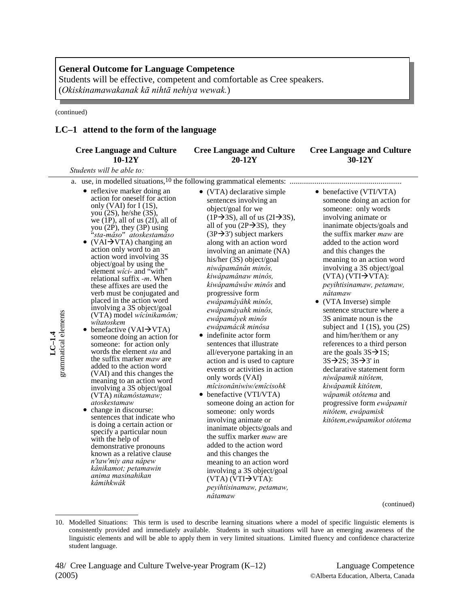Students will be effective, competent and comfortable as Cree speakers. (*Okiskinamawakanak kā nihtā nehiya wewak.*)

(continued)

#### **LC–1 attend to the form of the language**

| <b>Cree Language and Culture</b> |
|----------------------------------|
| $10-12Y$                         |

## **Cree Language and Culture 20-12Y**

#### **Cree Language and Culture 30-12Y**

*Students will be able to:* 

a. use, in modelled situations,10 the following grammatical elements: ..........................................................

- reflexive marker doing an action for oneself for action only (VAI) for  $I(1S)$ , you  $(2S)$ , he/she  $(3S)$ , we (1P), all of us (2I), all of you  $(2P)$ , they  $(3P)$  using
- "*sta-mâso*" *atoskestamâso*  (VAIÆVTA) changing an action only word to an action word involving 3S object/goal by using the element *wîci-* and "with" relational suffix *-m*. When these affixes are used the verb must be conjugated and placed in the action word involving a 3S object/goal (VTA) model *wîcinikamôm;*
- *wîtatoskem*<br>• benefactive (VAI<del>)</del> VTA) someone doing an action for someone: for action only words the element *sta* and the suffix marker *maw* are added to the action word (VAI) and this changes the meaning to an action word involving a 3S object/goal (VTA) *nikamôstamaw;*
- change in discourse: sentences that indicate who is doing a certain action or specify a particular noun with the help of demonstrative pronouns known as a relative clause *n'taw'miy ana nâpew kânikamot; petamawin anima masinahikan kâmihkwâk*
- (VTA) declarative simple sentences involving an object/goal for we  $(1P\rightarrow 3S)$ , all of us  $(2I\rightarrow 3S)$ , all of you ( $2P\rightarrow 3S$ ), they  $(3P\rightarrow 3')$  subject markers along with an action word involving an animate (NA) his/her (3S) object/goal *niwâpamânân minôs, kiwâpamânaw minôs, kiwâpamâwâw minôs* and progressive form *ewâpamâyâhk minôs, ewâpamâyahk minôs, ewâpamâyek minôs ewâpamâcik minôsa*
- indefinite actor form sentences that illustrate all/everyone partaking in an action and is used to capture events or activities in action only words (VAI) *mîcisonâniwiw/emîcisohk*
- benefactive (VTI/VTA) someone doing an action for someone: only words involving animate or inanimate objects/goals and the suffix marker *maw* are added to the action word and this changes the meaning to an action word involving a 3S object/goal  $(VTA) (VTI \rightarrow VTA)$ : *peyihtisinamaw, petamaw, nâtamaw*
- benefactive (VTI/VTA) someone doing an action for someone: only words involving animate or inanimate objects/goals and the suffix marker *maw* are added to the action word and this changes the meaning to an action word involving a 3S object/goal  $(VTA) (VTI \rightarrow VTA)$ : *peyihtisinamaw, petamaw, nâtamaw*
- (VTA Inverse) simple sentence structure where a 3S animate noun is the subject and  $I(1S)$ , you  $(2S)$ and him/her/them or any references to a third person are the goals  $3S\rightarrow 1S$ ;  $3S\rightarrow 2S$ :  $3S\rightarrow 3'$  in declarative statement form *niwâpamik nitôtem, kiwâpamik kitôtem, wâpamik otôtema* and progressive form *ewâpamit nitôtem, ewâpamisk kitôtem,ewâpamikot otôtema*

(continued)

grammatical elements grammatical elements **LC–1.4** 

<sup>10.</sup> Modelled Situations: This term is used to describe learning situations where a model of specific linguistic elements is consistently provided and immediately available. Students in such situations will have an emerging awareness of the linguistic elements and will be able to apply them in very limited situations. Limited fluency and confidence characterize student language.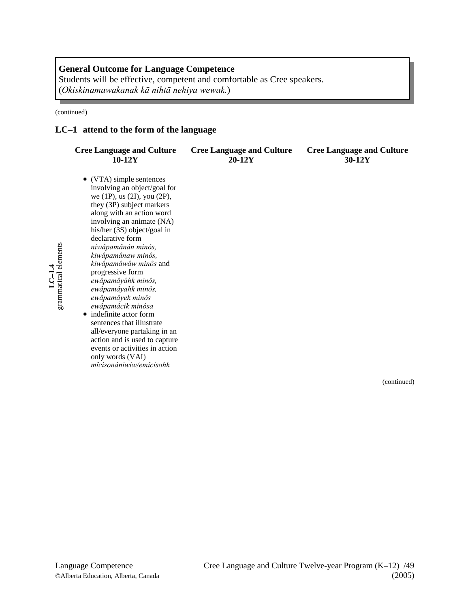Students will be effective, competent and comfortable as Cree speakers. (*Okiskinamawakanak kā nihtā nehiya wewak.*)

(continued)

LC–1.4<br>grammatical elements grammatical elements

#### **LC–1 attend to the form of the language**

| <b>Cree Language and Culture</b><br>$10-12Y$                                                                                                                                                                                                                                                                                                                                                                                                                                                                                                                                                                                       | <b>Cree Language and Culture</b><br>$20-12Y$ | <b>Cree Language and Culture</b><br>$30-12Y$ |
|------------------------------------------------------------------------------------------------------------------------------------------------------------------------------------------------------------------------------------------------------------------------------------------------------------------------------------------------------------------------------------------------------------------------------------------------------------------------------------------------------------------------------------------------------------------------------------------------------------------------------------|----------------------------------------------|----------------------------------------------|
| • (VTA) simple sentences<br>involving an object/goal for<br>we $(1P)$ , us $(2I)$ , you $(2P)$ ,<br>they (3P) subject markers<br>along with an action word<br>involving an animate (NA)<br>his/her (3S) object/goal in<br>declarative form<br>niwâpamânân minôs,<br>kiwâpamânaw minôs,<br>kiwâpamâwâw minôs and<br>progressive form<br>ewâpamâyâhk minôs,<br>ewâpamâyahk minôs,<br>ewâpamâyek minôs<br>ewâpamâcik minôsa<br>• indefinite actor form<br>sentences that illustrate<br>all/everyone partaking in an<br>action and is used to capture<br>events or activities in action<br>only words (VAI)<br>mîcisonâniwiw/emîcisohk |                                              |                                              |
|                                                                                                                                                                                                                                                                                                                                                                                                                                                                                                                                                                                                                                    |                                              |                                              |

(continued)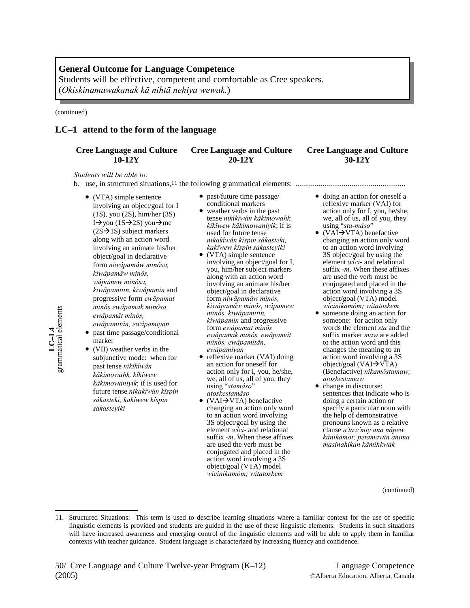(continued)

#### **LC–1 attend to the form of the language**

| <b>Cree Language and Culture</b> | <b>Cree Language and Culture</b> |
|----------------------------------|----------------------------------|
| 10-12Y                           | $20-12Y$                         |

#### **Cree Language and Culture 30-12Y**

*Students will be able to:* 

b. use, in structured situations,11 the following grammatical elements: .........................................................

- (VTA) simple sentence involving an object/goal for I (1S), you (2S), him/her (3S) I $\rightarrow$ you (1S $\rightarrow$ 2S) you $\rightarrow$ me  $(2S \rightarrow 1S)$  subject markers along with an action word involving an animate his/her object/goal in declarative form *niwâpamâw minôsa, kiwâpamâw minôs, wâpamew minôsa, kiwâpamitin, kiwâpamin* and progressive form *ewâpamat minôs ewâpamak minôsa, ewâpamât minôs, ewâpamitân, ewâpamiyan*
- past time passage/conditional marker
- (VII) weather verbs in the subjunctive mode: when for past tense *nikîkîwân kâkimowahk, kîkîwew kâkimowaniyik*; if is used for future tense *nikakîwân kîspin sâkasteki, kakîwew kîspin sâkasteyiki*
- past/future time passage/ conditional markers
- weather verbs in the past tense *nikîkîwân kâkimowahk, kîkîwew kâkimowaniyik*; if is used for future tense *nikakîwân kîspin sâkasteki, kakîwew kîspin sâkasteyiki* • (VTA) simple sentence
- involving an object/goal for I, you, him/her subject markers along with an action word involving an animate his/her object/goal in declarative form *niwâpamâw minôs, kiwâpamâw minôs, wâpamew minôs, kiwâpamitin, kiwâpamin* and progressive form *ewâpamat minôs ewâpamak minôs, ewâpamât minôs, ewâpamitân,*
- *ewâpamiyan*<br>reflexive marker (VAI) doing an action for oneself for action only for I, you, he/she, we, all of us, all of you, they using "*stamâso*"
- (VAI→VTA) benefactive changing an action only word to an action word involving 3S object/goal by using the element *wîci-* and relational suffix *-m*. When these affixes are used the verb must be conjugated and placed in the action word involving a 3S object/goal (VTA) model *wîcinikamôm; wîtatoskem*
- doing an action for oneself a reflexive marker (VAI) for action only for I, you, he/she, we, all of us, all of you, they using " $sta-mâso$ "
- (VAI→VTA) benefactive changing an action only word to an action word involving 3S object/goal by using the element *wîci*- and relational suffix -*m*. When these affixes are used the verb must be conjugated and placed in the action word involving a 3S object/goal (VTA) model<br>wîcinikamôm; wîtatoskem
- someone doing an action for someone: for action only words the element *sta* and the suffix marker *maw* are added to the action word and this changes the meaning to an action word involving a 3S object/goal (VAI $\rightarrow$ VTA) (Benefactive) *nikamôstamaw;*
- change in discourse: sentences that indicate who is doing a certain action or specify a particular noun with the help of demonstrative pronouns known as a relative clause *n'taw'miy ana nâpew kânikamot; petamawin anima masinahikan kâmihkwâk*

(continued)

grammatical elements grammatical elements **LC–1.4** 

 $\overline{a}$ 

<sup>11.</sup> Structured Situations: This term is used to describe learning situations where a familiar context for the use of specific linguistic elements is provided and students are guided in the use of these linguistic elements. Students in such situations will have increased awareness and emerging control of the linguistic elements and will be able to apply them in familiar contexts with teacher guidance. Student language is characterized by increasing fluency and confidence.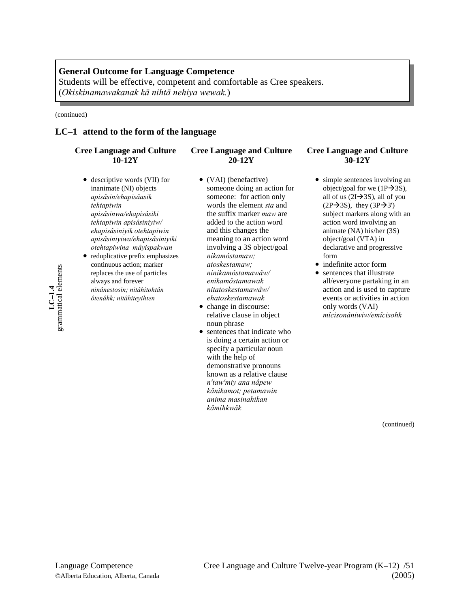Students will be effective, competent and comfortable as Cree speakers. (*Okiskinamawakanak kā nihtā nehiya wewak.*)

(continued)

#### **LC–1 attend to the form of the language**

#### **Cree Language and Culture 10-12Y**

- **Cree Language and Culture 20-12Y**
- descriptive words (VII) for inanimate (NI) objects *apisâsin/ehapisâasik tehtapiwin apisâsinwa/ehapisâsiki tehtapiwin apisâsiniyiw/ ehapisâsiniyik otehtapiwin apisâsiniyiwa/ehapisâsiniyiki otehtapiwina mâyispakwan*
	- reduplicative prefix emphasizes continuous action; marker replaces the use of particles always and forever *ninânestosin; nitâhitohtân ôtenâhk; nitâhiteyihten*
- (VAI) (benefactive) someone doing an action for someone: for action only words the element *sta* and the suffix marker *maw* are added to the action word and this changes the meaning to an action word involving a 3S object/goal *nikamôstamaw; atoskestamaw; ninikamôstamawâw/ enikamôstamawak nitatoskestamawâw/ ehatoskestamawak*
- change in discourse: relative clause in object noun phrase
- sentences that indicate who is doing a certain action or specify a particular noun with the help of demonstrative pronouns known as a relative clause *n'taw'miy ana nâpew kânikamot; petamawin anima masinahikan kâmihkwâk*

#### **Cree Language and Culture 30-12Y**

- simple sentences involving an object/goal for we (1P $\rightarrow$ 3S), all of us  $(2I\rightarrow 3S)$ , all of you  $(2P\rightarrow 3S)$ , they  $(3P\rightarrow 3')$ subject markers along with an action word involving an animate (NA) his/her (3S) object/goal (VTA) in declarative and progressive form
- indefinite actor form
- sentences that illustrate all/everyone partaking in an action and is used to capture events or activities in action only words (VAI) *mîcisonâniwiw/emîcisohk*

(continued)

grammatical elements grammatical elements **LC–1.4**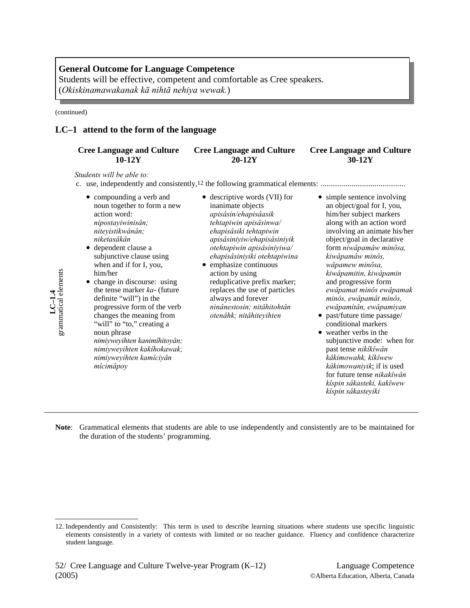(continued)

**LC–1.4**  grammatical elements

grammatical elements

#### **LC–1 attend to the form of the language**

| <b>Cree Language and Culture</b><br>$10-12Y$                                                                                                                                                                                                                                                                                                                                                                                                                                               | <b>Cree Language and Culture</b><br>$20-12Y$                                                                                                                                                                                                                                                                                                                                                                             | <b>Cree Language and Culture</b><br>$30-12Y$                                                                                                                                                                                                                                                                                                                                                                                                                                                    |
|--------------------------------------------------------------------------------------------------------------------------------------------------------------------------------------------------------------------------------------------------------------------------------------------------------------------------------------------------------------------------------------------------------------------------------------------------------------------------------------------|--------------------------------------------------------------------------------------------------------------------------------------------------------------------------------------------------------------------------------------------------------------------------------------------------------------------------------------------------------------------------------------------------------------------------|-------------------------------------------------------------------------------------------------------------------------------------------------------------------------------------------------------------------------------------------------------------------------------------------------------------------------------------------------------------------------------------------------------------------------------------------------------------------------------------------------|
| Students will be able to:<br>• compounding a verb and<br>noun together to form a new<br>action word:<br>nipostayiwinisân;<br>niteyistikwânân;<br>niketasâkân<br>• dependent clause a<br>subjunctive clause using<br>when and if for I, you,<br>him/her<br>• change in discourse: using<br>the tense marker ka- (future<br>definite "will") in the<br>progressive form of the verb<br>changes the meaning from<br>"will" to "to," creating a<br>noun phrase<br>nimiyweyihten kanimîhitoyân; | • descriptive words (VII) for<br>inanimate objects<br>apisâsin/ehapisâasik<br>tehtapiwin apisâsinwa/<br>ehapisâsiki tehtapiwin<br>apisâsiniyiw/ehapisâsiniyik<br>otehtapiwin apisâsiniyiwa/<br>ehapisâsiniyiki otehtapiwina<br>• emphasize continuous<br>action by using<br>reduplicative prefix marker;<br>replaces the use of particles<br>always and forever<br>ninânestosin; nitâhitohtân<br>otenâhk; nitâhiteyihten | • simple sentence involving<br>an object/goal for I, you,<br>him/her subject markers<br>along with an action word<br>involving an animate his/her<br>object/goal in declarative<br>form niwâpamâw minôsa,<br>kiwâpamâw minôs,<br>wâpamew minôsa,<br>kiwâpamitin, kiwâpamin<br>and progressive form<br>ewâpamat minôs ewâpamak<br>minôs, ewâpamât minôs,<br>ewâpamitân, ewâpamiyan<br>• past/future time passage/<br>conditional markers<br>• weather verbs in the<br>subjunctive mode: when for |
| nimiyweyihten kakîhokawak;<br>nimiyweyihten kamîciyân<br>mîcimâpoy                                                                                                                                                                                                                                                                                                                                                                                                                         |                                                                                                                                                                                                                                                                                                                                                                                                                          | past tense nikîkîwân<br>kâkimowahk, kîkîwew<br>kâkimowaniyik; if is used<br>for future tense nikakîwân<br>kîspin sâkasteki, kakîwew<br>kîspin sâkasteyiki                                                                                                                                                                                                                                                                                                                                       |

**Note**: Grammatical elements that students are able to use independently and consistently are to be maintained for the duration of the students' programming.

<sup>12.</sup> Independently and Consistently: This term is used to describe learning situations where students use specific linguistic elements consistently in a variety of contexts with limited or no teacher guidance. Fluency and confidence characterize student language.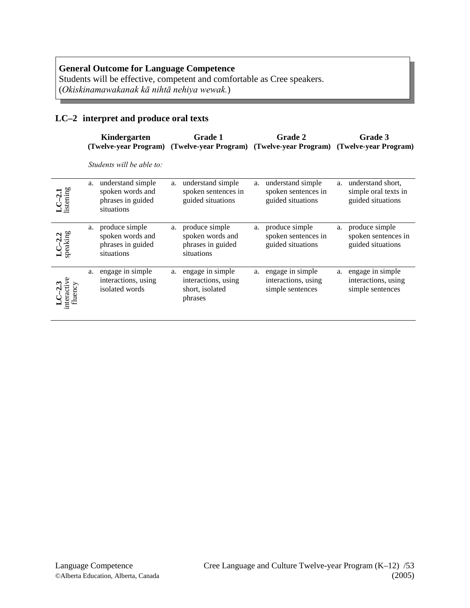Students will be effective, competent and comfortable as Cree speakers. (*Okiskinamawakanak kā nihtā nehiya wewak.*)

## **LC–2 interpret and produce oral texts**

|                                    | Kindergarten<br>(Twelve-year Program) |                                                                          | Grade 1 |                                                                       | <b>Grade 2</b><br>(Twelve-year Program) (Twelve-year Program) |                                                               |    | Grade 3<br>(Twelve-vear Program)                               |  |  |
|------------------------------------|---------------------------------------|--------------------------------------------------------------------------|---------|-----------------------------------------------------------------------|---------------------------------------------------------------|---------------------------------------------------------------|----|----------------------------------------------------------------|--|--|
|                                    |                                       | Students will be able to:                                                |         |                                                                       |                                                               |                                                               |    |                                                                |  |  |
| $LC-2.1$<br>listening              | a.                                    | understand simple<br>spoken words and<br>phrases in guided<br>situations | a.      | understand simple<br>spoken sentences in<br>guided situations         | a.                                                            | understand simple<br>spoken sentences in<br>guided situations | a. | understand short,<br>simple oral texts in<br>guided situations |  |  |
| $LC-2.2$<br>speaking               | a.                                    | produce simple<br>spoken words and<br>phrases in guided<br>situations    | a.      | produce simple<br>spoken words and<br>phrases in guided<br>situations | a.                                                            | produce simple<br>spoken sentences in<br>guided situations    | a. | produce simple<br>spoken sentences in<br>guided situations     |  |  |
| $LC-2.3$<br>interactive<br>fluency | a.                                    | engage in simple<br>interactions, using<br>isolated words                | a.      | engage in simple<br>interactions, using<br>short, isolated<br>phrases | a.                                                            | engage in simple<br>interactions, using<br>simple sentences   | a. | engage in simple<br>interactions, using<br>simple sentences    |  |  |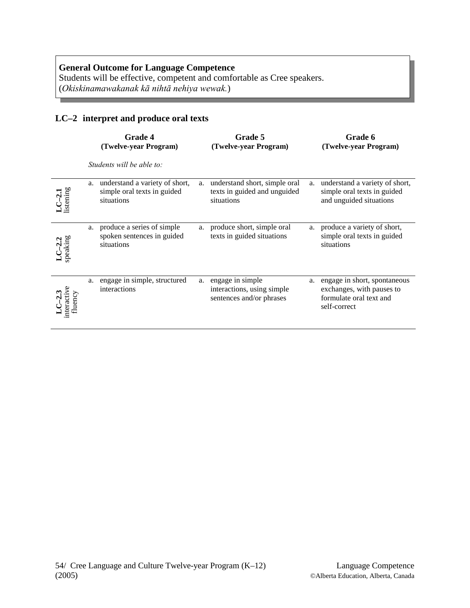Students will be effective, competent and comfortable as Cree speakers. (*Okiskinamawakanak kā nihtā nehiya wewak.*)

## **LC–2 interpret and produce oral texts**

<u> 1989 - Jan Samuel Barbara, martxa a shekara tsa 1989 - An tsa 1989 - An tsa 1989 - An tsa 1989 - An tsa 1989</u>

|                       | <b>Grade 4</b><br>(Twelve-year Program)                                           |    | <b>Grade 5</b><br>(Twelve-year Program)                                     | Grade 6<br>(Twelve-year Program) |                                                                                                      |  |
|-----------------------|-----------------------------------------------------------------------------------|----|-----------------------------------------------------------------------------|----------------------------------|------------------------------------------------------------------------------------------------------|--|
|                       | Students will be able to:                                                         |    |                                                                             |                                  |                                                                                                      |  |
| $LC-2.1$<br>listening | understand a variety of short,<br>a.<br>simple oral texts in guided<br>situations | a. | understand short, simple oral<br>texts in guided and unguided<br>situations | a.                               | understand a variety of short,<br>simple oral texts in guided<br>and unguided situations             |  |
| LC-2.2<br>speaking    | produce a series of simple<br>a.<br>spoken sentences in guided<br>situations      | a. | produce short, simple oral<br>texts in guided situations                    | a.                               | produce a variety of short,<br>simple oral texts in guided<br>situations                             |  |
| interactiv<br>fluency | engage in simple, structured<br>a.<br>interactions                                | a. | engage in simple<br>interactions, using simple<br>sentences and/or phrases  | a.                               | engage in short, spontaneous<br>exchanges, with pauses to<br>formulate oral text and<br>self-correct |  |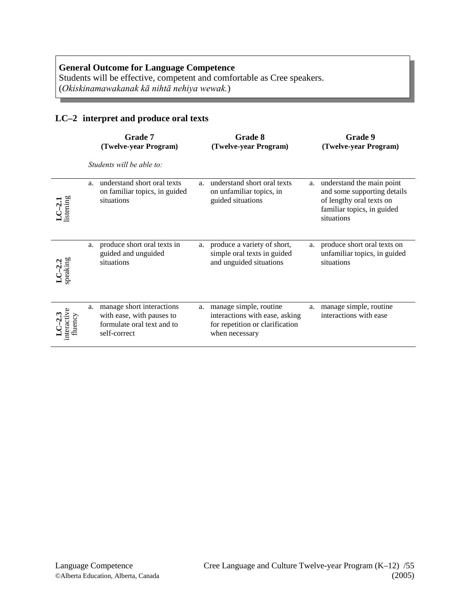Students will be effective, competent and comfortable as Cree speakers. (*Okiskinamawakanak kā nihtā nehiya wewak.*)

## **LC–2 interpret and produce oral texts**

|                       | Grade 7<br>(Twelve-year Program) |                                                                                                      |         | <b>Grade 8</b><br>(Twelve-year Program)                                                                       | Grade 9<br>(Twelve-year Program) |                                                                                                                                     |  |
|-----------------------|----------------------------------|------------------------------------------------------------------------------------------------------|---------|---------------------------------------------------------------------------------------------------------------|----------------------------------|-------------------------------------------------------------------------------------------------------------------------------------|--|
|                       |                                  | Students will be able to:                                                                            |         |                                                                                                               |                                  |                                                                                                                                     |  |
| $LC-2.1$<br>listening | a.                               | understand short oral texts<br>on familiar topics, in guided<br>situations                           | $a_{-}$ | understand short oral texts<br>on unfamiliar topics, in<br>guided situations                                  |                                  | a. understand the main point<br>and some supporting details<br>of lengthy oral texts on<br>familiar topics, in guided<br>situations |  |
| LC-2.2<br>speaking    | a.                               | produce short oral texts in<br>guided and unguided<br>situations                                     | a.      | produce a variety of short,<br>simple oral texts in guided<br>and unguided situations                         | a.                               | produce short oral texts on<br>unfamiliar topics, in guided<br>situations                                                           |  |
| nteractiv<br>fluency  | a.                               | manage short interactions<br>with ease, with pauses to<br>formulate oral text and to<br>self-correct | a.      | manage simple, routine<br>interactions with ease, asking<br>for repetition or clarification<br>when necessary | a.                               | manage simple, routine<br>interactions with ease                                                                                    |  |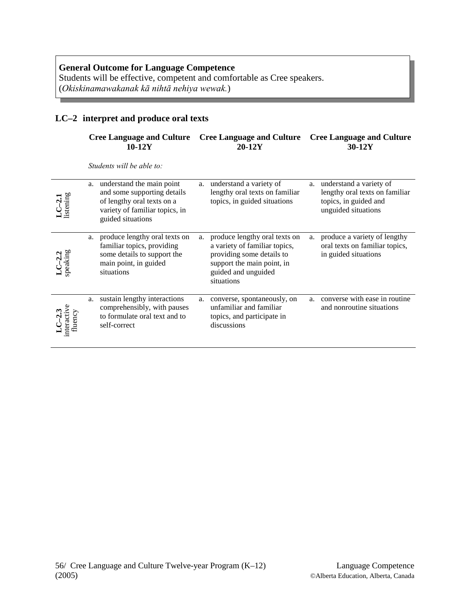Students will be effective, competent and comfortable as Cree speakers. (*Okiskinamawakanak kā nihtā nehiya wewak.*)

#### **LC–2 interpret and produce oral texts**

#### **Cree Language and Culture Cree Language and Culture Cree Language and Culture 10-12Y 20-12Y 30-12Y**

*Students will be able to:* 

| $LC-2.1$<br>listening | a. | understand the main point<br>and some supporting details<br>of lengthy oral texts on a<br>variety of familiar topics, in<br>guided situations | a. | understand a variety of<br>lengthy oral texts on familiar<br>topics, in guided situations                                                                      | a.             | understand a variety of<br>lengthy oral texts on familiar<br>topics, in guided and<br>unguided situations |
|-----------------------|----|-----------------------------------------------------------------------------------------------------------------------------------------------|----|----------------------------------------------------------------------------------------------------------------------------------------------------------------|----------------|-----------------------------------------------------------------------------------------------------------|
| LC-2.2<br>speaking    | a. | produce lengthy oral texts on<br>familiar topics, providing<br>some details to support the<br>main point, in guided<br>situations             | a. | produce lengthy oral texts on<br>a variety of familiar topics,<br>providing some details to<br>support the main point, in<br>guided and unguided<br>situations | a.             | produce a variety of lengthy<br>oral texts on familiar topics,<br>in guided situations                    |
| fluency<br>interacti  | a. | sustain lengthy interactions<br>comprehensibly, with pauses<br>to formulate oral text and to<br>self-correct                                  | a. | converse, spontaneously, on<br>unfamiliar and familiar<br>topics, and participate in<br>discussions                                                            | a <sub>1</sub> | converse with ease in routine<br>and nonroutine situations                                                |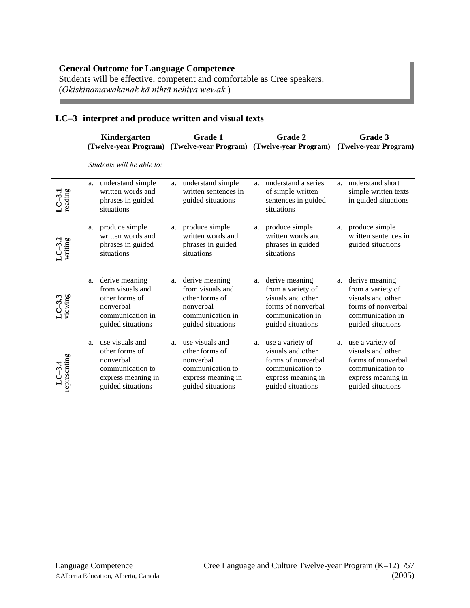Students will be effective, competent and comfortable as Cree speakers. (*Okiskinamawakanak kā nihtā nehiya wewak.*)

#### **LC–3 interpret and produce written and visual texts**

|                          | Kindergarten<br>(Twelve-year Program) |                                                                                                               | <b>Grade 1</b> |                                                                                                               | <b>Grade 2</b><br>(Twelve-year Program) (Twelve-year Program) |                                                                                                                            |             | Grade 3<br>(Twelve-year Program)                                                                                           |  |  |
|--------------------------|---------------------------------------|---------------------------------------------------------------------------------------------------------------|----------------|---------------------------------------------------------------------------------------------------------------|---------------------------------------------------------------|----------------------------------------------------------------------------------------------------------------------------|-------------|----------------------------------------------------------------------------------------------------------------------------|--|--|
|                          |                                       | Students will be able to:                                                                                     |                |                                                                                                               |                                                               |                                                                                                                            |             |                                                                                                                            |  |  |
| reading                  | a.                                    | understand simple<br>written words and<br>phrases in guided<br>situations                                     | a.             | understand simple<br>written sentences in<br>guided situations                                                | $a_{\cdot}$                                                   | understand a series<br>of simple written<br>sentences in guided<br>situations                                              | $a_{\cdot}$ | understand short<br>simple written texts<br>in guided situations                                                           |  |  |
| $LC-3.2$<br>writing      | a.                                    | produce simple<br>written words and<br>phrases in guided<br>situations                                        | a.             | produce simple<br>written words and<br>phrases in guided<br>situations                                        | a.                                                            | produce simple<br>written words and<br>phrases in guided<br>situations                                                     | a.          | produce simple<br>written sentences in<br>guided situations                                                                |  |  |
| $LC-3.3$<br>viewing      | a.                                    | derive meaning<br>from visuals and<br>other forms of<br>nonverbal<br>communication in<br>guided situations    | a.             | derive meaning<br>from visuals and<br>other forms of<br>nonverbal<br>communication in<br>guided situations    | a.                                                            | derive meaning<br>from a variety of<br>visuals and other<br>forms of nonverbal<br>communication in<br>guided situations    | a.          | derive meaning<br>from a variety of<br>visuals and other<br>forms of nonverbal<br>communication in<br>guided situations    |  |  |
| representing<br>$LC-3.4$ | $a_{\cdot}$                           | use visuals and<br>other forms of<br>nonverbal<br>communication to<br>express meaning in<br>guided situations | a.             | use visuals and<br>other forms of<br>nonverbal<br>communication to<br>express meaning in<br>guided situations | a.                                                            | use a variety of<br>visuals and other<br>forms of nonverbal<br>communication to<br>express meaning in<br>guided situations | a.          | use a variety of<br>visuals and other<br>forms of nonverbal<br>communication to<br>express meaning in<br>guided situations |  |  |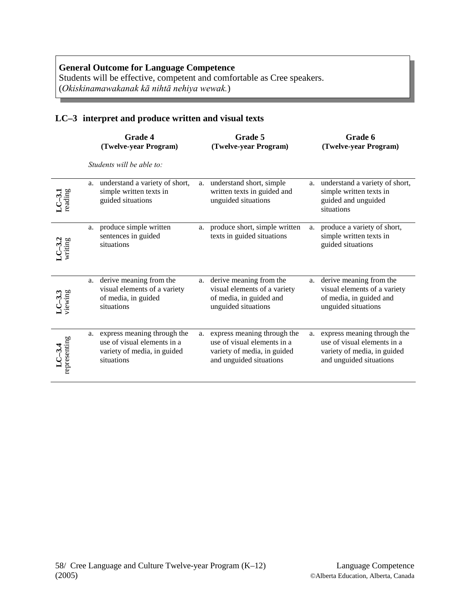<u> 1989 - Jan Samuel Barbara, martxa a shekara tsa 1989 - An tsa 1989 - An tsa 1989 - An tsa 1989 - An tsa 1989</u>

Students will be effective, competent and comfortable as Cree speakers. (*Okiskinamawakanak kā nihtā nehiya wewak.*)

## **LC–3 interpret and produce written and visual texts**

|                      | <b>Grade 4</b><br>(Twelve-year Program) |                                                                                                            |    | Grade 5<br>(Twelve-year Program)                                                                                     | Grade 6<br>(Twelve-year Program) |                                                                                                                      |  |
|----------------------|-----------------------------------------|------------------------------------------------------------------------------------------------------------|----|----------------------------------------------------------------------------------------------------------------------|----------------------------------|----------------------------------------------------------------------------------------------------------------------|--|
|                      |                                         | Students will be able to:                                                                                  |    |                                                                                                                      |                                  |                                                                                                                      |  |
| eading               | a.                                      | understand a variety of short,<br>simple written texts in<br>guided situations                             | a. | understand short, simple<br>written texts in guided and<br>unguided situations                                       | a.                               | understand a variety of short,<br>simple written texts in<br>guided and unguided<br>situations                       |  |
| $LC$ -3.2<br>writing |                                         | a. produce simple written<br>sentences in guided<br>situations                                             | a. | produce short, simple written<br>texts in guided situations                                                          | a.                               | produce a variety of short,<br>simple written texts in<br>guided situations                                          |  |
| viewing              |                                         | a. derive meaning from the<br>visual elements of a variety<br>of media, in guided<br>situations            | a. | derive meaning from the<br>visual elements of a variety<br>of media, in guided and<br>unguided situations            |                                  | a. derive meaning from the<br>visual elements of a variety<br>of media, in guided and<br>unguided situations         |  |
| representing         |                                         | a. express meaning through the<br>use of visual elements in a<br>variety of media, in guided<br>situations | a. | express meaning through the<br>use of visual elements in a<br>variety of media, in guided<br>and unguided situations | a.                               | express meaning through the<br>use of visual elements in a<br>variety of media, in guided<br>and unguided situations |  |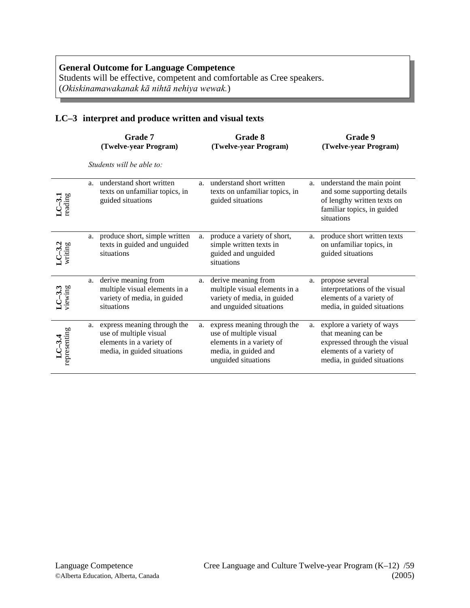<u> 1989 - Jan Samuel Barbara, martxa a shekara tsa 1989 - An tsa 1989 - An tsa 1989 - An tsa 1989 - An tsa 1989</u>

Students will be effective, competent and comfortable as Cree speakers. (*Okiskinamawakanak kā nihtā nehiya wewak.*)

## **LC–3 interpret and produce written and visual texts**

|                          | Grade 7<br>(Twelve-year Program)                                                                                    |             | Grade 8<br>(Twelve-year Program)                                                                                                 | Grade 9<br>(Twelve-year Program) |                                                                                                                                                |  |  |
|--------------------------|---------------------------------------------------------------------------------------------------------------------|-------------|----------------------------------------------------------------------------------------------------------------------------------|----------------------------------|------------------------------------------------------------------------------------------------------------------------------------------------|--|--|
|                          | Students will be able to:                                                                                           |             |                                                                                                                                  |                                  |                                                                                                                                                |  |  |
| $LC-3.1$<br>reading      | a. understand short written<br>texts on unfamiliar topics, in<br>guided situations                                  | $a_{\cdot}$ | understand short written<br>texts on unfamiliar topics, in<br>guided situations                                                  |                                  | a. understand the main point<br>and some supporting details<br>of lengthy written texts on<br>familiar topics, in guided<br>situations         |  |  |
| $LC-3.2$<br>writing      | a. produce short, simple written<br>texts in guided and unguided<br>situations                                      | a.          | produce a variety of short,<br>simple written texts in<br>guided and unguided<br>situations                                      |                                  | a. produce short written texts<br>on unfamiliar topics, in<br>guided situations                                                                |  |  |
| $LC-3.3$<br>viewing      | a. derive meaning from<br>multiple visual elements in a<br>variety of media, in guided<br>situations                | a.          | derive meaning from<br>multiple visual elements in a<br>variety of media, in guided<br>and unguided situations                   | a.                               | propose several<br>interpretations of the visual<br>elements of a variety of<br>media, in guided situations                                    |  |  |
| representing<br>$LC-3.4$ | a. express meaning through the<br>use of multiple visual<br>elements in a variety of<br>media, in guided situations | a.          | express meaning through the<br>use of multiple visual<br>elements in a variety of<br>media, in guided and<br>unguided situations |                                  | a. explore a variety of ways<br>that meaning can be<br>expressed through the visual<br>elements of a variety of<br>media, in guided situations |  |  |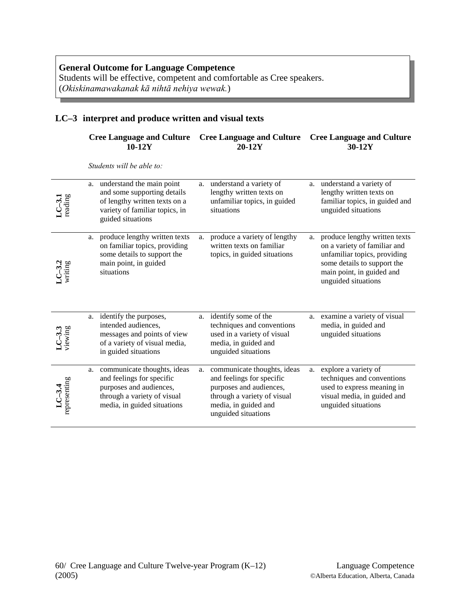Students will be effective, competent and comfortable as Cree speakers. (*Okiskinamawakanak kā nihtā nehiya wewak.*)

## **LC–3 interpret and produce written and visual texts**

|          | <b>Cree Language and Culture Cree Language and Culture Cree Language and Culture</b> |          |
|----------|--------------------------------------------------------------------------------------|----------|
| $10-12Y$ | $20-12Y$                                                                             | $30-12Y$ |

*Students will be able to:* 

| $LC-3.1$<br>reading      |    | a. understand the main point<br>and some supporting details<br>of lengthy written texts on a<br>variety of familiar topics, in<br>guided situations  | a. | understand a variety of<br>lengthy written texts on<br>unfamiliar topics, in guided<br>situations                                                                 |    | a. understand a variety of<br>lengthy written texts on<br>familiar topics, in guided and<br>unguided situations                                                                  |
|--------------------------|----|------------------------------------------------------------------------------------------------------------------------------------------------------|----|-------------------------------------------------------------------------------------------------------------------------------------------------------------------|----|----------------------------------------------------------------------------------------------------------------------------------------------------------------------------------|
| $LC-3.2$<br>writing      | a. | produce lengthy written texts<br>on familiar topics, providing<br>some details to support the<br>main point, in guided<br>situations                 | a. | produce a variety of lengthy<br>written texts on familiar<br>topics, in guided situations                                                                         | a. | produce lengthy written texts<br>on a variety of familiar and<br>unfamiliar topics, providing<br>some details to support the<br>main point, in guided and<br>unguided situations |
| $LC-3.3$<br>viewing      | a. | identify the purposes,<br>intended audiences,<br>messages and points of view<br>of a variety of visual media,<br>in guided situations                | a. | identify some of the<br>techniques and conventions<br>used in a variety of visual<br>media, in guided and<br>unguided situations                                  | a. | examine a variety of visual<br>media, in guided and<br>unguided situations                                                                                                       |
| $LC-3.4$<br>representing |    | a. communicate thoughts, ideas<br>and feelings for specific<br>purposes and audiences,<br>through a variety of visual<br>media, in guided situations | a. | communicate thoughts, ideas<br>and feelings for specific<br>purposes and audiences,<br>through a variety of visual<br>media, in guided and<br>unguided situations | a. | explore a variety of<br>techniques and conventions<br>used to express meaning in<br>visual media, in guided and<br>unguided situations                                           |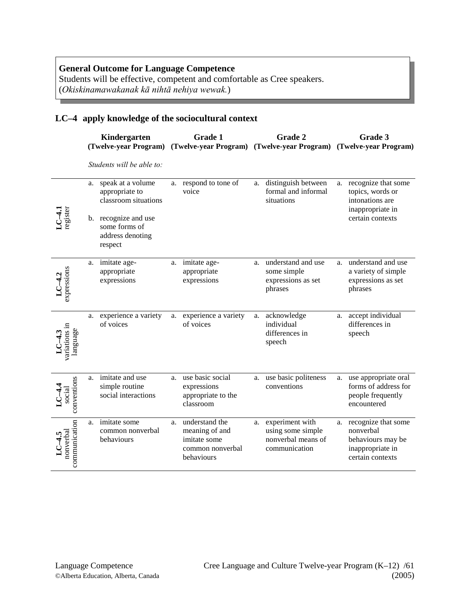Students will be effective, competent and comfortable as Cree speakers. (*Okiskinamawakanak kā nihtā nehiya wewak.*)

#### **LC–4 apply knowledge of the sociocultural context**

|                            | Kindergarten<br>(Twelve-year Program)                                |                                                             |    | Grade 1                                                                            |    | Grade 2                                                                     | Grade 3<br>(Twelve-year Program) (Twelve-year Program) (Twelve-year Program) |                                                                                               |  |
|----------------------------|----------------------------------------------------------------------|-------------------------------------------------------------|----|------------------------------------------------------------------------------------|----|-----------------------------------------------------------------------------|------------------------------------------------------------------------------|-----------------------------------------------------------------------------------------------|--|
|                            |                                                                      | Students will be able to:                                   |    |                                                                                    |    |                                                                             |                                                                              |                                                                                               |  |
|                            | a.                                                                   | speak at a volume<br>appropriate to<br>classroom situations |    | a. respond to tone of<br>voice                                                     | a. | distinguish between<br>formal and informal<br>situations                    | a.                                                                           | recognize that some<br>topics, words or<br>intonations are<br>inappropriate in                |  |
|                            | b. recognize and use<br>some forms of<br>address denoting<br>respect |                                                             |    |                                                                                    |    | certain contexts                                                            |                                                                              |                                                                                               |  |
| expressions                | a.                                                                   | imitate age-<br>appropriate<br>expressions                  | a. | imitate age-<br>appropriate<br>expressions                                         | a. | understand and use<br>some simple<br>expressions as set<br>phrases          | a.                                                                           | understand and use<br>a variety of simple<br>expressions as set<br>phrases                    |  |
| ariations in<br>language   |                                                                      | a. experience a variety<br>of voices                        | a. | experience a variety<br>of voices                                                  | a. | acknowledge<br>individual<br>differences in<br>speech                       |                                                                              | a. accept individual<br>differences in<br>speech                                              |  |
| conventions                | a.                                                                   | imitate and use<br>simple routine<br>social interactions    | a. | use basic social<br>expressions<br>appropriate to the<br>classroom                 | a. | use basic politeness<br>conventions                                         | a.                                                                           | use appropriate oral<br>forms of address for<br>people frequently<br>encountered              |  |
| communication<br>nonverbal | a.                                                                   | imitate some<br>common nonverbal<br>behaviours              | a. | understand the<br>meaning of and<br>imitate some<br>common nonverbal<br>behaviours | a. | experiment with<br>using some simple<br>nonverbal means of<br>communication | a.                                                                           | recognize that some<br>nonverbal<br>behaviours may be<br>inappropriate in<br>certain contexts |  |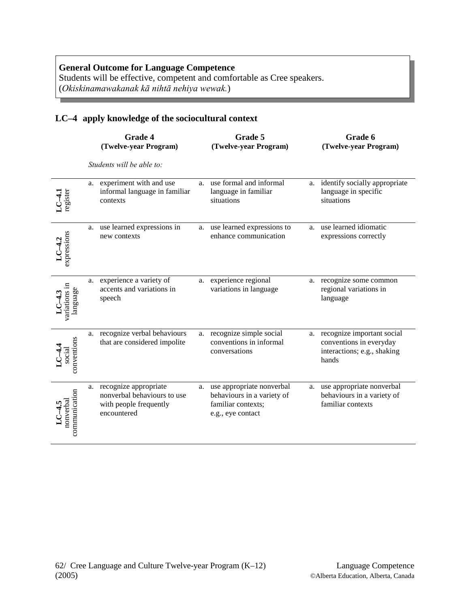Students will be effective, competent and comfortable as Cree speakers. (*Okiskinamawakanak kā nihtā nehiya wewak.*)

## **LC–4 apply knowledge of the sociocultural context**

|                            | Grade 4<br>(Twelve-year Program) |                                                                                                  |    | Grade 5<br>(Twelve-year Program)                                                                   |    | Grade 6<br>(Twelve-year Program)                                                                 |
|----------------------------|----------------------------------|--------------------------------------------------------------------------------------------------|----|----------------------------------------------------------------------------------------------------|----|--------------------------------------------------------------------------------------------------|
|                            |                                  | Students will be able to:                                                                        |    |                                                                                                    |    |                                                                                                  |
| register                   |                                  | a. experiment with and use<br>informal language in familiar<br>contexts                          |    | a. use formal and informal<br>language in familiar<br>situations                                   |    | a. identify socially appropriate<br>language in specific<br>situations                           |
| expressions                |                                  | a. use learned expressions in<br>new contexts                                                    | a. | use learned expressions to<br>enhance communication                                                |    | a. use learned idiomatic<br>expressions correctly                                                |
| variations in<br>language  | a.                               | experience a variety of<br>accents and variations in<br>speech                                   |    | a. experience regional<br>variations in language                                                   |    | a. recognize some common<br>regional variations in<br>language                                   |
| conventions<br>social      | a.                               | recognize verbal behaviours<br>that are considered impolite                                      |    | a. recognize simple social<br>conventions in informal<br>conversations                             |    | a. recognize important social<br>conventions in everyday<br>interactions; e.g., shaking<br>hands |
| communication<br>nonverbal |                                  | a. recognize appropriate<br>nonverbal behaviours to use<br>with people frequently<br>encountered | a. | use appropriate nonverbal<br>behaviours in a variety of<br>familiar contexts;<br>e.g., eye contact | a. | use appropriate nonverbal<br>behaviours in a variety of<br>familiar contexts                     |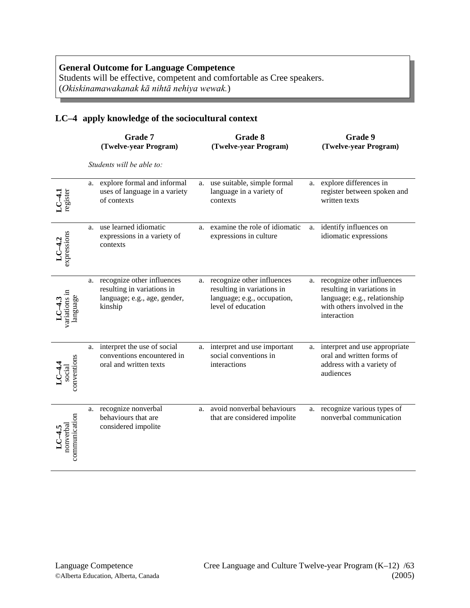Students will be effective, competent and comfortable as Cree speakers. (*Okiskinamawakanak kā nihtā nehiya wewak.*)

## **LC–4 apply knowledge of the sociocultural context**

|                                        |    | Grade 7<br>(Twelve-year Program)                                                                       |    | Grade 8<br>(Twelve-year Program)                                                                                 |    | Grade 9<br>(Twelve-year Program)                                                                                                          |
|----------------------------------------|----|--------------------------------------------------------------------------------------------------------|----|------------------------------------------------------------------------------------------------------------------|----|-------------------------------------------------------------------------------------------------------------------------------------------|
|                                        |    | Students will be able to:                                                                              |    |                                                                                                                  |    |                                                                                                                                           |
| $LC-4.1$<br>register                   | a. | explore formal and informal<br>uses of language in a variety<br>of contexts                            |    | a. use suitable, simple formal<br>language in a variety of<br>contexts                                           | a. | explore differences in<br>register between spoken and<br>written texts                                                                    |
| expressions                            |    | a. use learned idiomatic<br>expressions in a variety of<br>contexts                                    |    | a. examine the role of idiomatic<br>expressions in culture                                                       |    | a. identify influences on<br>idiomatic expressions                                                                                        |
| $LC4.3$<br>variations in<br>language   |    | a. recognize other influences<br>resulting in variations in<br>language; e.g., age, gender,<br>kinship |    | a. recognize other influences<br>resulting in variations in<br>language; e.g., occupation,<br>level of education |    | a. recognize other influences<br>resulting in variations in<br>language; e.g., relationship<br>with others involved in the<br>interaction |
| conventions<br>$LC4$ :<br>social       | a. | interpret the use of social<br>conventions encountered in<br>oral and written texts                    | a. | interpret and use important<br>social conventions in<br>interactions                                             |    | a. interpret and use appropriate<br>oral and written forms of<br>address with a variety of<br>audiences                                   |
| communication<br>$LC-4.5$<br>nonverbal | a. | recognize nonverbal<br>behaviours that are<br>considered impolite                                      | a. | avoid nonverbal behaviours<br>that are considered impolite                                                       |    | a. recognize various types of<br>nonverbal communication                                                                                  |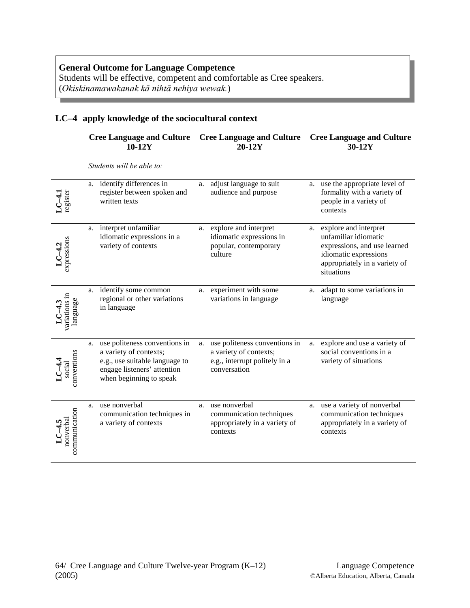Students will be effective, competent and comfortable as Cree speakers. (*Okiskinamawakanak kā nihtā nehiya wewak.*)

## **LC–4 apply knowledge of the sociocultural context**

|        | <b>Cree Language and Culture Cree Language and Culture Cree Language and Culture</b> |        |
|--------|--------------------------------------------------------------------------------------|--------|
| 10-12Y | $20-12Y$                                                                             | 30-12Y |

*Students will be able to:* 

| register                            |    | a. identify differences in<br>register between spoken and<br>written texts                                                                          | a. | adjust language to suit<br>audience and purpose                                                          |    | a. use the appropriate level of<br>formality with a variety of<br>people in a variety of<br>contexts                                                  |
|-------------------------------------|----|-----------------------------------------------------------------------------------------------------------------------------------------------------|----|----------------------------------------------------------------------------------------------------------|----|-------------------------------------------------------------------------------------------------------------------------------------------------------|
| expressions                         |    | a. interpret unfamiliar<br>idiomatic expressions in a<br>variety of contexts                                                                        | a. | explore and interpret<br>idiomatic expressions in<br>popular, contemporary<br>culture                    | a. | explore and interpret<br>unfamiliar idiomatic<br>expressions, and use learned<br>idiomatic expressions<br>appropriately in a variety of<br>situations |
| variations in<br>language           | a. | identify some common<br>regional or other variations<br>in language                                                                                 | a. | experiment with some<br>variations in language                                                           | a. | adapt to some variations in<br>language                                                                                                               |
| conventions<br>social               | a. | use politeness conventions in<br>a variety of contexts;<br>e.g., use suitable language to<br>engage listeners' attention<br>when beginning to speak | a. | use politeness conventions in<br>a variety of contexts;<br>e.g., interrupt politely in a<br>conversation | a. | explore and use a variety of<br>social conventions in a<br>variety of situations                                                                      |
| communication<br>$LC-4.5$ nonverbal |    | a. use nonverbal<br>communication techniques in<br>a variety of contexts                                                                            |    | a. use nonverbal<br>communication techniques<br>appropriately in a variety of<br>contexts                |    | a. use a variety of nonverbal<br>communication techniques<br>appropriately in a variety of<br>contexts                                                |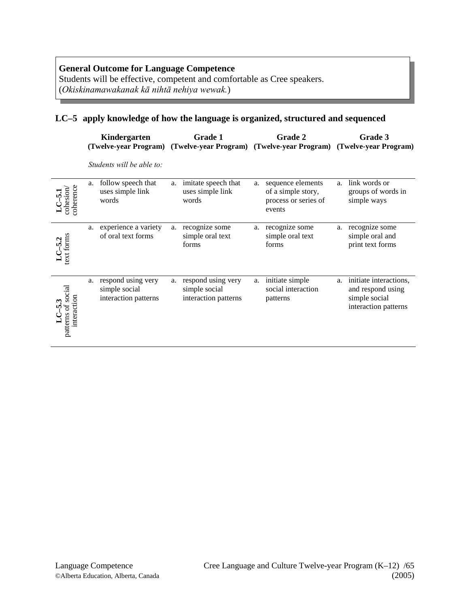Students will be effective, competent and comfortable as Cree speakers. (*Okiskinamawakanak kā nihtā nehiya wewak.*)

## **LC–5 apply knowledge of how the language is organized, structured and sequenced**

|                                    | Kindergarten |                                                             | Grade 1 |                                                             | Grade 2<br>(Twelve-year Program) (Twelve-year Program) (Twelve-year Program) (Twelve-year Program) |                                                                           |    | Grade 3                                                                              |  |  |
|------------------------------------|--------------|-------------------------------------------------------------|---------|-------------------------------------------------------------|----------------------------------------------------------------------------------------------------|---------------------------------------------------------------------------|----|--------------------------------------------------------------------------------------|--|--|
|                                    |              | Students will be able to:                                   |         |                                                             |                                                                                                    |                                                                           |    |                                                                                      |  |  |
| coherence<br>$LC$ -5.1<br>cohesion | a.           | follow speech that<br>uses simple link<br>words             | a.      | imitate speech that<br>uses simple link<br>words            | a.                                                                                                 | sequence elements<br>of a simple story,<br>process or series of<br>events | a. | link words or<br>groups of words in<br>simple ways                                   |  |  |
| $LC-5.2$<br>text forms             | a.           | experience a variety<br>of oral text forms                  | a.      | recognize some<br>simple oral text<br>forms                 | a.                                                                                                 | recognize some<br>simple oral text<br>forms                               | a. | recognize some<br>simple oral and<br>print text forms                                |  |  |
| patterns of social<br>interaction  | a.           | respond using very<br>simple social<br>interaction patterns | a.      | respond using very<br>simple social<br>interaction patterns | a.                                                                                                 | initiate simple<br>social interaction<br>patterns                         | a. | initiate interactions,<br>and respond using<br>simple social<br>interaction patterns |  |  |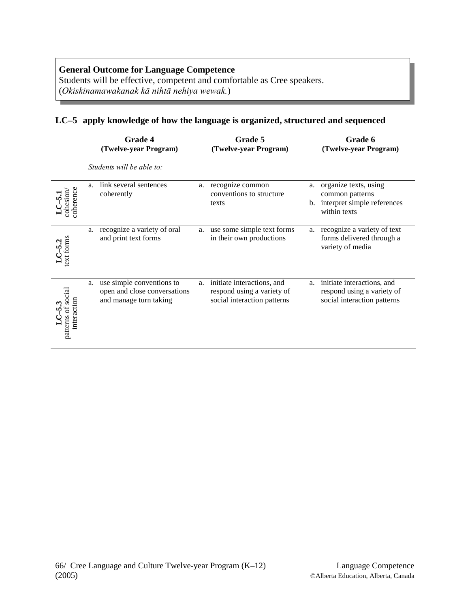Students will be effective, competent and comfortable as Cree speakers. (*Okiskinamawakanak kā nihtā nehiya wewak.*)

## **LC–5 apply knowledge of how the language is organized, structured and sequenced**

|                                   | <b>Grade 4</b><br>(Twelve-year Program) |                                                                                     |    | Grade 5<br>(Twelve-year Program)                                                        |          | Grade 6<br>(Twelve-year Program)                                                        |  |
|-----------------------------------|-----------------------------------------|-------------------------------------------------------------------------------------|----|-----------------------------------------------------------------------------------------|----------|-----------------------------------------------------------------------------------------|--|
|                                   |                                         | Students will be able to:                                                           |    |                                                                                         |          |                                                                                         |  |
| <b>oherence</b><br>cohesion       | a.                                      | link several sentences<br>coherently                                                | a. | recognize common<br>conventions to structure<br>texts                                   | a.<br>b. | organize texts, using<br>common patterns<br>interpret simple references<br>within texts |  |
| LC-5.2<br>text forms              | a.                                      | recognize a variety of oral<br>and print text forms                                 | a. | use some simple text forms<br>in their own productions                                  |          | a. recognize a variety of text<br>forms delivered through a<br>variety of media         |  |
| patterns of social<br>interaction | a.                                      | use simple conventions to<br>open and close conversations<br>and manage turn taking | a. | initiate interactions, and<br>respond using a variety of<br>social interaction patterns | a.       | initiate interactions, and<br>respond using a variety of<br>social interaction patterns |  |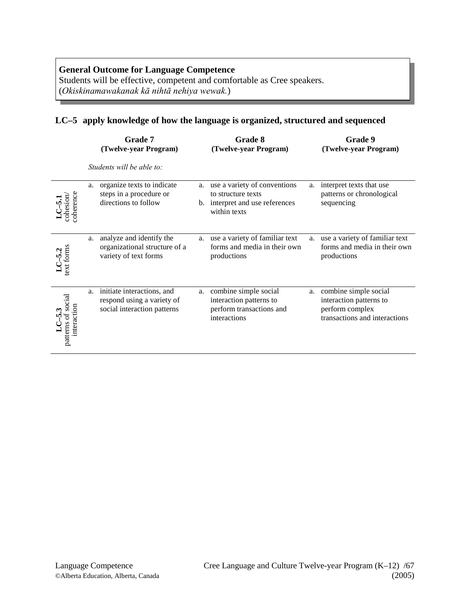Students will be effective, competent and comfortable as Cree speakers. (*Okiskinamawakanak kā nihtā nehiya wewak.*)

## **LC–5 apply knowledge of how the language is organized, structured and sequenced**

|                                             | Grade 7<br>(Twelve-year Program) |                                                                                         | Grade 8<br>(Twelve-year Program) |                                                                                                    | <b>Grade 9</b><br>(Twelve-year Program) |                                                                                                      |  |
|---------------------------------------------|----------------------------------|-----------------------------------------------------------------------------------------|----------------------------------|----------------------------------------------------------------------------------------------------|-----------------------------------------|------------------------------------------------------------------------------------------------------|--|
|                                             |                                  | Students will be able to:                                                               |                                  |                                                                                                    |                                         |                                                                                                      |  |
| coherence<br>$L$ $\sim$ $-3.1$<br>cohesion/ | a.                               | organize texts to indicate<br>steps in a procedure or<br>directions to follow           | a.<br>b.                         | use a variety of conventions<br>to structure texts<br>interpret and use references<br>within texts | a.                                      | interpret texts that use<br>patterns or chronological<br>sequencing                                  |  |
| $LC$ -5.2<br>text forms                     | a.                               | analyze and identify the<br>organizational structure of a<br>variety of text forms      | a.                               | use a variety of familiar text<br>forms and media in their own<br>productions                      |                                         | a. use a variety of familiar text<br>forms and media in their own<br>productions                     |  |
| LC-5.3<br>patterns of social<br>interaction | a.                               | initiate interactions, and<br>respond using a variety of<br>social interaction patterns | a.                               | combine simple social<br>interaction patterns to<br>perform transactions and<br>interactions       | a.                                      | combine simple social<br>interaction patterns to<br>perform complex<br>transactions and interactions |  |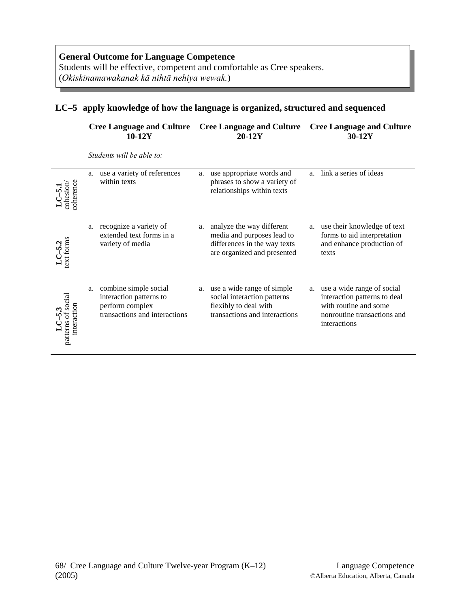## **LC–5 apply knowledge of how the language is organized, structured and sequenced**

|        | <b>Cree Language and Culture Cree Language and Culture Cree Language and Culture</b> |          |
|--------|--------------------------------------------------------------------------------------|----------|
| 10-12Y | $20-12Y$                                                                             | $30-12Y$ |

*Students will be able to:* 

| coherence<br>cohesion   | a. | use a variety of references<br>within texts                                                          | a. | use appropriate words and<br>phrases to show a variety of<br>relationships within texts                                |    | a. link a series of ideas                                                                                                          |
|-------------------------|----|------------------------------------------------------------------------------------------------------|----|------------------------------------------------------------------------------------------------------------------------|----|------------------------------------------------------------------------------------------------------------------------------------|
| LC-5.2<br>text forms    | a. | recognize a variety of<br>extended text forms in a<br>variety of media                               | a. | analyze the way different<br>media and purposes lead to<br>differences in the way texts<br>are organized and presented | a. | use their knowledge of text<br>forms to aid interpretation<br>and enhance production of<br>texts                                   |
| interactior<br>patterns | a. | combine simple social<br>interaction patterns to<br>perform complex<br>transactions and interactions | a. | use a wide range of simple<br>social interaction patterns<br>flexibly to deal with<br>transactions and interactions    | a. | use a wide range of social<br>interaction patterns to deal<br>with routine and some<br>nonroutine transactions and<br>interactions |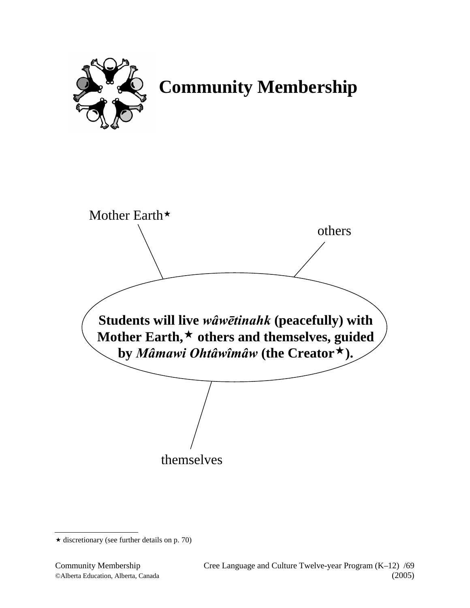

# **Community Membership**

**Students will live** *wâwētinahk* **(peacefully) with**  Mother Earth, **\*** others and themselves, guided **by** *Mâmawi Ohtâwîmâw* **(the Creator).**  Mother Earth \* themselves others

 $\star$  discretionary (see further details on p. 70)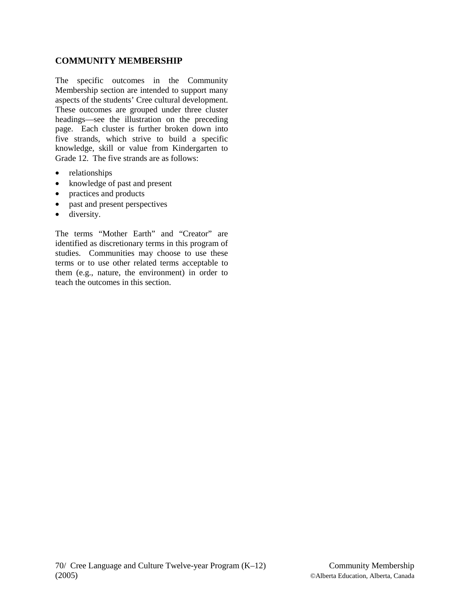#### **COMMUNITY MEMBERSHIP**

The specific outcomes in the Community Membership section are intended to support many aspects of the students' Cree cultural development. These outcomes are grouped under three cluster headings—see the illustration on the preceding page. Each cluster is further broken down into five strands, which strive to build a specific knowledge, skill or value from Kindergarten to Grade 12. The five strands are as follows:

- relationships
- knowledge of past and present
- practices and products
- past and present perspectives
- diversity.

The terms "Mother Earth" and "Creator" are identified as discretionary terms in this program of studies. Communities may choose to use these terms or to use other related terms acceptable to them (e.g., nature, the environment) in order to teach the outcomes in this section.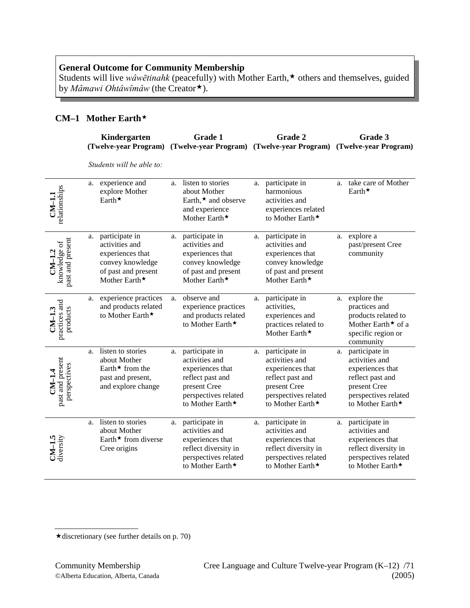#### **General Outcome for Community Membership**

Students will live *wâwētinahk* (peacefully) with Mother Earth,  $\star$  others and themselves, guided by *Mâmawi Ohtâwîmâw* (the Creator<sup>\*</sup>).

#### **CM–1 Mother Earth**

|                                              | Kindergarten |                                                                                                                     | Grade 1<br>(Twelve-year Program) (Twelve-year Program) (Twelve-year Program) (Twelve-year Program) |                                                                                                                                      | Grade 2 |                                                                                                                                      | Grade 3 |                                                                                                                                                  |  |
|----------------------------------------------|--------------|---------------------------------------------------------------------------------------------------------------------|----------------------------------------------------------------------------------------------------|--------------------------------------------------------------------------------------------------------------------------------------|---------|--------------------------------------------------------------------------------------------------------------------------------------|---------|--------------------------------------------------------------------------------------------------------------------------------------------------|--|
|                                              |              | Students will be able to:                                                                                           |                                                                                                    |                                                                                                                                      |         |                                                                                                                                      |         |                                                                                                                                                  |  |
| CM-1.1<br>relationships                      | a.           | experience and<br>explore Mother<br>Earth $\star$                                                                   | a.                                                                                                 | listen to stories<br>about Mother<br>Earth, $\star$ and observe<br>and experience<br>Mother Earth*                                   | a.      | participate in<br>harmonious<br>activities and<br>experiences related<br>to Mother Earth★                                            | a.      | take care of Mother<br>Earth*                                                                                                                    |  |
| past and present<br>knowledge of<br>$CM-1.2$ |              | a. participate in<br>activities and<br>experiences that<br>convey knowledge<br>of past and present<br>Mother Earth* |                                                                                                    | a. participate in<br>activities and<br>experiences that<br>convey knowledge<br>of past and present<br>Mother Earth*                  | a.      | participate in<br>activities and<br>experiences that<br>convey knowledge<br>of past and present<br>Mother Earth <sup>★</sup>         | a.      | explore a<br>past/present Cree<br>community                                                                                                      |  |
| practices and<br>products<br>$CM-1.3$        | a.           | experience practices<br>and products related<br>to Mother Earth★                                                    | a.                                                                                                 | observe and<br>experience practices<br>and products related<br>to Mother Earth ★                                                     | a.      | participate in<br>activities,<br>experiences and<br>practices related to<br>Mother Earth*                                            | а.      | explore the<br>practices and<br>products related to<br>Mother Earth ★ of a<br>specific region or<br>community                                    |  |
| past and present<br>perspectives<br>$CM-1.4$ | a.           | listen to stories<br>about Mother<br>Earth $\star$ from the<br>past and present,<br>and explore change              | a.                                                                                                 | participate in<br>activities and<br>experiences that<br>reflect past and<br>present Cree<br>perspectives related<br>to Mother Earth★ | а.      | participate in<br>activities and<br>experiences that<br>reflect past and<br>present Cree<br>perspectives related<br>to Mother Earth★ | а.      | participate in<br>activities and<br>experiences that<br>reflect past and<br>present Cree<br>perspectives related<br>to Mother Earth <sup>★</sup> |  |
| $CM-1.5$<br>diversity                        | a.           | listen to stories<br>about Mother<br>Earth $\star$ from diverse<br>Cree origins                                     | a.                                                                                                 | participate in<br>activities and<br>experiences that<br>reflect diversity in<br>perspectives related<br>to Mother Earth <sup>★</sup> | a.      | participate in<br>activities and<br>experiences that<br>reflect diversity in<br>perspectives related<br>to Mother Earth <sup>★</sup> |         | a. participate in<br>activities and<br>experiences that<br>reflect diversity in<br>perspectives related<br>to Mother Earth <sup>★</sup>          |  |

 $\star$  discretionary (see further details on p. 70)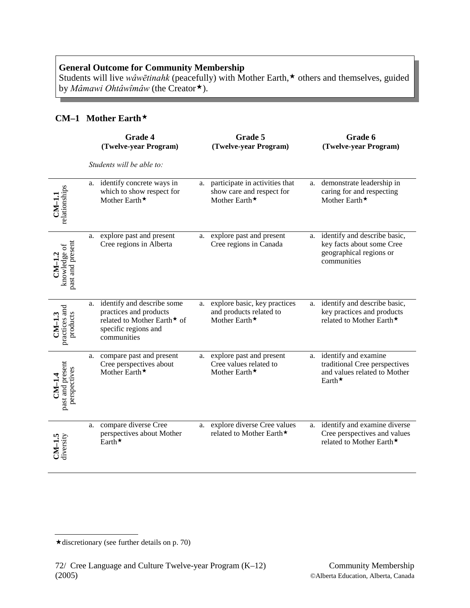#### **General Outcome for Community Membership**

Students will live *wâwētinahk* (peacefully) with Mother Earth,  $\star$  others and themselves, guided by *Mâmawi Ohtâwîmâw* (the Creator<sup>\*</sup>).

#### **CM–1 Mother Earth**

|                                              | Grade 4<br>(Twelve-year Program) |                                                                                                                             | Grade 5<br>(Twelve-year Program) |                                                                              | Grade 6<br>(Twelve-year Program) |                                                                                                           |
|----------------------------------------------|----------------------------------|-----------------------------------------------------------------------------------------------------------------------------|----------------------------------|------------------------------------------------------------------------------|----------------------------------|-----------------------------------------------------------------------------------------------------------|
|                                              |                                  | Students will be able to:                                                                                                   |                                  |                                                                              |                                  |                                                                                                           |
| relationships<br>$CM-1.1$                    |                                  | a. identify concrete ways in<br>which to show respect for<br>Mother Earth*                                                  | a.                               | participate in activities that<br>show care and respect for<br>Mother Earth* | a.                               | demonstrate leadership in<br>caring for and respecting<br>Mother Earth*                                   |
| past and present<br>knowledge of<br>$CM-1.2$ | а.                               | explore past and present<br>Cree regions in Alberta                                                                         |                                  | a. explore past and present<br>Cree regions in Canada                        | а.                               | identify and describe basic,<br>key facts about some Cree<br>geographical regions or<br>communities       |
| practices and<br>products<br>$CM-1.3$        | a.                               | identify and describe some<br>practices and products<br>related to Mother Earth ★ of<br>specific regions and<br>communities | a.                               | explore basic, key practices<br>and products related to<br>Mother Earth*     | a.                               | identify and describe basic,<br>key practices and products<br>related to Mother Earth <sup>★</sup>        |
| past and present<br>perspectives<br>$CM-1.4$ |                                  | a. compare past and present<br>Cree perspectives about<br>Mother Earth*                                                     | a.                               | explore past and present<br>Cree values related to<br>Mother Earth★          |                                  | a. identify and examine<br>traditional Cree perspectives<br>and values related to Mother<br>Earth $\star$ |
| $CM-1.5$<br>diversity                        | a.                               | compare diverse Cree<br>perspectives about Mother<br>Earth $\star$                                                          | a.                               | explore diverse Cree values<br>related to Mother Earth <sup>★</sup>          | a.                               | identify and examine diverse<br>Cree perspectives and values<br>related to Mother Earth ★                 |

 $\star$  discretionary (see further details on p. 70)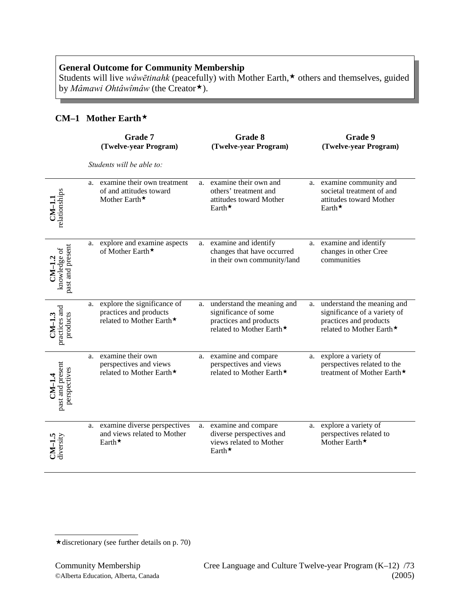Students will live *wâwētinahk* (peacefully) with Mother Earth,  $\star$  others and themselves, guided by *Mâmawi Ohtâwîmâw* (the Creator<sup>\*</sup>).

# **CM–1 Mother Earth**

|                                              |    | Grade 7<br>(Twelve-year Program)                                                              |    | <b>Grade 8</b><br>(Twelve-year Program)                                                                  |    | Grade 9<br>(Twelve-year Program)                                                                                  |
|----------------------------------------------|----|-----------------------------------------------------------------------------------------------|----|----------------------------------------------------------------------------------------------------------|----|-------------------------------------------------------------------------------------------------------------------|
|                                              |    | Students will be able to:                                                                     |    |                                                                                                          |    |                                                                                                                   |
| relationships<br>$CM-1.1$                    |    | a. examine their own treatment<br>of and attitudes toward<br>Mother Earth $\star$             | a. | examine their own and<br>others' treatment and<br>attitudes toward Mother<br>Earth $\star$               |    | a. examine community and<br>societal treatment of and<br>attitudes toward Mother<br>Earth $\star$                 |
| past and present<br>knowledge of<br>$CM-1.2$ |    | a. explore and examine aspects<br>of Mother Earth <sup>★</sup>                                | a. | examine and identify<br>changes that have occurred<br>in their own community/land                        | a. | examine and identify<br>changes in other Cree<br>communities                                                      |
| practices and<br>products<br>$CM-1.3$        | a. | explore the significance of<br>practices and products<br>related to Mother Earth <sup>★</sup> | a. | understand the meaning and<br>significance of some<br>practices and products<br>related to Mother Earth★ | a. | understand the meaning and<br>significance of a variety of<br>practices and products<br>related to Mother Earth ★ |
| past and present<br>perspectives<br>$CM-1.4$ |    | a. examine their own<br>perspectives and views<br>related to Mother Earth ★                   |    | a. examine and compare<br>perspectives and views<br>related to Mother Earth <sup>★</sup>                 |    | a. explore a variety of<br>perspectives related to the<br>treatment of Mother Earth★                              |
| $CM-1.5$<br>diversity                        |    | a. examine diverse perspectives<br>and views related to Mother<br>Earth $\star$               | a. | examine and compare<br>diverse perspectives and<br>views related to Mother<br>Earth $\star$              | a. | explore a variety of<br>perspectives related to<br>Mother Earth <sup>*</sup>                                      |

 $\star$  discretionary (see further details on p. 70)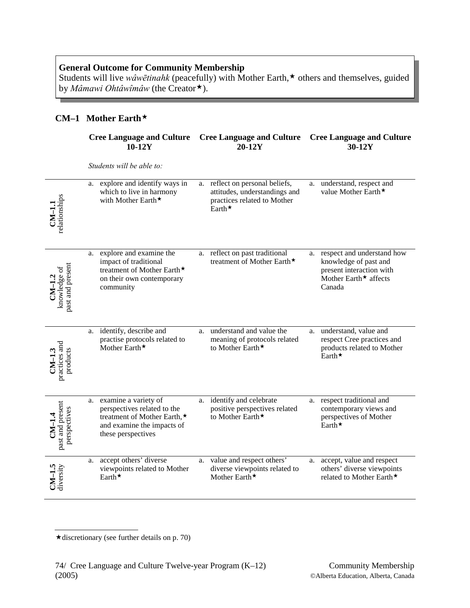Students will live *wâwētinahk* (peacefully) with Mother Earth,  $\star$  others and themselves, guided by *Mâmawi Ohtâwîmâw* (the Creator<sup>\*</sup>).

## **CM–1 Mother Earth**

|                                              | <b>Cree Language and Culture</b><br>$10-12Y$ |                                                                                                                                            | <b>Cree Language and Culture</b><br>$20-12Y$ |                                                                                                               |    | <b>Cree Language and Culture</b><br>30-12Y                                                                         |  |  |
|----------------------------------------------|----------------------------------------------|--------------------------------------------------------------------------------------------------------------------------------------------|----------------------------------------------|---------------------------------------------------------------------------------------------------------------|----|--------------------------------------------------------------------------------------------------------------------|--|--|
|                                              |                                              | Students will be able to:                                                                                                                  |                                              |                                                                                                               |    |                                                                                                                    |  |  |
| relationships<br>$CM-1.1$                    |                                              | a. explore and identify ways in<br>which to live in harmony<br>with Mother Earth $\star$                                                   | a.                                           | reflect on personal beliefs,<br>attitudes, understandings and<br>practices related to Mother<br>Earth $\star$ | a. | understand, respect and<br>value Mother Earth★                                                                     |  |  |
| past and present<br>$CM-1.2$<br>knowledge of |                                              | a. explore and examine the<br>impact of traditional<br>treatment of Mother Earth <sup>★</sup><br>on their own contemporary<br>community    | a.                                           | reflect on past traditional<br>treatment of Mother Earth★                                                     | a. | respect and understand how<br>knowledge of past and<br>present interaction with<br>Mother Earth★ affects<br>Canada |  |  |
| practices and<br>products<br>$CM-1.3$        |                                              | a. identify, describe and<br>practise protocols related to<br>Mother Earth*                                                                | a.                                           | understand and value the<br>meaning of protocols related<br>to Mother Earth <sup>★</sup>                      | a. | understand, value and<br>respect Cree practices and<br>products related to Mother<br>Earth*                        |  |  |
| past and present<br>perspectives<br>$CM-1.4$ |                                              | a. examine a variety of<br>perspectives related to the<br>treatment of Mother Earth, ★<br>and examine the impacts of<br>these perspectives | a.                                           | identify and celebrate<br>positive perspectives related<br>to Mother Earth ★                                  | a. | respect traditional and<br>contemporary views and<br>perspectives of Mother<br>Earth $\star$                       |  |  |
| $CM-1.5$<br>diversity                        | a.                                           | accept others' diverse<br>viewpoints related to Mother<br>Earth $\star$                                                                    | a.                                           | value and respect others'<br>diverse viewpoints related to<br>Mother Earth $\star$                            | a. | accept, value and respect<br>others' diverse viewpoints<br>related to Mother Earth★                                |  |  |

 $\star$  discretionary (see further details on p. 70)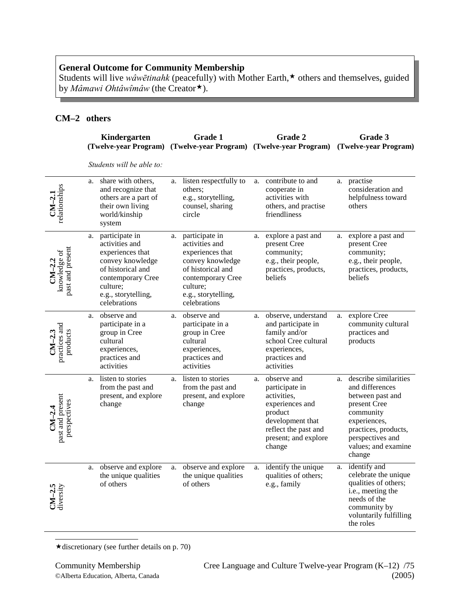Students will live *wâwētinahk* (peacefully) with Mother Earth,  $\star$  others and themselves, guided by *Mâmawi Ohtâwîmâw* (the Creator<sup>\*</sup>).

# **CM–2 others**

|                                              |    | Kindergarten<br>(Twelve-year Program) (Twelve-year Program) (Twelve-year Program)                                                                                     |    | <b>Grade 1</b>                                                                                                                                                        |    | Grade 2                                                                                                                                                  |    | Grade 3<br>(Twelve-year Program)                                                                                                                                                       |
|----------------------------------------------|----|-----------------------------------------------------------------------------------------------------------------------------------------------------------------------|----|-----------------------------------------------------------------------------------------------------------------------------------------------------------------------|----|----------------------------------------------------------------------------------------------------------------------------------------------------------|----|----------------------------------------------------------------------------------------------------------------------------------------------------------------------------------------|
|                                              |    | Students will be able to:                                                                                                                                             |    |                                                                                                                                                                       |    |                                                                                                                                                          |    |                                                                                                                                                                                        |
| relationships<br>$CM-2.1$                    |    | a. share with others,<br>and recognize that<br>others are a part of<br>their own living<br>world/kinship<br>system                                                    |    | a. listen respectfully to<br>others:<br>e.g., storytelling,<br>counsel, sharing<br>circle                                                                             | a. | contribute to and<br>cooperate in<br>activities with<br>others, and practise<br>friendliness                                                             |    | a. practise<br>consideration and<br>helpfulness toward<br>others                                                                                                                       |
| past and present<br>$CM-2.2$<br>knowledge of | a. | participate in<br>activities and<br>experiences that<br>convey knowledge<br>of historical and<br>contemporary Cree<br>culture;<br>e.g., storytelling,<br>celebrations | a. | participate in<br>activities and<br>experiences that<br>convey knowledge<br>of historical and<br>contemporary Cree<br>culture;<br>e.g., storytelling,<br>celebrations | a. | explore a past and<br>present Cree<br>community;<br>e.g., their people,<br>practices, products,<br>beliefs                                               | a. | explore a past and<br>present Cree<br>community;<br>e.g., their people,<br>practices, products,<br>beliefs                                                                             |
| $CM-2.3$<br>practices and<br>products        | a. | observe and<br>participate in a<br>group in Cree<br>cultural<br>experiences,<br>practices and<br>activities                                                           | a. | observe and<br>participate in a<br>group in Cree<br>cultural<br>experiences,<br>practices and<br>activities                                                           | a. | observe, understand<br>and participate in<br>family and/or<br>school Cree cultural<br>experiences,<br>practices and<br>activities                        | a. | explore Cree<br>community cultural<br>practices and<br>products                                                                                                                        |
| $CM-2.4$ past and present<br>perspectives    | a. | listen to stories<br>from the past and<br>present, and explore<br>change                                                                                              | a. | listen to stories<br>from the past and<br>present, and explore<br>change                                                                                              | a. | observe and<br>participate in<br>activities,<br>experiences and<br>product<br>development that<br>reflect the past and<br>present; and explore<br>change | a. | describe similarities<br>and differences<br>between past and<br>present Cree<br>community<br>experiences,<br>practices, products,<br>perspectives and<br>values; and examine<br>change |
| $CM-2.5$<br>diversity                        | a. | observe and explore<br>the unique qualities<br>of others                                                                                                              | a. | observe and explore<br>the unique qualities<br>of others                                                                                                              | a. | identify the unique<br>qualities of others;<br>e.g., family                                                                                              | a. | identify and<br>celebrate the unique<br>qualities of others;<br>i.e., meeting the<br>needs of the<br>community by<br>voluntarily fulfilling<br>the roles                               |

 $\star$  discretionary (see further details on p. 70)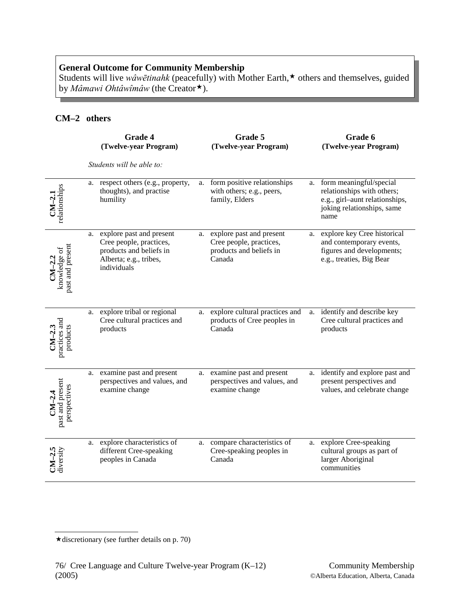Students will live *wâwētinahk* (peacefully) with Mother Earth,  $\star$  others and themselves, guided by *Mâmawi Ohtâwîmâw* (the Creator<sup>\*</sup>).

# **CM–2 others**

|                                              |    | Grade 4<br>(Twelve-year Program)                                                                                        |    | Grade 5<br>(Twelve-year Program)                                                         |    | Grade 6<br>(Twelve-year Program)                                                                                              |
|----------------------------------------------|----|-------------------------------------------------------------------------------------------------------------------------|----|------------------------------------------------------------------------------------------|----|-------------------------------------------------------------------------------------------------------------------------------|
|                                              |    | Students will be able to:                                                                                               |    |                                                                                          |    |                                                                                                                               |
| CM-2.1<br>relationships                      |    | a. respect others (e.g., property,<br>thoughts), and practise<br>humility                                               | a. | form positive relationships<br>with others; e.g., peers,<br>family, Elders               | a. | form meaningful/special<br>relationships with others;<br>e.g., girl-aunt relationships,<br>joking relationships, same<br>name |
| past and present<br>$CM-2.2$<br>knowledge of | a. | explore past and present<br>Cree people, practices,<br>products and beliefs in<br>Alberta; e.g., tribes,<br>individuals | a. | explore past and present<br>Cree people, practices,<br>products and beliefs in<br>Canada | a. | explore key Cree historical<br>and contemporary events,<br>figures and developments;<br>e.g., treaties, Big Bear              |
| practices and<br>products<br>$CM-2.3$        |    | a. explore tribal or regional<br>Cree cultural practices and<br>products                                                | a. | explore cultural practices and<br>products of Cree peoples in<br>Canada                  | a. | identify and describe key<br>Cree cultural practices and<br>products                                                          |
| past and present<br>perspectives<br>$CM-2.4$ |    | a. examine past and present<br>perspectives and values, and<br>examine change                                           | a. | examine past and present<br>perspectives and values, and<br>examine change               |    | a. identify and explore past and<br>present perspectives and<br>values, and celebrate change                                  |
| $CM-2.5$<br>diversity                        |    | a. explore characteristics of<br>different Cree-speaking<br>peoples in Canada                                           |    | a. compare characteristics of<br>Cree-speaking peoples in<br>Canada                      | a. | explore Cree-speaking<br>cultural groups as part of<br>larger Aboriginal<br>communities                                       |

 $\star$  discretionary (see further details on p. 70)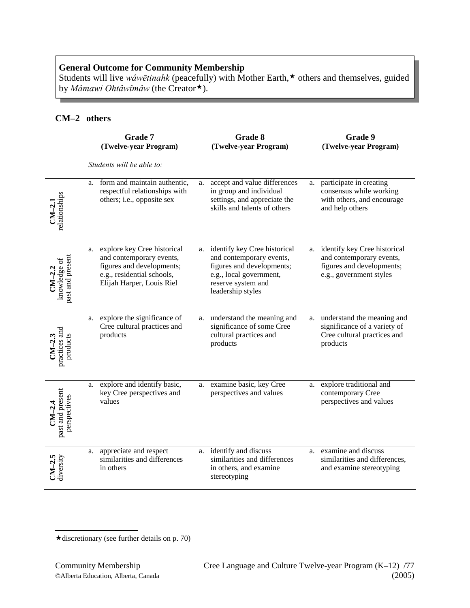Students will live *wâwētinahk* (peacefully) with Mother Earth,  $\star$  others and themselves, guided by *Mâmawi Ohtâwîmâw* (the Creator<sup>\*</sup>).

# **CM–2 others**

|                                              |    | Grade 7<br>(Twelve-year Program)                                                                                                                |    | Grade 8<br>(Twelve-year Program)                                                                                                                               |    | Grade 9<br>(Twelve-year Program)                                                                                 |
|----------------------------------------------|----|-------------------------------------------------------------------------------------------------------------------------------------------------|----|----------------------------------------------------------------------------------------------------------------------------------------------------------------|----|------------------------------------------------------------------------------------------------------------------|
|                                              |    | Students will be able to:                                                                                                                       |    |                                                                                                                                                                |    |                                                                                                                  |
| relationships                                | a. | form and maintain authentic,<br>respectful relationships with<br>others; i.e., opposite sex                                                     |    | a. accept and value differences<br>in group and individual<br>settings, and appreciate the<br>skills and talents of others                                     | a. | participate in creating<br>consensus while working<br>with others, and encourage<br>and help others              |
| past and present<br>knowledge of<br>$CM-2.2$ | a. | explore key Cree historical<br>and contemporary events,<br>figures and developments;<br>e.g., residential schools,<br>Elijah Harper, Louis Riel |    | a. identify key Cree historical<br>and contemporary events,<br>figures and developments;<br>e.g., local government,<br>reserve system and<br>leadership styles | a. | identify key Cree historical<br>and contemporary events,<br>figures and developments;<br>e.g., government styles |
| practices and<br>products<br>$CM-2.3$        | a. | explore the significance of<br>Cree cultural practices and<br>products                                                                          |    | a. understand the meaning and<br>significance of some Cree<br>cultural practices and<br>products                                                               | a. | understand the meaning and<br>significance of a variety of<br>Cree cultural practices and<br>products            |
| past and present<br>perspectives<br>$CM-2.4$ | a. | explore and identify basic,<br>key Cree perspectives and<br>values                                                                              | a. | examine basic, key Cree<br>perspectives and values                                                                                                             | a. | explore traditional and<br>contemporary Cree<br>perspectives and values                                          |
| diversity                                    |    | a. appreciate and respect<br>similarities and differences<br>in others                                                                          |    | a. identify and discuss<br>similarities and differences<br>in others, and examine<br>stereotyping                                                              |    | a. examine and discuss<br>similarities and differences,<br>and examine stereotyping                              |

 $\star$  discretionary (see further details on p. 70)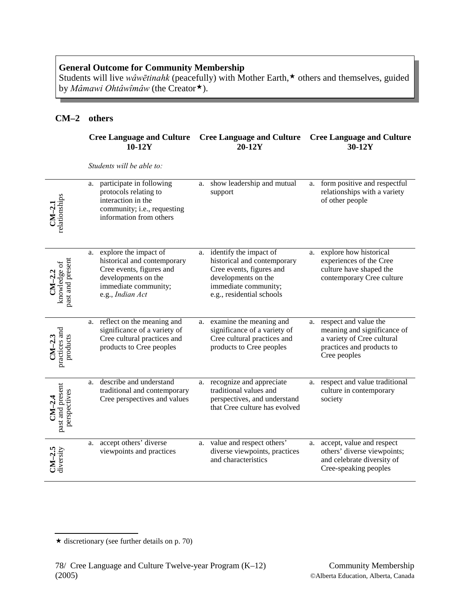Students will live *wâwētinahk* (peacefully) with Mother Earth,  $\star$  others and themselves, guided by *Mâmawi Ohtâwîmâw* (the Creator<sup>\*</sup>).

# **CM–2 others**

|                                              | <b>Cree Language and Culture</b><br>$10-12Y$ |                                                                                                                                                     | <b>Cree Language and Culture</b><br>$20-12Y$ |                                                                                                                                                                  |    | <b>Cree Language and Culture</b><br>30-12Y                                                                                         |  |  |
|----------------------------------------------|----------------------------------------------|-----------------------------------------------------------------------------------------------------------------------------------------------------|----------------------------------------------|------------------------------------------------------------------------------------------------------------------------------------------------------------------|----|------------------------------------------------------------------------------------------------------------------------------------|--|--|
|                                              |                                              | Students will be able to:                                                                                                                           |                                              |                                                                                                                                                                  |    |                                                                                                                                    |  |  |
| $CM-2.1$<br>relationships                    | a.                                           | participate in following<br>protocols relating to<br>interaction in the<br>community; i.e., requesting<br>information from others                   | a.                                           | show leadership and mutual<br>support                                                                                                                            | a. | form positive and respectful<br>relationships with a variety<br>of other people                                                    |  |  |
| past and present<br>$CM-2.2$<br>knowledge of | a.                                           | explore the impact of<br>historical and contemporary<br>Cree events, figures and<br>developments on the<br>immediate community;<br>e.g., Indian Act |                                              | a. identify the impact of<br>historical and contemporary<br>Cree events, figures and<br>developments on the<br>immediate community;<br>e.g., residential schools | a. | explore how historical<br>experiences of the Cree<br>culture have shaped the<br>contemporary Cree culture                          |  |  |
| $CM-2.3$ practices and<br>products           |                                              | a. reflect on the meaning and<br>significance of a variety of<br>Cree cultural practices and<br>products to Cree peoples                            |                                              | a. examine the meaning and<br>significance of a variety of<br>Cree cultural practices and<br>products to Cree peoples                                            |    | a. respect and value the<br>meaning and significance of<br>a variety of Cree cultural<br>practices and products to<br>Cree peoples |  |  |
| past and present<br>perspectives<br>$CM-2.4$ | a.                                           | describe and understand<br>traditional and contemporary<br>Cree perspectives and values                                                             |                                              | a. recognize and appreciate<br>traditional values and<br>perspectives, and understand<br>that Cree culture has evolved                                           | a. | respect and value traditional<br>culture in contemporary<br>society                                                                |  |  |
| $CM-2.5$<br>diversity                        | a.                                           | accept others' diverse<br>viewpoints and practices                                                                                                  |                                              | a. value and respect others'<br>diverse viewpoints, practices<br>and characteristics                                                                             | a. | accept, value and respect<br>others' diverse viewpoints;<br>and celebrate diversity of<br>Cree-speaking peoples                    |  |  |

 $\star$  discretionary (see further details on p. 70)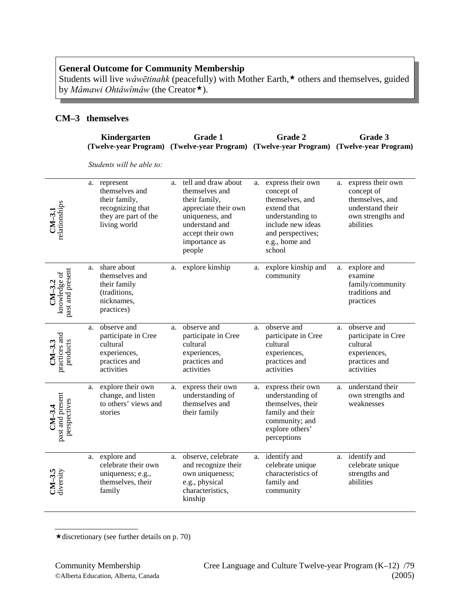Students will live *wâwētinahk* (peacefully) with Mother Earth,  $\star$  others and themselves, guided by *Mâmawi Ohtâwîmâw* (the Creator<sup>\*</sup>).

#### **CM–3 themselves**

|                                              | Kindergarten                                                                                                |    | <b>Grade 1</b><br>(Twelve-year Program) (Twelve-year Program) (Twelve-year Program) (Twelve-year Program)                                                             |    | Grade 2                                                                                                                                                     |    | Grade 3                                                                                                     |
|----------------------------------------------|-------------------------------------------------------------------------------------------------------------|----|-----------------------------------------------------------------------------------------------------------------------------------------------------------------------|----|-------------------------------------------------------------------------------------------------------------------------------------------------------------|----|-------------------------------------------------------------------------------------------------------------|
|                                              | Students will be able to:                                                                                   |    |                                                                                                                                                                       |    |                                                                                                                                                             |    |                                                                                                             |
| relationships                                | a. represent<br>themselves and<br>their family,<br>recognizing that<br>they are part of the<br>living world |    | a. tell and draw about<br>themselves and<br>their family,<br>appreciate their own<br>uniqueness, and<br>understand and<br>accept their own<br>importance as<br>people | a. | express their own<br>concept of<br>themselves, and<br>extend that<br>understanding to<br>include new ideas<br>and perspectives;<br>e.g., home and<br>school |    | a. express their own<br>concept of<br>themselves, and<br>understand their<br>own strengths and<br>abilities |
| past and present<br>$CM-3.2$<br>knowledge of | share about<br>a.<br>themselves and<br>their family<br>(traditions,<br>nicknames,<br>practices)             | a. | explore kinship                                                                                                                                                       | a. | explore kinship and<br>community                                                                                                                            | a. | explore and<br>examine<br>family/community<br>traditions and<br>practices                                   |
| practices and<br>products<br>$CM-3.3$        | observe and<br>a.<br>participate in Cree<br>cultural<br>experiences,<br>practices and<br>activities         | a. | observe and<br>participate in Cree<br>cultural<br>experiences,<br>practices and<br>activities                                                                         | a. | observe and<br>participate in Cree<br>cultural<br>experiences,<br>practices and<br>activities                                                               | a. | observe and<br>participate in Cree<br>cultural<br>experiences,<br>practices and<br>activities               |
| past and present<br>perspectives<br>$CM-3.4$ | a. explore their own<br>change, and listen<br>to others' views and<br>stories                               | a. | express their own<br>understanding of<br>themselves and<br>their family                                                                                               | a. | express their own<br>understanding of<br>themselves, their<br>family and their<br>community; and<br>explore others'<br>perceptions                          |    | a. understand their<br>own strengths and<br>weaknesses                                                      |
| $CM-3.5$<br>diversity                        | explore and<br>a.<br>celebrate their own<br>uniqueness; e.g.,<br>themselves, their<br>family                | a. | observe, celebrate<br>and recognize their<br>own uniqueness;<br>e.g., physical<br>characteristics,<br>kinship                                                         | a. | identify and<br>celebrate unique<br>characteristics of<br>family and<br>community                                                                           | a. | identify and<br>celebrate unique<br>strengths and<br>abilities                                              |

 $\star$  discretionary (see further details on p. 70)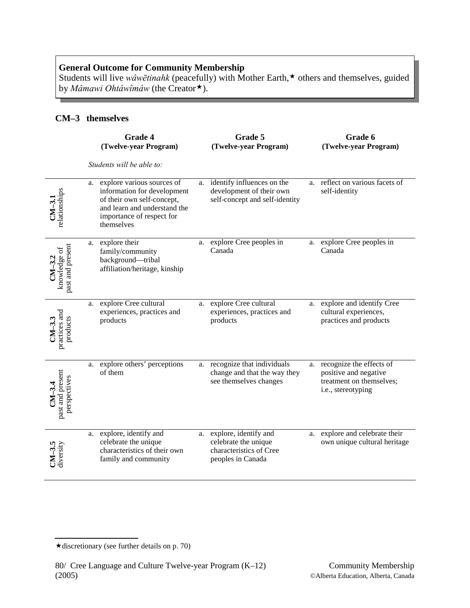Students will live *wâwētinahk* (peacefully) with Mother Earth,  $\star$  others and themselves, guided by *Mâmawi Ohtâwîmâw* (the Creator<sup>\*</sup>).

# **CM–3 themselves**

|                                              |    | Grade 4<br>(Twelve-year Program)                                                                                                                                   |    | Grade 5<br>(Twelve-year Program)                                                              |    | Grade 6<br>(Twelve-year Program)                                                                       |
|----------------------------------------------|----|--------------------------------------------------------------------------------------------------------------------------------------------------------------------|----|-----------------------------------------------------------------------------------------------|----|--------------------------------------------------------------------------------------------------------|
|                                              |    | Students will be able to:                                                                                                                                          |    |                                                                                               |    |                                                                                                        |
| relationships                                | a. | explore various sources of<br>information for development<br>of their own self-concept,<br>and learn and understand the<br>importance of respect for<br>themselves |    | a. identify influences on the<br>development of their own<br>self-concept and self-identity   |    | a. reflect on various facets of<br>self-identity                                                       |
| past and present<br>$CM-3.2$<br>knowledge of |    | a. explore their<br>family/community<br>background-tribal<br>affiliation/heritage, kinship                                                                         |    | a. explore Cree peoples in<br>Canada                                                          |    | a. explore Cree peoples in<br>Canada                                                                   |
| practices and<br>products<br>$CM-3.3$        | a. | explore Cree cultural<br>experiences, practices and<br>products                                                                                                    | a. | explore Cree cultural<br>experiences, practices and<br>products                               | a. | explore and identify Cree<br>cultural experiences,<br>practices and products                           |
| past and present<br>perspectives<br>$CM-3.4$ | a. | explore others' perceptions<br>of them                                                                                                                             |    | a. recognize that individuals<br>change and that the way they<br>see themselves changes       |    | a. recognize the effects of<br>positive and negative<br>treatment on themselves;<br>i.e., stereotyping |
| diversity                                    |    | a. explore, identify and<br>celebrate the unique<br>characteristics of their own<br>family and community                                                           | а. | explore, identify and<br>celebrate the unique<br>characteristics of Cree<br>peoples in Canada | a. | explore and celebrate their<br>own unique cultural heritage                                            |

 $\star$  discretionary (see further details on p. 70)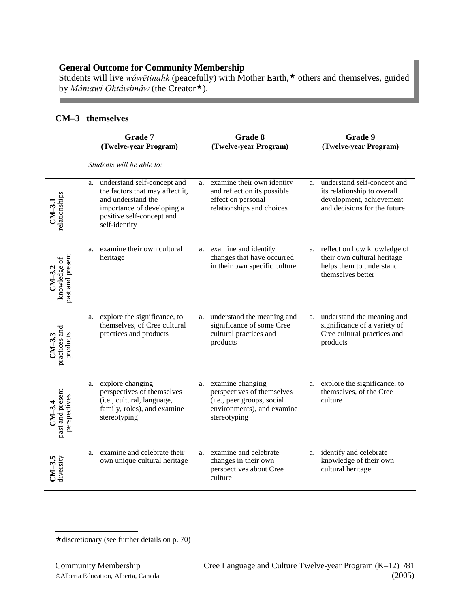Students will live *wâwētinahk* (peacefully) with Mother Earth,  $\star$  others and themselves, guided by *Mâmawi Ohtâwîmâw* (the Creator<sup>\*</sup>).

# **CM–3 themselves**

|                                              |    | Grade 7<br>(Twelve-year Program)                                                                                                                                    |    | Grade 8<br>(Twelve-year Program)                                                                                           |    | Grade 9<br>(Twelve-year Program)                                                                                       |
|----------------------------------------------|----|---------------------------------------------------------------------------------------------------------------------------------------------------------------------|----|----------------------------------------------------------------------------------------------------------------------------|----|------------------------------------------------------------------------------------------------------------------------|
|                                              |    | Students will be able to:                                                                                                                                           |    |                                                                                                                            |    |                                                                                                                        |
| relationships                                |    | a. understand self-concept and<br>the factors that may affect it,<br>and understand the<br>importance of developing a<br>positive self-concept and<br>self-identity | a. | examine their own identity<br>and reflect on its possible<br>effect on personal<br>relationships and choices               | a. | understand self-concept and<br>its relationship to overall<br>development, achievement<br>and decisions for the future |
| past and present<br>knowledge of<br>$CM-3.2$ | a. | examine their own cultural<br>heritage                                                                                                                              | a. | examine and identify<br>changes that have occurred<br>in their own specific culture                                        |    | a. reflect on how knowledge of<br>their own cultural heritage<br>helps them to understand<br>themselves better         |
| practices and<br>products<br>$CM-3.3$        |    | a. explore the significance, to<br>themselves, of Cree cultural<br>practices and products                                                                           | а. | understand the meaning and<br>significance of some Cree<br>cultural practices and<br>products                              | a. | understand the meaning and<br>significance of a variety of<br>Cree cultural practices and<br>products                  |
| past and present<br>perspectives<br>$CM-3.4$ | a. | explore changing<br>perspectives of themselves<br>(i.e., cultural, language,<br>family, roles), and examine<br>stereotyping                                         | a. | examine changing<br>perspectives of themselves<br>(i.e., peer groups, social<br>environments), and examine<br>stereotyping | a. | explore the significance, to<br>themselves, of the Cree<br>culture                                                     |
| $CM-3.5$<br>diversity                        |    | a. examine and celebrate their<br>own unique cultural heritage                                                                                                      | a. | examine and celebrate<br>changes in their own<br>perspectives about Cree<br>culture                                        |    | a. identify and celebrate<br>knowledge of their own<br>cultural heritage                                               |

 $\star$  discretionary (see further details on p. 70)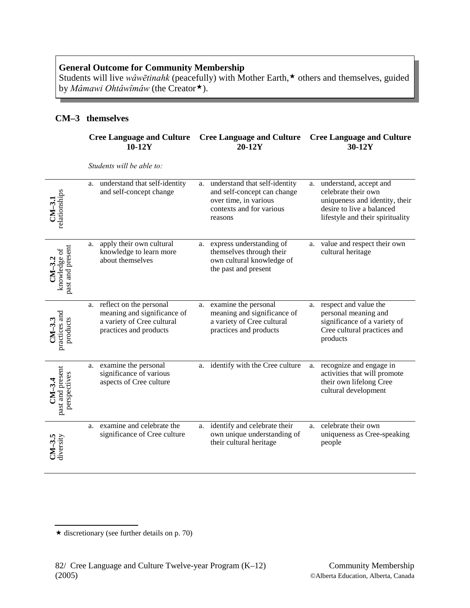Students will live *wâwētinahk* (peacefully) with Mother Earth,  $\star$  others and themselves, guided by *Mâmawi Ohtâwîmâw* (the Creator<sup>\*</sup>).

# **CM–3 themselves**

|                                              | <b>Cree Language and Culture</b><br>$10-12Y$ |                                                                                                                | <b>Cree Language and Culture</b><br>$20-12Y$ |                                                                                                                                 |    | <b>Cree Language and Culture</b><br>30-12Y                                                                                                       |  |  |
|----------------------------------------------|----------------------------------------------|----------------------------------------------------------------------------------------------------------------|----------------------------------------------|---------------------------------------------------------------------------------------------------------------------------------|----|--------------------------------------------------------------------------------------------------------------------------------------------------|--|--|
|                                              |                                              | Students will be able to:                                                                                      |                                              |                                                                                                                                 |    |                                                                                                                                                  |  |  |
| relationships<br>$CM-3.1$                    |                                              | a. understand that self-identity<br>and self-concept change                                                    |                                              | a. understand that self-identity<br>and self-concept can change<br>over time, in various<br>contexts and for various<br>reasons | a. | understand, accept and<br>celebrate their own<br>uniqueness and identity, their<br>desire to live a balanced<br>lifestyle and their spirituality |  |  |
| past and present<br>knowledge of<br>$CM-3.2$ | a.                                           | apply their own cultural<br>knowledge to learn more<br>about themselves                                        |                                              | a. express understanding of<br>themselves through their<br>own cultural knowledge of<br>the past and present                    |    | a. value and respect their own<br>cultural heritage                                                                                              |  |  |
| practices and<br>$CM-3.3$<br>products        | a.                                           | reflect on the personal<br>meaning and significance of<br>a variety of Cree cultural<br>practices and products | a.                                           | examine the personal<br>meaning and significance of<br>a variety of Cree cultural<br>practices and products                     | a. | respect and value the<br>personal meaning and<br>significance of a variety of<br>Cree cultural practices and<br>products                         |  |  |
| past and present<br>perspectives<br>$CM-3.4$ | a.                                           | examine the personal<br>significance of various<br>aspects of Cree culture                                     | a.                                           | identify with the Cree culture                                                                                                  | a. | recognize and engage in<br>activities that will promote<br>their own lifelong Cree<br>cultural development                                       |  |  |
| $CM-3.5$<br>diversity                        |                                              | a. examine and celebrate the<br>significance of Cree culture                                                   | a.                                           | identify and celebrate their<br>own unique understanding of<br>their cultural heritage                                          | a. | celebrate their own<br>uniqueness as Cree-speaking<br>people                                                                                     |  |  |

 $\star$  discretionary (see further details on p. 70)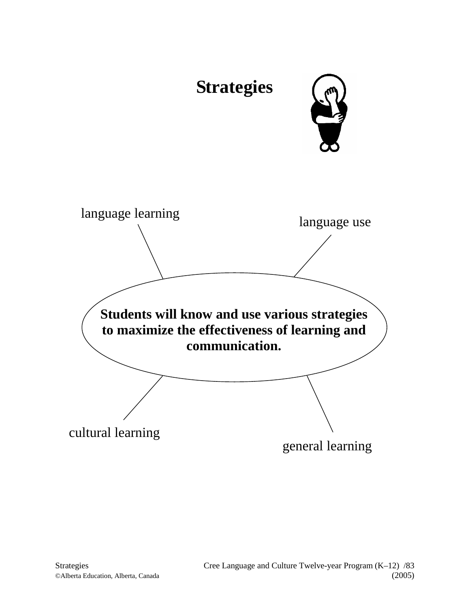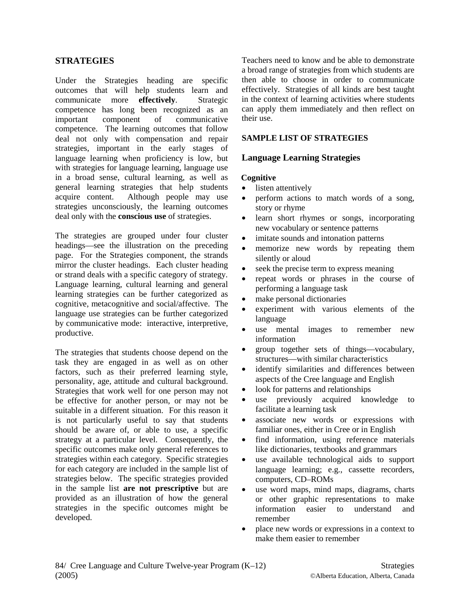# **STRATEGIES**

Under the Strategies heading are specific outcomes that will help students learn and communicate more **effectively**. Strategic competence has long been recognized as an important component of communicative competence. The learning outcomes that follow deal not only with compensation and repair strategies, important in the early stages of language learning when proficiency is low, but with strategies for language learning, language use in a broad sense, cultural learning, as well as general learning strategies that help students acquire content. Although people may use strategies unconsciously, the learning outcomes deal only with the **conscious use** of strategies.

The strategies are grouped under four cluster headings—see the illustration on the preceding page. For the Strategies component, the strands mirror the cluster headings. Each cluster heading or strand deals with a specific category of strategy. Language learning, cultural learning and general learning strategies can be further categorized as cognitive, metacognitive and social/affective. The language use strategies can be further categorized by communicative mode: interactive, interpretive, productive.

The strategies that students choose depend on the task they are engaged in as well as on other factors, such as their preferred learning style, personality, age, attitude and cultural background. Strategies that work well for one person may not be effective for another person, or may not be suitable in a different situation. For this reason it is not particularly useful to say that students should be aware of, or able to use, a specific strategy at a particular level. Consequently, the specific outcomes make only general references to strategies within each category. Specific strategies for each category are included in the sample list of strategies below. The specific strategies provided in the sample list **are not prescriptive** but are provided as an illustration of how the general strategies in the specific outcomes might be developed.

Teachers need to know and be able to demonstrate a broad range of strategies from which students are then able to choose in order to communicate effectively. Strategies of all kinds are best taught in the context of learning activities where students can apply them immediately and then reflect on their use.

## **SAMPLE LIST OF STRATEGIES**

## **Language Learning Strategies**

### **Cognitive**

- listen attentively
- perform actions to match words of a song, story or rhyme
- learn short rhymes or songs, incorporating new vocabulary or sentence patterns
- imitate sounds and intonation patterns
- memorize new words by repeating them silently or aloud
- seek the precise term to express meaning
- repeat words or phrases in the course of performing a language task
- make personal dictionaries
- experiment with various elements of the language
- use mental images to remember new information
- group together sets of things—vocabulary, structures—with similar characteristics
- identify similarities and differences between aspects of the Cree language and English
- look for patterns and relationships
- use previously acquired knowledge to facilitate a learning task
- associate new words or expressions with familiar ones, either in Cree or in English
- find information, using reference materials like dictionaries, textbooks and grammars
- use available technological aids to support language learning; e.g., cassette recorders, computers, CD–ROMs
- use word maps, mind maps, diagrams, charts or other graphic representations to make information easier to understand and remember
- place new words or expressions in a context to make them easier to remember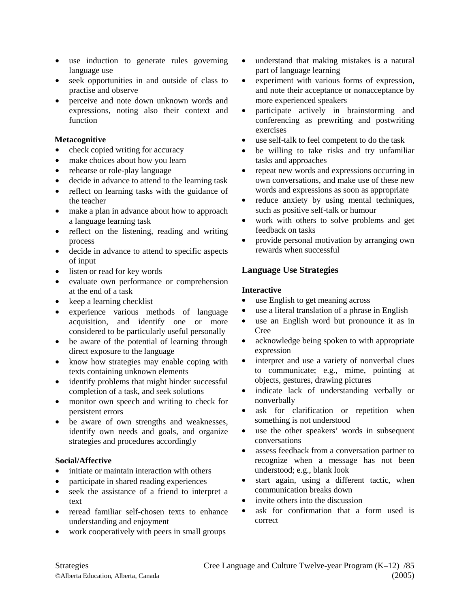- use induction to generate rules governing language use
- seek opportunities in and outside of class to practise and observe
- perceive and note down unknown words and expressions, noting also their context and function

### **Metacognitive**

- check copied writing for accuracy
- make choices about how you learn
- rehearse or role-play language
- decide in advance to attend to the learning task
- reflect on learning tasks with the guidance of the teacher
- make a plan in advance about how to approach a language learning task
- reflect on the listening, reading and writing process
- decide in advance to attend to specific aspects of input
- listen or read for key words
- evaluate own performance or comprehension at the end of a task
- keep a learning checklist
- experience various methods of language acquisition, and identify one or more considered to be particularly useful personally
- be aware of the potential of learning through direct exposure to the language
- know how strategies may enable coping with texts containing unknown elements
- identify problems that might hinder successful completion of a task, and seek solutions
- monitor own speech and writing to check for persistent errors
- be aware of own strengths and weaknesses, identify own needs and goals, and organize strategies and procedures accordingly

## **Social/Affective**

- initiate or maintain interaction with others
- participate in shared reading experiences
- seek the assistance of a friend to interpret a text
- reread familiar self-chosen texts to enhance understanding and enjoyment
- work cooperatively with peers in small groups
- understand that making mistakes is a natural part of language learning
- experiment with various forms of expression, and note their acceptance or nonacceptance by more experienced speakers
- participate actively in brainstorming and conferencing as prewriting and postwriting exercises
- use self-talk to feel competent to do the task
- be willing to take risks and try unfamiliar tasks and approaches
- repeat new words and expressions occurring in own conversations, and make use of these new words and expressions as soon as appropriate
- reduce anxiety by using mental techniques, such as positive self-talk or humour
- work with others to solve problems and get feedback on tasks
- provide personal motivation by arranging own rewards when successful

# **Language Use Strategies**

### **Interactive**

- use English to get meaning across
- use a literal translation of a phrase in English
- use an English word but pronounce it as in Cree
- acknowledge being spoken to with appropriate expression
- interpret and use a variety of nonverbal clues to communicate; e.g., mime, pointing at objects, gestures, drawing pictures
- indicate lack of understanding verbally or nonverbally
- ask for clarification or repetition when something is not understood
- use the other speakers' words in subsequent conversations
- assess feedback from a conversation partner to recognize when a message has not been understood; e.g., blank look
- start again, using a different tactic, when communication breaks down
- invite others into the discussion
- ask for confirmation that a form used is correct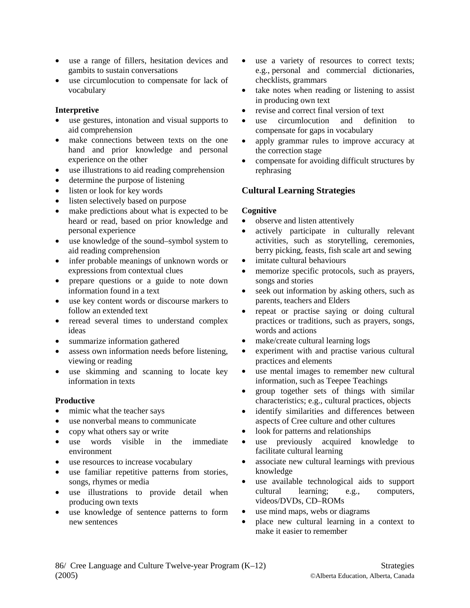- use a range of fillers, hesitation devices and gambits to sustain conversations
- use circumlocution to compensate for lack of vocabulary

## **Interpretive**

- use gestures, intonation and visual supports to aid comprehension
- make connections between texts on the one hand and prior knowledge and personal experience on the other
- use illustrations to aid reading comprehension
- determine the purpose of listening
- listen or look for key words
- listen selectively based on purpose
- make predictions about what is expected to be heard or read, based on prior knowledge and personal experience
- use knowledge of the sound–symbol system to aid reading comprehension
- infer probable meanings of unknown words or expressions from contextual clues
- prepare questions or a guide to note down information found in a text
- use key content words or discourse markers to follow an extended text
- reread several times to understand complex ideas
- summarize information gathered
- assess own information needs before listening, viewing or reading
- use skimming and scanning to locate key information in texts

## **Productive**

- mimic what the teacher says
- use nonverbal means to communicate
- copy what others say or write
- use words visible in the immediate environment
- use resources to increase vocabulary
- use familiar repetitive patterns from stories, songs, rhymes or media
- use illustrations to provide detail when producing own texts
- use knowledge of sentence patterns to form new sentences
- use a variety of resources to correct texts; e.g., personal and commercial dictionaries, checklists, grammars
- take notes when reading or listening to assist in producing own text
- revise and correct final version of text
- use circumlocution and definition to compensate for gaps in vocabulary
- apply grammar rules to improve accuracy at the correction stage
- compensate for avoiding difficult structures by rephrasing

# **Cultural Learning Strategies**

### **Cognitive**

- observe and listen attentively
- actively participate in culturally relevant activities, such as storytelling, ceremonies, berry picking, feasts, fish scale art and sewing
- imitate cultural behaviours
- memorize specific protocols, such as prayers, songs and stories
- seek out information by asking others, such as parents, teachers and Elders
- repeat or practise saying or doing cultural practices or traditions, such as prayers, songs, words and actions
- make/create cultural learning logs
- experiment with and practise various cultural practices and elements
- use mental images to remember new cultural information, such as Teepee Teachings
- group together sets of things with similar characteristics; e.g., cultural practices, objects
- identify similarities and differences between aspects of Cree culture and other cultures
- look for patterns and relationships
- use previously acquired knowledge to facilitate cultural learning
- associate new cultural learnings with previous knowledge
- use available technological aids to support cultural learning; e.g., computers, videos/DVDs, CD–ROMs
- use mind maps, webs or diagrams
- place new cultural learning in a context to make it easier to remember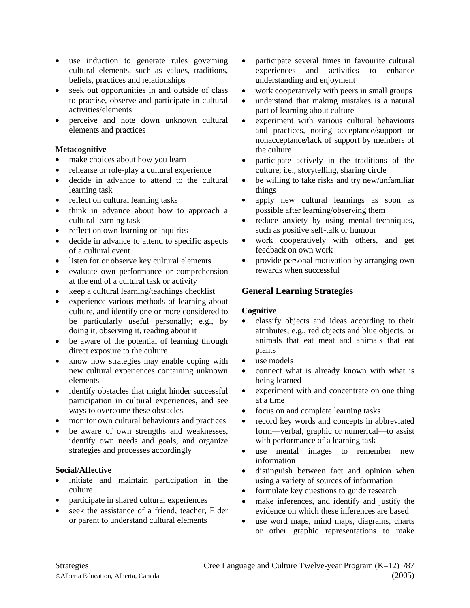- use induction to generate rules governing cultural elements, such as values, traditions, beliefs, practices and relationships
- seek out opportunities in and outside of class to practise, observe and participate in cultural activities/elements
- perceive and note down unknown cultural elements and practices

## **Metacognitive**

- make choices about how you learn
- rehearse or role-play a cultural experience
- decide in advance to attend to the cultural learning task
- reflect on cultural learning tasks
- think in advance about how to approach a cultural learning task
- reflect on own learning or inquiries
- decide in advance to attend to specific aspects of a cultural event
- listen for or observe key cultural elements
- evaluate own performance or comprehension at the end of a cultural task or activity
- keep a cultural learning/teachings checklist
- experience various methods of learning about culture, and identify one or more considered to be particularly useful personally; e.g., by doing it, observing it, reading about it
- be aware of the potential of learning through direct exposure to the culture
- know how strategies may enable coping with new cultural experiences containing unknown elements
- identify obstacles that might hinder successful participation in cultural experiences, and see ways to overcome these obstacles
- monitor own cultural behaviours and practices
- be aware of own strengths and weaknesses, identify own needs and goals, and organize strategies and processes accordingly

## **Social/Affective**

- initiate and maintain participation in the culture
- participate in shared cultural experiences
- seek the assistance of a friend, teacher, Elder or parent to understand cultural elements
- participate several times in favourite cultural experiences and activities to enhance understanding and enjoyment
- work cooperatively with peers in small groups
- understand that making mistakes is a natural part of learning about culture
- experiment with various cultural behaviours and practices, noting acceptance/support or nonacceptance/lack of support by members of the culture
- participate actively in the traditions of the culture; i.e., storytelling, sharing circle
- be willing to take risks and try new/unfamiliar things
- apply new cultural learnings as soon as possible after learning/observing them
- reduce anxiety by using mental techniques, such as positive self-talk or humour
- work cooperatively with others, and get feedback on own work
- provide personal motivation by arranging own rewards when successful

# **General Learning Strategies**

## **Cognitive**

- classify objects and ideas according to their attributes; e.g., red objects and blue objects, or animals that eat meat and animals that eat plants
- use models
- connect what is already known with what is being learned
- experiment with and concentrate on one thing at a time
- focus on and complete learning tasks
- record key words and concepts in abbreviated form—verbal, graphic or numerical—to assist with performance of a learning task
- use mental images to remember new information
- distinguish between fact and opinion when using a variety of sources of information
- formulate key questions to guide research
- make inferences, and identify and justify the evidence on which these inferences are based
- use word maps, mind maps, diagrams, charts or other graphic representations to make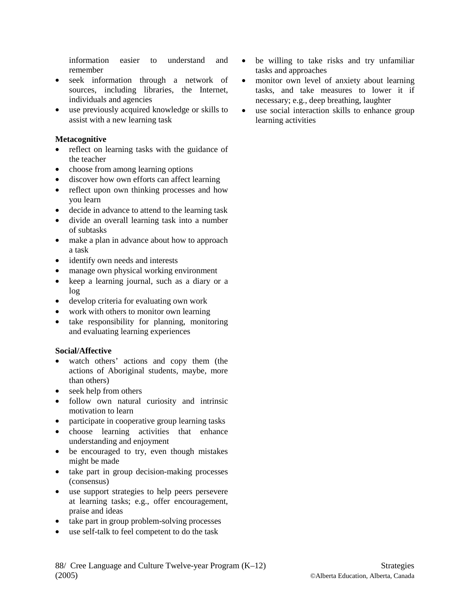information easier to understand and remember

- seek information through a network of sources, including libraries, the Internet, individuals and agencies
- use previously acquired knowledge or skills to assist with a new learning task

## **Metacognitive**

- reflect on learning tasks with the guidance of the teacher
- choose from among learning options
- discover how own efforts can affect learning
- reflect upon own thinking processes and how you learn
- decide in advance to attend to the learning task
- divide an overall learning task into a number of subtasks
- make a plan in advance about how to approach a task
- identify own needs and interests
- manage own physical working environment
- keep a learning journal, such as a diary or a log
- develop criteria for evaluating own work
- work with others to monitor own learning
- take responsibility for planning, monitoring and evaluating learning experiences

## **Social/Affective**

- watch others' actions and copy them (the actions of Aboriginal students, maybe, more than others)
- seek help from others
- follow own natural curiosity and intrinsic motivation to learn
- participate in cooperative group learning tasks
- choose learning activities that enhance understanding and enjoyment
- be encouraged to try, even though mistakes might be made
- take part in group decision-making processes (consensus)
- use support strategies to help peers persevere at learning tasks; e.g., offer encouragement, praise and ideas
- take part in group problem-solving processes
- use self-talk to feel competent to do the task
- be willing to take risks and try unfamiliar tasks and approaches
- monitor own level of anxiety about learning tasks, and take measures to lower it if necessary; e.g., deep breathing, laughter
- use social interaction skills to enhance group learning activities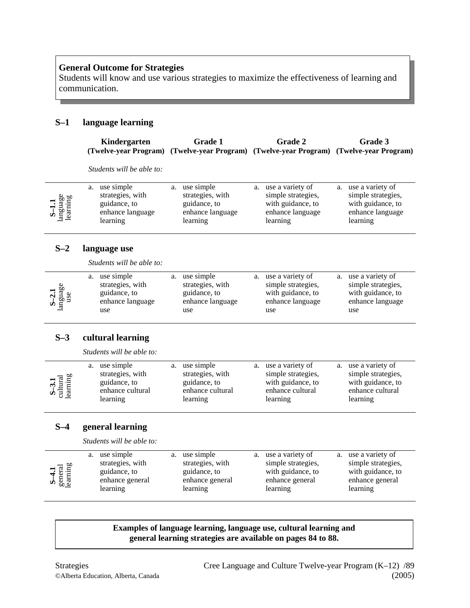Students will know and use various strategies to maximize the effectiveness of learning and communication.

# **S–1 language learning**

|                                                                                     | Kindergarten                                                                         | Grade 1                                                                              | Grade 2<br>(Twelve-year Program) (Twelve-year Program) (Twelve-year Program) (Twelve-year Program) | Grade 3                                                                                        |
|-------------------------------------------------------------------------------------|--------------------------------------------------------------------------------------|--------------------------------------------------------------------------------------|----------------------------------------------------------------------------------------------------|------------------------------------------------------------------------------------------------|
|                                                                                     | Students will be able to:                                                            |                                                                                      |                                                                                                    |                                                                                                |
| $\begin{array}{c}\n S-1.1 \\ \text{language} \\ \text{learning}\n \end{array}$      | use simple<br>a.<br>strategies, with<br>guidance, to<br>enhance language<br>learning | use simple<br>a.<br>strategies, with<br>guidance, to<br>enhance language<br>learning | a. use a variety of<br>simple strategies,<br>with guidance, to<br>enhance language<br>learning     | a. use a variety of<br>simple strategies,<br>with guidance, to<br>enhance language<br>learning |
| $S-2$                                                                               | language use                                                                         |                                                                                      |                                                                                                    |                                                                                                |
|                                                                                     | Students will be able to:                                                            |                                                                                      |                                                                                                    |                                                                                                |
| $\frac{\text{S}-2.1}{\text{language}}$                                              | use simple<br>a.<br>strategies, with<br>guidance, to<br>enhance language<br>use      | use simple<br>a.<br>strategies, with<br>guidance, to<br>enhance language<br>use      | a. use a variety of<br>simple strategies,<br>with guidance, to<br>enhance language<br>use          | use a variety of<br>a.<br>simple strategies,<br>with guidance, to<br>enhance language<br>use   |
| $S-3$                                                                               | cultural learning                                                                    |                                                                                      |                                                                                                    |                                                                                                |
|                                                                                     | Students will be able to:                                                            |                                                                                      |                                                                                                    |                                                                                                |
| $\begin{array}{c} \textbf{S-3.1} \\ \text{cultural} \\ \text{learning} \end{array}$ | a. use simple<br>strategies, with<br>guidance, to<br>enhance cultural<br>learning    | a. use simple<br>strategies, with<br>guidance, to<br>enhance cultural<br>learning    | a. use a variety of<br>simple strategies,<br>with guidance, to<br>enhance cultural<br>learning     | a. use a variety of<br>simple strategies,<br>with guidance, to<br>enhance cultural<br>learning |
| $S-4$                                                                               | general learning                                                                     |                                                                                      |                                                                                                    |                                                                                                |
|                                                                                     | Students will be able to:                                                            |                                                                                      |                                                                                                    |                                                                                                |
| S-4.1<br>general<br>learning                                                        | use simple<br>a.<br>strategies, with<br>guidance, to<br>enhance general<br>learning  | use simple<br>a.<br>strategies, with<br>guidance, to<br>enhance general<br>learning  | a. use a variety of<br>simple strategies,<br>with guidance, to<br>enhance general<br>learning      | a. use a variety of<br>simple strategies,<br>with guidance, to<br>enhance general<br>learning  |
|                                                                                     |                                                                                      |                                                                                      |                                                                                                    |                                                                                                |

#### **Examples of language learning, language use, cultural learning and general learning strategies are available on pages 84 to 88.**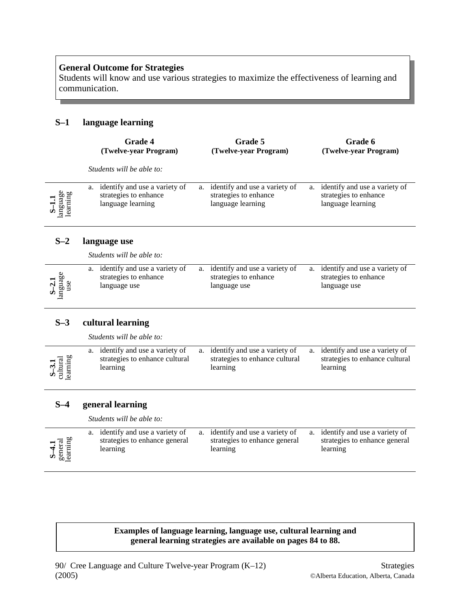Students will know and use various strategies to maximize the effectiveness of learning and communication.

# **S–1 language learning**

|                                                   | <b>Grade 4</b><br>(Twelve-year Program)                                           |    | Grade 5<br>(Twelve-year Program)                                            | Grade 6<br>(Twelve-year Program)                                               |  |
|---------------------------------------------------|-----------------------------------------------------------------------------------|----|-----------------------------------------------------------------------------|--------------------------------------------------------------------------------|--|
|                                                   | Students will be able to:                                                         |    |                                                                             |                                                                                |  |
| $\frac{\textbf{S}-\textbf{1.1}}{\text{language}}$ | identify and use a variety of<br>a.<br>strategies to enhance<br>language learning | a. | identify and use a variety of<br>strategies to enhance<br>language learning | a. identify and use a variety of<br>strategies to enhance<br>language learning |  |
| $S-2$                                             | language use                                                                      |    |                                                                             |                                                                                |  |
|                                                   | Students will be able to:                                                         |    |                                                                             |                                                                                |  |

|                          | a. identify and use a variety of | a. identify and use a variety of | a. identify and use a variety of |
|--------------------------|----------------------------------|----------------------------------|----------------------------------|
|                          | strategies to enhance            | strategies to enhance            | strategies to enhance            |
| $S-2.1$<br>mguage<br>use | language use                     | language use                     | language use                     |
|                          |                                  |                                  |                                  |

# **S–3 cultural learning**

*Students will be able to:*

|                                                                                     | a. identify and use a variety of | a. identify and use a variety of | a. identify and use a variety of |
|-------------------------------------------------------------------------------------|----------------------------------|----------------------------------|----------------------------------|
|                                                                                     | strategies to enhance cultural   | strategies to enhance cultural   | strategies to enhance cultural   |
| $\begin{array}{c} \textbf{S-3.1} \\ \text{cultural} \\ \text{learning} \end{array}$ | learning                         | learning                         | learning                         |
|                                                                                     |                                  |                                  |                                  |

## **S–4 general learning**

*Students will be able to:*

|                                | a. identify and use a variety of | a. identify and use a variety of | a. identify and use a variety of |
|--------------------------------|----------------------------------|----------------------------------|----------------------------------|
| $S-4.1$<br>general<br>learning | strategies to enhance general    | strategies to enhance general    | strategies to enhance general    |
|                                | learning                         | learning                         | learning                         |
|                                |                                  |                                  |                                  |

### **Examples of language learning, language use, cultural learning and general learning strategies are available on pages 84 to 88.**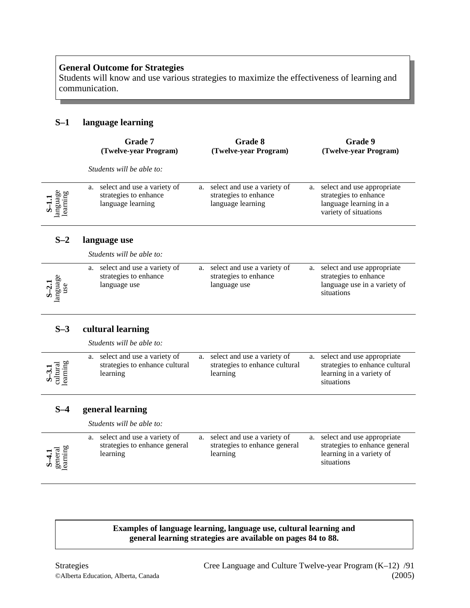Students will know and use various strategies to maximize the effectiveness of learning and communication.

# **S–1 language learning**

|                                       | Grade 7<br>(Twelve-year Program)                                             |    | Grade 8<br>(Twelve-year Program)                                          |    | Grade 9<br>(Twelve-year Program)                                                                       |
|---------------------------------------|------------------------------------------------------------------------------|----|---------------------------------------------------------------------------|----|--------------------------------------------------------------------------------------------------------|
|                                       | Students will be able to:                                                    |    |                                                                           |    |                                                                                                        |
| language<br>learning                  | a. select and use a variety of<br>strategies to enhance<br>language learning | a. | select and use a variety of<br>strategies to enhance<br>language learning | a. | select and use appropriate<br>strategies to enhance<br>language learning in a<br>variety of situations |
| $S-2$                                 | language use                                                                 |    |                                                                           |    |                                                                                                        |
|                                       | Students will be able to:                                                    |    |                                                                           |    |                                                                                                        |
| $S-2.1$ language                      | a. select and use a variety of<br>strategies to enhance<br>language use      | a. | select and use a variety of<br>strategies to enhance<br>language use      | a. | select and use appropriate<br>strategies to enhance<br>language use in a variety of<br>situations      |
| $S-3$                                 | cultural learning                                                            |    |                                                                           |    |                                                                                                        |
|                                       | Students will be able to:                                                    |    |                                                                           |    |                                                                                                        |
| cultural<br>learning                  | a. select and use a variety of<br>strategies to enhance cultural<br>learning | a. | select and use a variety of<br>strategies to enhance cultural<br>learning | a. | select and use appropriate<br>strategies to enhance cultural<br>learning in a variety of<br>situations |
| $S-4$                                 | general learning                                                             |    |                                                                           |    |                                                                                                        |
|                                       | Students will be able to:                                                    |    |                                                                           |    |                                                                                                        |
| general<br>learning<br>$\overline{1}$ | a. select and use a variety of<br>strategies to enhance general<br>learning  | a. | select and use a variety of<br>strategies to enhance general<br>learning  | a. | select and use appropriate<br>strategies to enhance general<br>learning in a variety of<br>situations  |

## **Examples of language learning, language use, cultural learning and general learning strategies are available on pages 84 to 88.**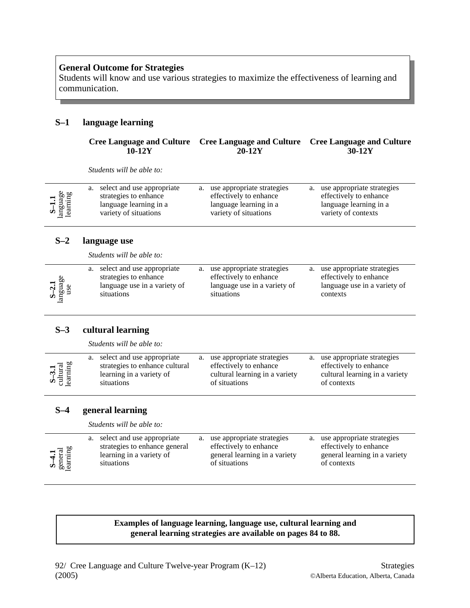Students will know and use various strategies to maximize the effectiveness of learning and communication.

## **S–1 language learning**

#### **Cree Language and Culture Cree Language and Culture Cree Language and Culture 10-12Y 20-12Y 30-12Y**

*Students will be able to:* 

|                                                                                | select and use appropriate | a. use appropriate strategies | a. | use appropriate strategies |
|--------------------------------------------------------------------------------|----------------------------|-------------------------------|----|----------------------------|
|                                                                                | strategies to enhance      | effectively to enhance        |    | effectively to enhance     |
|                                                                                | language learning in a     | language learning in a        |    | language learning in a     |
| $\begin{array}{c}\n S-1.1 \\ \text{language} \\ \text{learning}\n \end{array}$ | variety of situations      | variety of situations         |    | variety of contexts        |

#### **S–2 language use**

*Students will be able to:*

### **S–3 cultural learning**

*Students will be able to:*

|                                                                                     | a. select and use appropriate  | a. use appropriate strategies  | a. use appropriate strategies  |
|-------------------------------------------------------------------------------------|--------------------------------|--------------------------------|--------------------------------|
| $\begin{array}{c} \textbf{S-3.1} \\ \text{cultural} \\ \text{learning} \end{array}$ | strategies to enhance cultural | effectively to enhance         | effectively to enhance         |
|                                                                                     | learning in a variety of       | cultural learning in a variety | cultural learning in a variety |
|                                                                                     | situations                     | of situations                  | of contexts                    |

#### **S–4 general learning**

*Students will be able to:*

| $\frac{\text{S-4.1}}{\text{general}}$ | a. select and use appropriate<br>strategies to enhance general<br>learning in a variety of<br>situations | a. use appropriate strategies<br>effectively to enhance<br>general learning in a variety<br>of situations | a. use appropriate strategies<br>effectively to enhance<br>general learning in a variety<br>of contexts |
|---------------------------------------|----------------------------------------------------------------------------------------------------------|-----------------------------------------------------------------------------------------------------------|---------------------------------------------------------------------------------------------------------|

#### **Examples of language learning, language use, cultural learning and general learning strategies are available on pages 84 to 88.**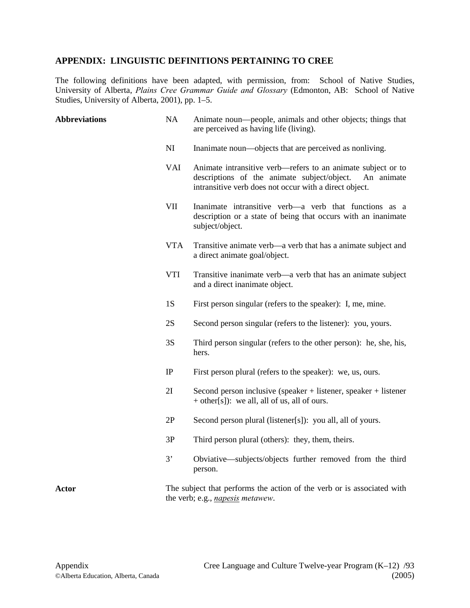# **APPENDIX: LINGUISTIC DEFINITIONS PERTAINING TO CREE**

The following definitions have been adapted, with permission, from: School of Native Studies, University of Alberta, *Plains Cree Grammar Guide and Glossary* (Edmonton, AB: School of Native Studies, University of Alberta, 2001), pp. 1–5.

| <b>Abbreviations</b> | NA         | Animate noun—people, animals and other objects; things that<br>are perceived as having life (living).                                                                               |
|----------------------|------------|-------------------------------------------------------------------------------------------------------------------------------------------------------------------------------------|
|                      | NI         | Inanimate noun—objects that are perceived as nonliving.                                                                                                                             |
|                      | <b>VAI</b> | Animate intransitive verb—refers to an animate subject or to<br>descriptions of the animate subject/object.<br>An animate<br>intransitive verb does not occur with a direct object. |
|                      | VII        | Inanimate intransitive verb—a verb that functions as a<br>description or a state of being that occurs with an inanimate<br>subject/object.                                          |
|                      | <b>VTA</b> | Transitive animate verb—a verb that has a animate subject and<br>a direct animate goal/object.                                                                                      |
|                      | <b>VTI</b> | Transitive inanimate verb—a verb that has an animate subject<br>and a direct inanimate object.                                                                                      |
|                      | 1S         | First person singular (refers to the speaker): I, me, mine.                                                                                                                         |
|                      | 2S         | Second person singular (refers to the listener): you, yours.                                                                                                                        |
|                      | 3S         | Third person singular (refers to the other person): he, she, his,<br>hers.                                                                                                          |
|                      | IP         | First person plural (refers to the speaker): we, us, ours.                                                                                                                          |
|                      | 2I         | Second person inclusive (speaker + listener, speaker + listener<br>$+$ other[s]): we all, all of us, all of ours.                                                                   |
|                      | 2P         | Second person plural (listener[s]): you all, all of yours.                                                                                                                          |
|                      | 3P         | Third person plural (others): they, them, theirs.                                                                                                                                   |
|                      | 3'         | Obviative—subjects/objects further removed from the third<br>person.                                                                                                                |
| <b>Actor</b>         |            | The subject that performs the action of the verb or is associated with<br>the verb; e.g., napesis metawew.                                                                          |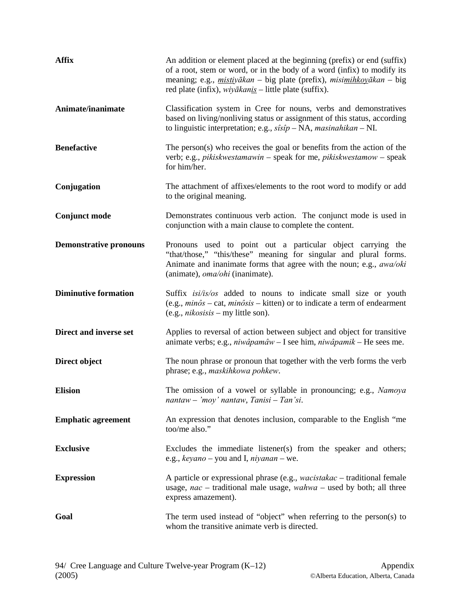| <b>Affix</b>                  | An addition or element placed at the beginning (prefix) or end (suffix)<br>of a root, stem or word, or in the body of a word (infix) to modify its<br>meaning; e.g., mistiyākan - big plate (prefix), misimihkoyākan - big<br>red plate (infix), <i>wiyakanis</i> – little plate (suffix). |
|-------------------------------|--------------------------------------------------------------------------------------------------------------------------------------------------------------------------------------------------------------------------------------------------------------------------------------------|
| Animate/inanimate             | Classification system in Cree for nouns, verbs and demonstratives<br>based on living/nonliving status or assignment of this status, according<br>to linguistic interpretation; e.g., $s\hat{i}s\hat{i}p - NA$ , masinahikan - NI.                                                          |
| <b>Benefactive</b>            | The person(s) who receives the goal or benefits from the action of the<br>verb; e.g., pikiskwestamawin - speak for me, pikiskwestamow - speak<br>for him/her.                                                                                                                              |
| Conjugation                   | The attachment of affixes/elements to the root word to modify or add<br>to the original meaning.                                                                                                                                                                                           |
| <b>Conjunct mode</b>          | Demonstrates continuous verb action. The conjunct mode is used in<br>conjunction with a main clause to complete the content.                                                                                                                                                               |
| <b>Demonstrative pronouns</b> | Pronouns used to point out a particular object carrying the<br>"that/those," "this/these" meaning for singular and plural forms.<br>Animate and inanimate forms that agree with the noun; e.g., awa/oki<br>(animate), <i>oma/ohi</i> (inanimate).                                          |
| <b>Diminutive formation</b>   | Suffix <i>isi/is/os</i> added to nouns to indicate small size or youth<br>(e.g., $min\delta s$ – cat, $min\delta sis$ – kitten) or to indicate a term of endearment<br>$(e.g., nikosisis – my little son).$                                                                                |
| Direct and inverse set        | Applies to reversal of action between subject and object for transitive<br>animate verbs; e.g., niwâpamâw – I see him, niwâpamik – He sees me.                                                                                                                                             |
| Direct object                 | The noun phrase or pronoun that together with the verb forms the verb<br>phrase; e.g., maskihkowa pohkew.                                                                                                                                                                                  |
| <b>Elision</b>                | The omission of a vowel or syllable in pronouncing; e.g., Namoya<br>$n$ antaw – 'moy' nantaw, Tanisi – Tan'si.                                                                                                                                                                             |
| <b>Emphatic agreement</b>     | An expression that denotes inclusion, comparable to the English "me<br>too/me also."                                                                                                                                                                                                       |
| <b>Exclusive</b>              | Excludes the immediate listener(s) from the speaker and others;<br>e.g., $keyano$ – you and I, niyanan – we.                                                                                                                                                                               |
| <b>Expression</b>             | A particle or expressional phrase (e.g., <i>wacistakac</i> – traditional female<br>usage, $nac$ – traditional male usage, $wahwa$ – used by both; all three<br>express amazement).                                                                                                         |
| Goal                          | The term used instead of "object" when referring to the person(s) to<br>whom the transitive animate verb is directed.                                                                                                                                                                      |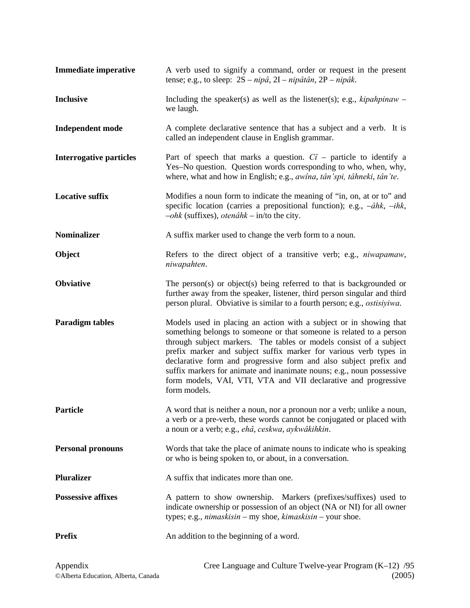| <b>Immediate imperative</b>    | A verb used to signify a command, order or request in the present<br>tense; e.g., to sleep: $2S - nip\hat{a}$ , $2I - nip\hat{a}t\hat{a}n$ , $2P - nip\hat{a}k$ .                                                                                                                                                                                                                                                                                                                                                    |
|--------------------------------|----------------------------------------------------------------------------------------------------------------------------------------------------------------------------------------------------------------------------------------------------------------------------------------------------------------------------------------------------------------------------------------------------------------------------------------------------------------------------------------------------------------------|
| <b>Inclusive</b>               | Including the speaker(s) as well as the listener(s); e.g., $kipahpinaw -$<br>we laugh.                                                                                                                                                                                                                                                                                                                                                                                                                               |
| <b>Independent mode</b>        | A complete declarative sentence that has a subject and a verb. It is<br>called an independent clause in English grammar.                                                                                                                                                                                                                                                                                                                                                                                             |
| <b>Interrogative particles</b> | Part of speech that marks a question. $C_i$ – particle to identify a<br>Yes-No question. Question words corresponding to who, when, why,<br>where, what and how in English; e.g., awîna, tân'spi, tâhneki, tân'te.                                                                                                                                                                                                                                                                                                   |
| <b>Locative suffix</b>         | Modifies a noun form to indicate the meaning of "in, on, at or to" and<br>specific location (carries a prepositional function); e.g., $-\hat{a}hk$ , $-ihk$ ,<br>$-\text{ohk}$ (suffixes), <i>otena</i> <sup>hk</sup> – in/to the city.                                                                                                                                                                                                                                                                              |
| <b>Nominalizer</b>             | A suffix marker used to change the verb form to a noun.                                                                                                                                                                                                                                                                                                                                                                                                                                                              |
| Object                         | Refers to the direct object of a transitive verb; e.g., niwapamaw,<br>niwapahten.                                                                                                                                                                                                                                                                                                                                                                                                                                    |
| <b>Obviative</b>               | The person(s) or object(s) being referred to that is backgrounded or<br>further away from the speaker, listener, third person singular and third<br>person plural. Obviative is similar to a fourth person; e.g., <i>ostisiyiwa</i> .                                                                                                                                                                                                                                                                                |
| <b>Paradigm tables</b>         | Models used in placing an action with a subject or in showing that<br>something belongs to someone or that someone is related to a person<br>through subject markers. The tables or models consist of a subject<br>prefix marker and subject suffix marker for various verb types in<br>declarative form and progressive form and also subject prefix and<br>suffix markers for animate and inanimate nouns; e.g., noun possessive<br>form models, VAI, VTI, VTA and VII declarative and progressive<br>form models. |
| <b>Particle</b>                | A word that is neither a noun, nor a pronoun nor a verb; unlike a noun,<br>a verb or a pre-verb, these words cannot be conjugated or placed with<br>a noun or a verb; e.g., ehâ, ceskwa, aykwâkihkin.                                                                                                                                                                                                                                                                                                                |
| <b>Personal pronouns</b>       | Words that take the place of animate nouns to indicate who is speaking<br>or who is being spoken to, or about, in a conversation.                                                                                                                                                                                                                                                                                                                                                                                    |
| <b>Pluralizer</b>              | A suffix that indicates more than one.                                                                                                                                                                                                                                                                                                                                                                                                                                                                               |
| <b>Possessive affixes</b>      | A pattern to show ownership. Markers (prefixes/suffixes) used to<br>indicate ownership or possession of an object (NA or NI) for all owner<br>types; e.g., $nimaskisin - my$ shoe, $kimaskisin - your$ shoe.                                                                                                                                                                                                                                                                                                         |
| <b>Prefix</b>                  | An addition to the beginning of a word.                                                                                                                                                                                                                                                                                                                                                                                                                                                                              |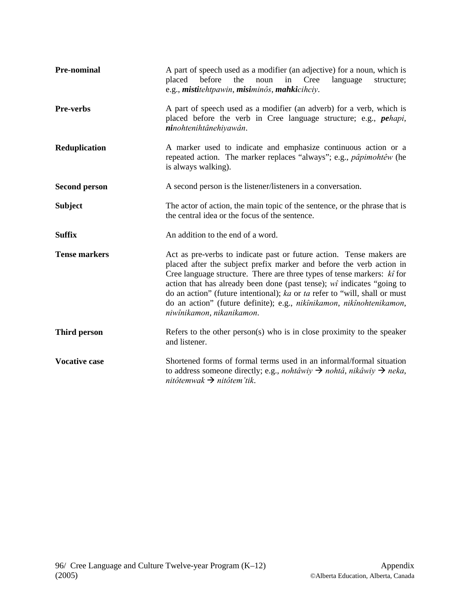| <b>Pre-nominal</b>   | A part of speech used as a modifier (an adjective) for a noun, which is<br>placed<br>before<br>the<br>Cree<br>noun<br>in<br>language<br>structure;<br>e.g., mistitehtpawin, misiminôs, mahkicihciy.                                                                                                                                                                                                                                                                                                   |
|----------------------|-------------------------------------------------------------------------------------------------------------------------------------------------------------------------------------------------------------------------------------------------------------------------------------------------------------------------------------------------------------------------------------------------------------------------------------------------------------------------------------------------------|
| <b>Pre-verbs</b>     | A part of speech used as a modifier (an adverb) for a verb, which is<br>placed before the verb in Cree language structure; e.g., <i>pehapi</i> ,<br>ninohtenihtânehiyawân.                                                                                                                                                                                                                                                                                                                            |
| Reduplication        | A marker used to indicate and emphasize continuous action or a<br>repeated action. The marker replaces "always"; e.g., <i>pâpimohtêw</i> (he<br>is always walking).                                                                                                                                                                                                                                                                                                                                   |
| <b>Second person</b> | A second person is the listener/listeners in a conversation.                                                                                                                                                                                                                                                                                                                                                                                                                                          |
| <b>Subject</b>       | The actor of action, the main topic of the sentence, or the phrase that is<br>the central idea or the focus of the sentence.                                                                                                                                                                                                                                                                                                                                                                          |
| <b>Suffix</b>        | An addition to the end of a word.                                                                                                                                                                                                                                                                                                                                                                                                                                                                     |
| <b>Tense markers</b> | Act as pre-verbs to indicate past or future action. Tense makers are<br>placed after the subject prefix marker and before the verb action in<br>Cree language structure. There are three types of tense markers: $k\hat{i}$ for<br>action that has already been done (past tense); $w\hat{i}$ indicates "going to<br>do an action" (future intentional); ka or ta refer to "will, shall or must<br>do an action" (future definite); e.g., nikînikamon, nikînohtenikamon,<br>niwînikamon, nikanikamon. |
| Third person         | Refers to the other person(s) who is in close proximity to the speaker<br>and listener.                                                                                                                                                                                                                                                                                                                                                                                                               |
| <b>Vocative case</b> | Shortened forms of formal terms used in an informal/formal situation<br>to address someone directly; e.g., <i>nohtâwiy</i> $\rightarrow$ <i>nohtâ</i> , <i>nikâwiy</i> $\rightarrow$ <i>neka</i> ,<br>nitôtemwak $\rightarrow$ nitôtem'tik.                                                                                                                                                                                                                                                           |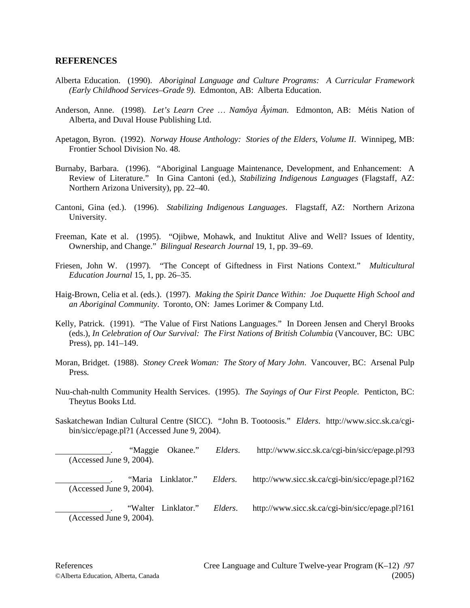#### **REFERENCES**

- Alberta Education. (1990). *Aboriginal Language and Culture Programs: A Curricular Framework (Early Childhood Services–Grade 9)*. Edmonton, AB: Alberta Education.
- Anderson, Anne. (1998). *Let's Learn Cree* … *Namôya Âyiman*. Edmonton, AB: Métis Nation of Alberta, and Duval House Publishing Ltd.
- Apetagon, Byron. (1992). *Norway House Anthology: Stories of the Elders, Volume II*. Winnipeg, MB: Frontier School Division No. 48.
- Burnaby, Barbara. (1996). "Aboriginal Language Maintenance, Development, and Enhancement: A Review of Literature." In Gina Cantoni (ed.), *Stabilizing Indigenous Languages* (Flagstaff, AZ: Northern Arizona University), pp. 22–40.
- Cantoni, Gina (ed.). (1996). *Stabilizing Indigenous Languages*. Flagstaff, AZ: Northern Arizona University.
- Freeman, Kate et al. (1995). "Ojibwe, Mohawk, and Inuktitut Alive and Well? Issues of Identity, Ownership, and Change." *Bilingual Research Journal* 19, 1, pp. 39–69.
- Friesen, John W. (1997). "The Concept of Giftedness in First Nations Context." *Multicultural Education Journal* 15, 1, pp. 26–35.
- Haig-Brown, Celia et al. (eds.). (1997). *Making the Spirit Dance Within: Joe Duquette High School and an Aboriginal Community*. Toronto, ON: James Lorimer & Company Ltd.
- Kelly, Patrick. (1991). "The Value of First Nations Languages." In Doreen Jensen and Cheryl Brooks (eds.), *In Celebration of Our Survival: The First Nations of British Columbia* (Vancouver, BC: UBC Press), pp. 141–149.
- Moran, Bridget. (1988). *Stoney Creek Woman: The Story of Mary John*. Vancouver, BC: Arsenal Pulp Press.
- Nuu-chah-nulth Community Health Services. (1995). *The Sayings of Our First People*. Penticton, BC: Theytus Books Ltd.
- Saskatchewan Indian Cultural Centre (SICC). "John B. Tootoosis." *Elders*. http://www.sicc.sk.ca/cgibin/sicc/epage.pl?1 (Accessed June 9, 2004).

| http://www.sicc.sk.ca/cgi-bin/sicc/epage.pl?93  | Elders. | Okanee."           | "Maggie"<br>(Accessed June 9, 2004). |
|-------------------------------------------------|---------|--------------------|--------------------------------------|
| http://www.sicc.sk.ca/cgi-bin/sicc/epage.pl?162 | Elders. | "Maria Linklator." | (Accessed June 9, 2004).             |
| http://www.sicc.sk.ca/cgi-bin/sicc/epage.pl?161 | Elders. | Linklator."        | "Walter<br>(Accessed June 9, 2004).  |